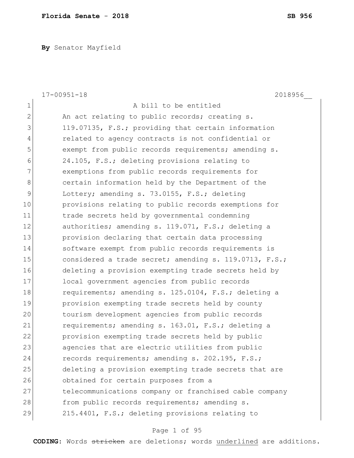**By** Senator Mayfield

| $17 - 00951 - 18$<br>2018956                           |
|--------------------------------------------------------|
| A bill to be entitled                                  |
| An act relating to public records; creating s.         |
| 119.07135, F.S.; providing that certain information    |
| related to agency contracts is not confidential or     |
| exempt from public records requirements; amending s.   |
| 24.105, F.S.; deleting provisions relating to          |
| exemptions from public records requirements for        |
| certain information held by the Department of the      |
| Lottery; amending s. 73.0155, F.S.; deleting           |
| provisions relating to public records exemptions for   |
| trade secrets held by governmental condemning          |
| authorities; amending s. 119.071, F.S.; deleting a     |
| provision declaring that certain data processing       |
| software exempt from public records requirements is    |
| considered a trade secret; amending s. 119.0713, F.S.; |
| deleting a provision exempting trade secrets held by   |
| local government agencies from public records          |
| requirements; amending s. 125.0104, F.S.; deleting a   |
| provision exempting trade secrets held by county       |
| tourism development agencies from public records       |
| requirements; amending s. 163.01, F.S.; deleting a     |
| provision exempting trade secrets held by public       |
| agencies that are electric utilities from public       |
| records requirements; amending s. 202.195, F.S.;       |
| deleting a provision exempting trade secrets that are  |
| obtained for certain purposes from a                   |
| telecommunications company or franchised cable company |
| from public records requirements; amending s.          |
| 215.4401, F.S.; deleting provisions relating to        |
|                                                        |

# Page 1 of 95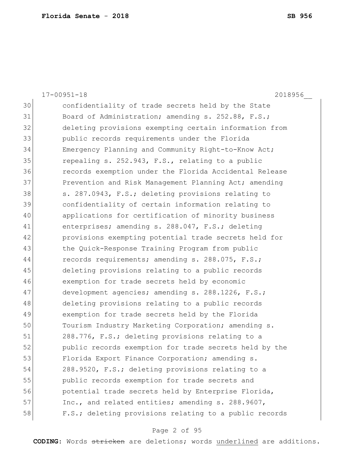|    | $17 - 00951 - 18$<br>2018956                           |
|----|--------------------------------------------------------|
| 30 | confidentiality of trade secrets held by the State     |
| 31 | Board of Administration; amending s. 252.88, F.S.;     |
| 32 | deleting provisions exempting certain information from |
| 33 | public records requirements under the Florida          |
| 34 | Emergency Planning and Community Right-to-Know Act;    |
| 35 | repealing s. 252.943, F.S., relating to a public       |
| 36 | records exemption under the Florida Accidental Release |
| 37 | Prevention and Risk Management Planning Act; amending  |
| 38 | s. 287.0943, F.S.; deleting provisions relating to     |
| 39 | confidentiality of certain information relating to     |
| 40 | applications for certification of minority business    |
| 41 | enterprises; amending s. 288.047, F.S.; deleting       |
| 42 | provisions exempting potential trade secrets held for  |
| 43 | the Quick-Response Training Program from public        |
| 44 | records requirements; amending s. 288.075, F.S.;       |
| 45 | deleting provisions relating to a public records       |
| 46 | exemption for trade secrets held by economic           |
| 47 | development agencies; amending s. 288.1226, F.S.;      |
| 48 | deleting provisions relating to a public records       |
| 49 | exemption for trade secrets held by the Florida        |
| 50 | Tourism Industry Marketing Corporation; amending s.    |
| 51 | 288.776, F.S.; deleting provisions relating to a       |
| 52 | public records exemption for trade secrets held by the |
| 53 | Florida Export Finance Corporation; amending s.        |
| 54 | 288.9520, F.S.; deleting provisions relating to a      |
| 55 | public records exemption for trade secrets and         |
| 56 | potential trade secrets held by Enterprise Florida,    |
| 57 | Inc., and related entities; amending s. 288.9607,      |
| 58 | F.S.; deleting provisions relating to a public records |

# Page 2 of 95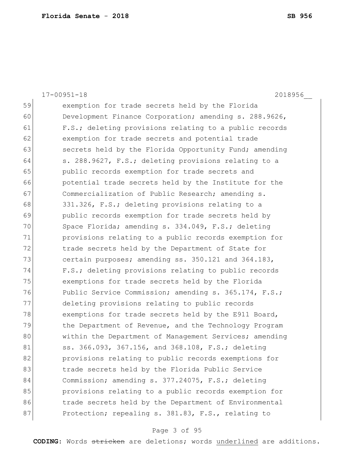|    | $17 - 00951 - 18$<br>2018956                           |
|----|--------------------------------------------------------|
| 59 | exemption for trade secrets held by the Florida        |
| 60 | Development Finance Corporation; amending s. 288.9626, |
| 61 | F.S.; deleting provisions relating to a public records |
| 62 | exemption for trade secrets and potential trade        |
| 63 | secrets held by the Florida Opportunity Fund; amending |
| 64 | s. 288.9627, F.S.; deleting provisions relating to a   |
| 65 | public records exemption for trade secrets and         |
| 66 | potential trade secrets held by the Institute for the  |
| 67 | Commercialization of Public Research; amending s.      |
| 68 | 331.326, F.S.; deleting provisions relating to a       |
| 69 | public records exemption for trade secrets held by     |
| 70 | Space Florida; amending s. 334.049, F.S.; deleting     |
| 71 | provisions relating to a public records exemption for  |
| 72 | trade secrets held by the Department of State for      |
| 73 | certain purposes; amending ss. 350.121 and 364.183,    |
| 74 | F.S.; deleting provisions relating to public records   |
| 75 | exemptions for trade secrets held by the Florida       |
| 76 | Public Service Commission; amending s. 365.174, F.S.;  |
| 77 | deleting provisions relating to public records         |
| 78 | exemptions for trade secrets held by the E911 Board,   |
| 79 | the Department of Revenue, and the Technology Program  |
| 80 | within the Department of Management Services; amending |
| 81 | ss. 366.093, 367.156, and 368.108, F.S.; deleting      |
| 82 | provisions relating to public records exemptions for   |
| 83 | trade secrets held by the Florida Public Service       |
| 84 | Commission; amending s. 377.24075, F.S.; deleting      |
| 85 | provisions relating to a public records exemption for  |
| 86 | trade secrets held by the Department of Environmental  |
| 87 | Protection; repealing s. 381.83, F.S., relating to     |

# Page 3 of 95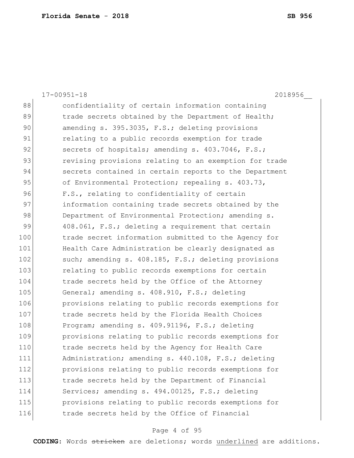|     | $17 - 00951 - 18$<br>2018956                           |
|-----|--------------------------------------------------------|
| 88  | confidentiality of certain information containing      |
| 89  | trade secrets obtained by the Department of Health;    |
| 90  | amending s. 395.3035, F.S.; deleting provisions        |
| 91  | relating to a public records exemption for trade       |
| 92  | secrets of hospitals; amending s. 403.7046, F.S.;      |
| 93  | revising provisions relating to an exemption for trade |
| 94  | secrets contained in certain reports to the Department |
| 95  | of Environmental Protection; repealing s. 403.73,      |
| 96  | F.S., relating to confidentiality of certain           |
| 97  | information containing trade secrets obtained by the   |
| 98  | Department of Environmental Protection; amending s.    |
| 99  | 408.061, F.S.; deleting a requirement that certain     |
| 100 | trade secret information submitted to the Agency for   |
| 101 | Health Care Administration be clearly designated as    |
| 102 | such; amending s. 408.185, F.S.; deleting provisions   |
| 103 | relating to public records exemptions for certain      |
| 104 | trade secrets held by the Office of the Attorney       |
| 105 | General; amending s. 408.910, F.S.; deleting           |
| 106 | provisions relating to public records exemptions for   |
| 107 | trade secrets held by the Florida Health Choices       |
| 108 | Program; amending s. 409.91196, F.S.; deleting         |
| 109 | provisions relating to public records exemptions for   |
| 110 | trade secrets held by the Agency for Health Care       |
| 111 | Administration; amending s. 440.108, F.S.; deleting    |
| 112 | provisions relating to public records exemptions for   |
| 113 | trade secrets held by the Department of Financial      |
| 114 | Services; amending s. 494.00125, F.S.; deleting        |
| 115 | provisions relating to public records exemptions for   |
| 116 | trade secrets held by the Office of Financial          |

# Page 4 of 95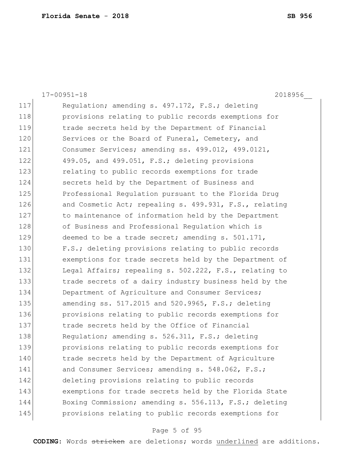|     | $17 - 00951 - 18$<br>2018956                           |
|-----|--------------------------------------------------------|
| 117 | Regulation; amending s. 497.172, F.S.; deleting        |
| 118 | provisions relating to public records exemptions for   |
| 119 | trade secrets held by the Department of Financial      |
| 120 | Services or the Board of Funeral, Cemetery, and        |
| 121 | Consumer Services; amending ss. 499.012, 499.0121,     |
| 122 | 499.05, and 499.051, F.S.; deleting provisions         |
| 123 | relating to public records exemptions for trade        |
| 124 | secrets held by the Department of Business and         |
| 125 | Professional Regulation pursuant to the Florida Drug   |
| 126 | and Cosmetic Act; repealing s. 499.931, F.S., relating |
| 127 | to maintenance of information held by the Department   |
| 128 | of Business and Professional Regulation which is       |
| 129 | deemed to be a trade secret; amending s. 501.171,      |
| 130 | F.S.; deleting provisions relating to public records   |
| 131 | exemptions for trade secrets held by the Department of |
| 132 | Legal Affairs; repealing s. 502.222, F.S., relating to |
| 133 | trade secrets of a dairy industry business held by the |
| 134 | Department of Agriculture and Consumer Services;       |
| 135 | amending ss. 517.2015 and 520.9965, F.S.; deleting     |
| 136 | provisions relating to public records exemptions for   |
| 137 | trade secrets held by the Office of Financial          |
| 138 | Regulation; amending s. 526.311, F.S.; deleting        |
| 139 | provisions relating to public records exemptions for   |
| 140 | trade secrets held by the Department of Agriculture    |
| 141 | and Consumer Services; amending s. 548.062, F.S.;      |
| 142 | deleting provisions relating to public records         |
| 143 | exemptions for trade secrets held by the Florida State |
| 144 | Boxing Commission; amending s. 556.113, F.S.; deleting |
| 145 | provisions relating to public records exemptions for   |

# Page 5 of 95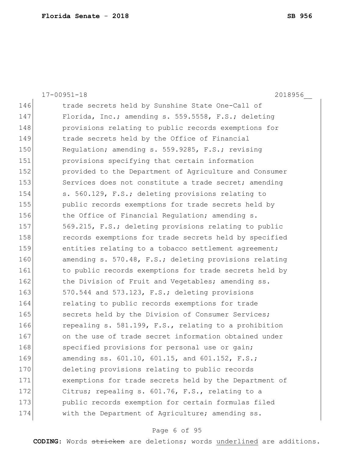|     | 2018956<br>$17 - 00951 - 18$                           |
|-----|--------------------------------------------------------|
| 146 | trade secrets held by Sunshine State One-Call of       |
| 147 | Florida, Inc.; amending s. 559.5558, F.S.; deleting    |
| 148 | provisions relating to public records exemptions for   |
| 149 | trade secrets held by the Office of Financial          |
| 150 | Regulation; amending s. 559.9285, F.S.; revising       |
| 151 | provisions specifying that certain information         |
| 152 | provided to the Department of Agriculture and Consumer |
| 153 | Services does not constitute a trade secret; amending  |
| 154 | s. 560.129, F.S.; deleting provisions relating to      |
| 155 | public records exemptions for trade secrets held by    |
| 156 | the Office of Financial Regulation; amending s.        |
| 157 | 569.215, F.S.; deleting provisions relating to public  |
| 158 | records exemptions for trade secrets held by specified |
| 159 | entities relating to a tobacco settlement agreement;   |
| 160 | amending s. 570.48, F.S.; deleting provisions relating |
| 161 | to public records exemptions for trade secrets held by |
| 162 | the Division of Fruit and Vegetables; amending ss.     |
| 163 | 570.544 and 573.123, F.S.; deleting provisions         |
| 164 | relating to public records exemptions for trade        |
| 165 | secrets held by the Division of Consumer Services;     |
| 166 | repealing s. 581.199, F.S., relating to a prohibition  |
| 167 | on the use of trade secret information obtained under  |
| 168 | specified provisions for personal use or gain;         |
| 169 | amending ss. 601.10, 601.15, and 601.152, F.S.;        |
| 170 | deleting provisions relating to public records         |
| 171 | exemptions for trade secrets held by the Department of |
| 172 | Citrus; repealing s. 601.76, F.S., relating to a       |
| 173 | public records exemption for certain formulas filed    |
| 174 | with the Department of Agriculture; amending ss.       |

# Page 6 of 95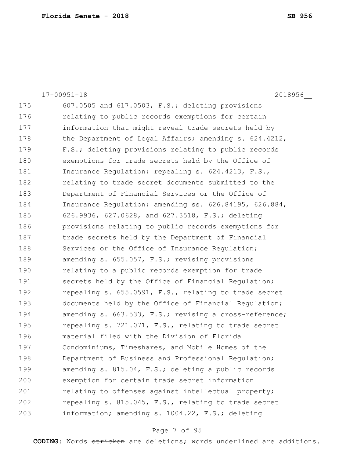|     | 2018956<br>$17 - 00951 - 18$                           |
|-----|--------------------------------------------------------|
| 175 | 607.0505 and 617.0503, F.S.; deleting provisions       |
| 176 | relating to public records exemptions for certain      |
| 177 | information that might reveal trade secrets held by    |
| 178 | the Department of Legal Affairs; amending s. 624.4212, |
| 179 | F.S.; deleting provisions relating to public records   |
| 180 | exemptions for trade secrets held by the Office of     |
| 181 | Insurance Regulation; repealing s. 624.4213, F.S.,     |
| 182 | relating to trade secret documents submitted to the    |
| 183 | Department of Financial Services or the Office of      |
| 184 | Insurance Regulation; amending ss. 626.84195, 626.884, |
| 185 | 626.9936, 627.0628, and 627.3518, F.S.; deleting       |
| 186 | provisions relating to public records exemptions for   |
| 187 | trade secrets held by the Department of Financial      |
| 188 | Services or the Office of Insurance Regulation;        |
| 189 | amending s. 655.057, F.S.; revising provisions         |
| 190 | relating to a public records exemption for trade       |
| 191 | secrets held by the Office of Financial Regulation;    |
| 192 | repealing s. 655.0591, F.S., relating to trade secret  |
| 193 | documents held by the Office of Financial Regulation;  |
| 194 | amending s. 663.533, F.S.; revising a cross-reference; |
| 195 | repealing s. 721.071, F.S., relating to trade secret   |
| 196 | material filed with the Division of Florida            |
| 197 | Condominiums, Timeshares, and Mobile Homes of the      |
| 198 | Department of Business and Professional Regulation;    |
| 199 | amending s. 815.04, F.S.; deleting a public records    |
| 200 | exemption for certain trade secret information         |
| 201 | relating to offenses against intellectual property;    |
| 202 | repealing s. 815.045, F.S., relating to trade secret   |
| 203 | information; amending s. 1004.22, F.S.; deleting       |

# Page 7 of 95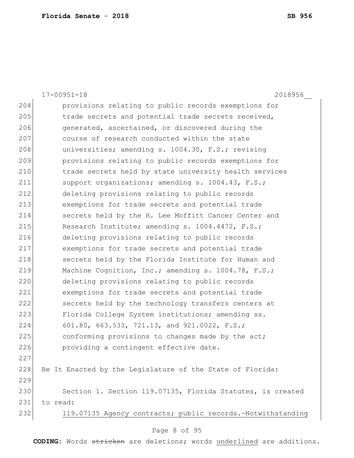|     | $17 - 00951 - 18$<br>2018956                                |
|-----|-------------------------------------------------------------|
| 204 | provisions relating to public records exemptions for        |
| 205 | trade secrets and potential trade secrets received,         |
| 206 | generated, ascertained, or discovered during the            |
| 207 | course of research conducted within the state               |
| 208 | universities; amending s. 1004.30, F.S.; revising           |
| 209 | provisions relating to public records exemptions for        |
| 210 | trade secrets held by state university health services      |
| 211 | support organizations; amending s. 1004.43, F.S.;           |
| 212 | deleting provisions relating to public records              |
| 213 | exemptions for trade secrets and potential trade            |
| 214 | secrets held by the H. Lee Moffitt Cancer Center and        |
| 215 | Research Institute; amending s. 1004.4472, F.S.;            |
| 216 | deleting provisions relating to public records              |
| 217 | exemptions for trade secrets and potential trade            |
| 218 | secrets held by the Florida Institute for Human and         |
| 219 | Machine Cognition, Inc.; amending s. 1004.78, F.S.;         |
| 220 | deleting provisions relating to public records              |
| 221 | exemptions for trade secrets and potential trade            |
| 222 | secrets held by the technology transfers centers at         |
| 223 | Florida College System institutions; amending ss.           |
| 224 | 601.80, 663.533, 721.13, and 921.0022, F.S.;                |
| 225 | conforming provisions to changes made by the act;           |
| 226 | providing a contingent effective date.                      |
| 227 |                                                             |
| 228 | Be It Enacted by the Legislature of the State of Florida:   |
| 229 |                                                             |
| 230 | Section 1. Section 119.07135, Florida Statutes, is created  |
| 231 | to read:                                                    |
| 232 | 119.07135 Agency contracts; public records.-Notwithstanding |
|     |                                                             |

# Page 8 of 95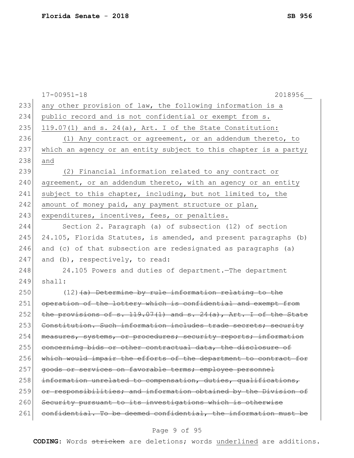|     | $17 - 00951 - 18$<br>2018956                                     |
|-----|------------------------------------------------------------------|
| 233 | any other provision of law, the following information is a       |
| 234 | public record and is not confidential or exempt from s.          |
| 235 | $119.07(1)$ and s. 24(a), Art. I of the State Constitution:      |
| 236 | (1) Any contract or agreement, or an addendum thereto, to        |
| 237 | which an agency or an entity subject to this chapter is a party; |
| 238 | and                                                              |
| 239 | (2) Financial information related to any contract or             |
| 240 | agreement, or an addendum thereto, with an agency or an entity   |
| 241 | subject to this chapter, including, but not limited to, the      |
| 242 | amount of money paid, any payment structure or plan,             |
| 243 | expenditures, incentives, fees, or penalties.                    |
| 244 | Section 2. Paragraph (a) of subsection (12) of section           |
| 245 | 24.105, Florida Statutes, is amended, and present paragraphs (b) |
| 246 | and (c) of that subsection are redesignated as paragraphs (a)    |
| 247 | and (b), respectively, to read:                                  |
| 248 | 24.105 Powers and duties of department. The department           |
| 249 | shall:                                                           |
| 250 | $(12)$ (a) Determine by rule information relating to the         |
| 251 | operation of the lottery which is confidential and exempt from   |
| 252 | the provisions of s. 119.07(1) and s. 24(a), Art. I of the State |
| 253 | Constitution. Such information includes trade secrets; security  |
| 254 | measures, systems, or procedures; security reports; information  |
| 255 | concerning bids or other contractual data, the disclosure of     |
| 256 | which would impair the efforts of the department to contract for |
| 257 | goods or services on favorable terms; employee personnel         |
| 258 | information unrelated to compensation, duties, qualifications,   |
| 259 | or responsibilities; and information obtained by the Division of |
| 260 | Security pursuant to its investigations which is otherwise       |
| 261 | confidential. To be deemed confidential, the information must be |
|     |                                                                  |

# Page 9 of 95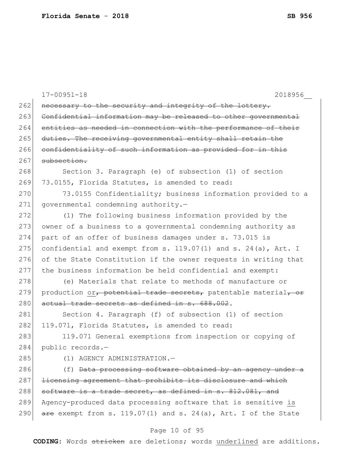|     | $17 - 00951 - 18$<br>2018956                                             |
|-----|--------------------------------------------------------------------------|
| 262 | necessary to the security and integrity of the lottery.                  |
| 263 | Confidential information may be released to other governmental           |
| 264 | entities as needed in connection with the performance of their           |
| 265 | duties. The receiving governmental entity shall retain the               |
| 266 | confidentiality of such information as provided for in this              |
| 267 | subsection.                                                              |
| 268 | Section 3. Paragraph (e) of subsection (1) of section                    |
| 269 | 73.0155, Florida Statutes, is amended to read:                           |
| 270 | 73.0155 Confidentiality; business information provided to a              |
| 271 | governmental condemning authority.-                                      |
| 272 | (1) The following business information provided by the                   |
| 273 | owner of a business to a governmental condemning authority as            |
| 274 | part of an offer of business damages under s. 73.015 is                  |
| 275 | confidential and exempt from s. $119.07(1)$ and s. $24(a)$ , Art. I      |
| 276 | of the State Constitution if the owner requests in writing that          |
| 277 | the business information be held confidential and exempt:                |
| 278 | (e) Materials that relate to methods of manufacture or                   |
| 279 | production or, potential trade secrets, patentable material, or          |
| 280 | actual trade secrets as defined in s. 688.002.                           |
| 281 | Section 4. Paragraph (f) of subsection (1) of section                    |
| 282 | 119.071, Florida Statutes, is amended to read:                           |
| 283 | 119.071 General exemptions from inspection or copying of                 |
| 284 | public records.-                                                         |
| 285 | (1) AGENCY ADMINISTRATION.-                                              |
| 286 | (f) Data processing software obtained by an agency under a               |
| 287 | licensing agreement that prohibits its disclosure and which              |
| 288 | software is a trade secret, as defined in s. 812.081, and                |
| 289 | Agency-produced data processing software that is sensitive is            |
| 290 | $\frac{1}{2}$ exempt from s. 119.07(1) and s. 24(a), Art. I of the State |
|     | Page 10 of 95                                                            |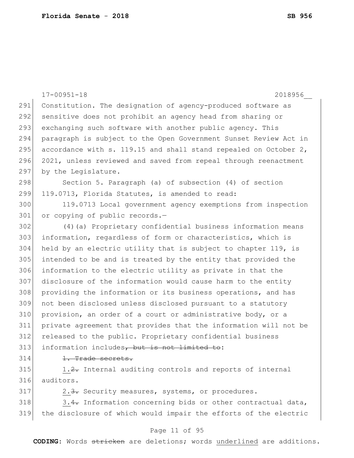|     | $17 - 00951 - 18$<br>2018956                                     |
|-----|------------------------------------------------------------------|
| 291 | Constitution. The designation of agency-produced software as     |
| 292 | sensitive does not prohibit an agency head from sharing or       |
| 293 | exchanging such software with another public agency. This        |
| 294 | paragraph is subject to the Open Government Sunset Review Act in |
| 295 | accordance with s. 119.15 and shall stand repealed on October 2, |
| 296 | 2021, unless reviewed and saved from repeal through reenactment  |
| 297 | by the Legislature.                                              |
| 298 | Section 5. Paragraph (a) of subsection (4) of section            |
| 299 | 119.0713, Florida Statutes, is amended to read:                  |
| 300 | 119.0713 Local government agency exemptions from inspection      |
| 301 | or copying of public records.-                                   |
| 302 | (4) (a) Proprietary confidential business information means      |
| 303 | information, regardless of form or characteristics, which is     |
| 304 | held by an electric utility that is subject to chapter 119, is   |
| 305 | intended to be and is treated by the entity that provided the    |
| 306 | information to the electric utility as private in that the       |
| 307 | disclosure of the information would cause harm to the entity     |
| 308 | providing the information or its business operations, and has    |
| 309 | not been disclosed unless disclosed pursuant to a statutory      |
| 310 | provision, an order of a court or administrative body, or a      |
| 311 | private agreement that provides that the information will not be |
| 312 | released to the public. Proprietary confidential business        |
| 313 | information includes, but is not limited to:                     |
| 314 | 1. Trade secrets.                                                |
| 315 | 1.2. Internal auditing controls and reports of internal          |
| 316 | auditors.                                                        |
| 317 | 2.3. Security measures, systems, or procedures.                  |
| 318 | 3.4. Information concerning bids or other contractual data,      |
| 319 | the disclosure of which would impair the efforts of the electric |

# Page 11 of 95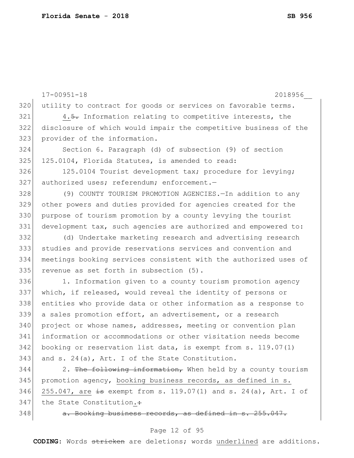17-00951-18 2018956\_\_ 320 utility to contract for goods or services on favorable terms.  $321$  4.5. Information relating to competitive interests, the 322 disclosure of which would impair the competitive business of the 323 provider of the information. 324 Section 6. Paragraph (d) of subsection (9) of section 325 125.0104, Florida Statutes, is amended to read: 326 125.0104 Tourist development tax; procedure for levying; 327 authorized uses; referendum; enforcement.-328 (9) COUNTY TOURISM PROMOTION AGENCIES. - In addition to any 329 other powers and duties provided for agencies created for the 330 purpose of tourism promotion by a county levying the tourist 331 development tax, such agencies are authorized and empowered to: 332 (d) Undertake marketing research and advertising research 333 studies and provide reservations services and convention and 334 meetings booking services consistent with the authorized uses of 335 revenue as set forth in subsection (5). 336 1. Information given to a county tourism promotion agency 337 which, if released, would reveal the identity of persons or 338 entities who provide data or other information as a response to 339 a sales promotion effort, an advertisement, or a research 340 project or whose names, addresses, meeting or convention plan 341 information or accommodations or other visitation needs become 342 booking or reservation list data, is exempt from s. 119.07(1) 343 and s.  $24(a)$ , Art. I of the State Constitution.  $344$  2. The following information, When held by a county tourism 345 promotion agency, booking business records, as defined in s.

346 255.047, are  $\frac{1}{15}$  exempt from s. 119.07(1) and s. 24(a), Art. I of 347 the State Constitution.:

348 a. Booking business records, as defined in s. 255.047.

#### Page 12 of 95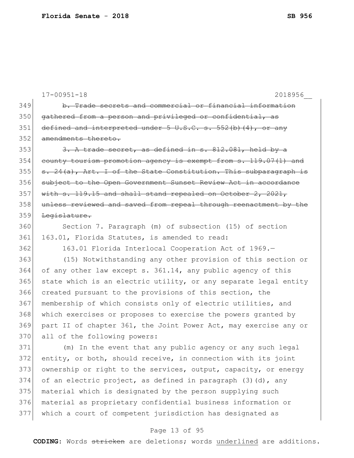17-00951-18 2018956\_\_ 349 b. Trade secrets and commercial or financial information 350 gathered from a person and privileged or confidential,  $351$  defined and interpreted under 5 U.S.C. s. 552(b)(4), or any 352 amendments thereto.  $353$  3. A trade secret, as defined in s.  $812.081$ , held by a 354 county tourism promotion agency is exempt from s. 119.07(1) and 355  $s. 24(a)$ , Art. I of the State Constitution. This subparagraph is 356 subject to the Open Government Sunset Review Act in accordance  $357$  with s. 119.15 and shall stand repealed on October 2, 2021, 358 unless reviewed and saved from repeal through reenactment by the 359 Legislature. 360 Section 7. Paragraph (m) of subsection (15) of section 361 163.01, Florida Statutes, is amended to read: 362 163.01 Florida Interlocal Cooperation Act of 1969.-363 (15) Notwithstanding any other provision of this section or 364 of any other law except s. 361.14, any public agency of this 365 state which is an electric utility, or any separate legal entity 366 created pursuant to the provisions of this section, the 367 membership of which consists only of electric utilities, and 368 which exercises or proposes to exercise the powers granted by 369 part II of chapter 361, the Joint Power Act, may exercise any or 370 all of the following powers: 371 (m) In the event that any public agency or any such legal 372 entity, or both, should receive, in connection with its joint 373 ownership or right to the services, output, capacity, or energy 374 of an electric project, as defined in paragraph  $(3)(d)$ , any 375 material which is designated by the person supplying such 376 material as proprietary confidential business information or 377 which a court of competent jurisdiction has designated as

#### Page 13 of 95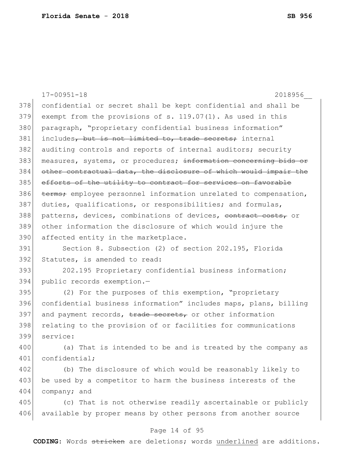|     | $17 - 00951 - 18$<br>2018956                                     |
|-----|------------------------------------------------------------------|
| 378 | confidential or secret shall be kept confidential and shall be   |
| 379 | exempt from the provisions of s. 119.07(1). As used in this      |
| 380 | paragraph, "proprietary confidential business information"       |
| 381 | includes, but is not limited to, trade secrets; internal         |
| 382 | auditing controls and reports of internal auditors; security     |
| 383 | measures, systems, or procedures; information concerning bids or |
| 384 | other contractual data, the disclosure of which would impair the |
| 385 | efforts of the utility to contract for services on favorable     |
| 386 | terms; employee personnel information unrelated to compensation, |
| 387 | duties, qualifications, or responsibilities; and formulas,       |
| 388 | patterns, devices, combinations of devices, contract costs, or   |
| 389 | other information the disclosure of which would injure the       |
| 390 | affected entity in the marketplace.                              |
| 391 | Section 8. Subsection (2) of section 202.195, Florida            |
| 392 | Statutes, is amended to read:                                    |
| 393 | 202.195 Proprietary confidential business information;           |
| 394 | public records exemption.-                                       |
| 395 | (2) For the purposes of this exemption, "proprietary             |
| 396 | confidential business information" includes maps, plans, billing |
| 397 | and payment records, trade secrets, or other information         |
| 398 | relating to the provision of or facilities for communications    |
| 399 | service:                                                         |
| 400 | (a) That is intended to be and is treated by the company as      |
| 401 | confidential;                                                    |
| 402 | (b) The disclosure of which would be reasonably likely to        |
| 403 | be used by a competitor to harm the business interests of the    |
| 404 | company; and                                                     |
| 405 | (c) That is not otherwise readily ascertainable or publicly      |
| 406 | available by proper means by other persons from another source   |
|     | Page 14 of 95                                                    |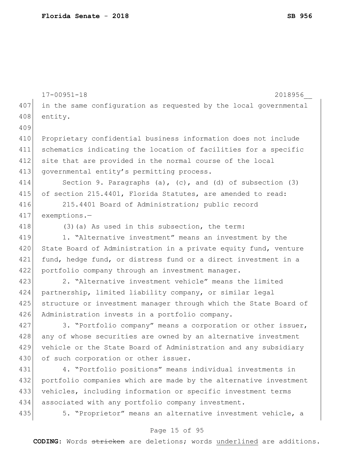|     | $17 - 00951 - 18$<br>2018956                                        |
|-----|---------------------------------------------------------------------|
| 407 | in the same configuration as requested by the local governmental    |
| 408 | entity.                                                             |
| 409 |                                                                     |
| 410 | Proprietary confidential business information does not include      |
| 411 | schematics indicating the location of facilities for a specific     |
| 412 | site that are provided in the normal course of the local            |
| 413 | governmental entity's permitting process.                           |
| 414 | Section 9. Paragraphs $(a)$ , $(c)$ , and $(d)$ of subsection $(3)$ |
| 415 | of section 215.4401, Florida Statutes, are amended to read:         |
| 416 | 215.4401 Board of Administration; public record                     |
| 417 | exemptions.-                                                        |
| 418 | $(3)$ (a) As used in this subsection, the term:                     |
| 419 | 1. "Alternative investment" means an investment by the              |
| 420 | State Board of Administration in a private equity fund, venture     |
| 421 | fund, hedge fund, or distress fund or a direct investment in a      |
| 422 | portfolio company through an investment manager.                    |
| 423 | 2. "Alternative investment vehicle" means the limited               |
| 424 | partnership, limited liability company, or similar legal            |
| 425 | structure or investment manager through which the State Board of    |
| 426 | Administration invests in a portfolio company.                      |
| 427 | 3. "Portfolio company" means a corporation or other issuer,         |
| 428 | any of whose securities are owned by an alternative investment      |
| 429 | vehicle or the State Board of Administration and any subsidiary     |
| 430 | of such corporation or other issuer.                                |
| 431 | 4. "Portfolio positions" means individual investments in            |
| 432 | portfolio companies which are made by the alternative investment    |
| 433 | vehicles, including information or specific investment terms        |
| 434 | associated with any portfolio company investment.                   |
| 435 | 5. "Proprietor" means an alternative investment vehicle, a          |
|     | Page 15 of 95                                                       |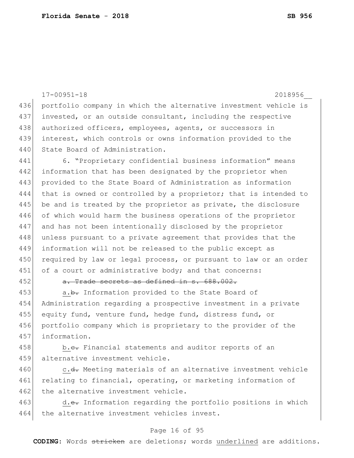17-00951-18 2018956\_\_ 436 portfolio company in which the alternative investment vehicle is 437 invested, or an outside consultant, including the respective 438 authorized officers, employees, agents, or successors in 439 interest, which controls or owns information provided to the 440 State Board of Administration. 441 6. "Proprietary confidential business information" means 442 information that has been designated by the proprietor when 443 provided to the State Board of Administration as information 444 that is owned or controlled by a proprietor; that is intended to 445 be and is treated by the proprietor as private, the disclosure 446 of which would harm the business operations of the proprietor 447 and has not been intentionally disclosed by the proprietor 448 unless pursuant to a private agreement that provides that the 449 information will not be released to the public except as 450 required by law or legal process, or pursuant to law or an order 451 of a court or administrative body; and that concerns: 452 a. Trade secrets as defined in s. 688.002. 453 a.b. Information provided to the State Board of 454 Administration regarding a prospective investment in a private

455 equity fund, venture fund, hedge fund, distress fund, or 456 portfolio company which is proprietary to the provider of the 457 information.

458 b.c. Financial statements and auditor reports of an 459 alternative investment vehicle.

460 c.<del>d.</del> Meeting materials of an alternative investment vehicle 461 relating to financial, operating, or marketing information of 462 the alternative investment vehicle.

463 d.e. Information regarding the portfolio positions in which 464 the alternative investment vehicles invest.

#### Page 16 of 95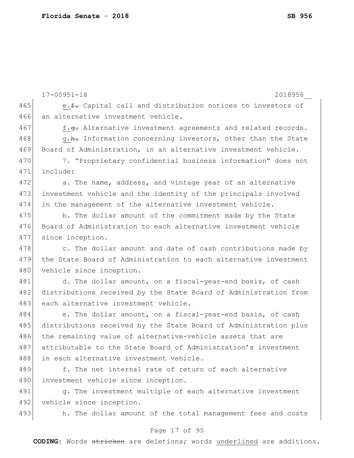|     | $17 - 00951 - 18$<br>2018956                                     |
|-----|------------------------------------------------------------------|
| 465 | e. f. Capital call and distribution notices to investors of      |
| 466 | an alternative investment vehicle.                               |
| 467 | f.g. Alternative investment agreements and related records.      |
| 468 | g.h. Information concerning investors, other than the State      |
| 469 | Board of Administration, in an alternative investment vehicle.   |
| 470 | 7. "Proprietary confidential business information" does not      |
| 471 | include:                                                         |
| 472 | a. The name, address, and vintage year of an alternative         |
| 473 | investment vehicle and the identity of the principals involved   |
| 474 | in the management of the alternative investment vehicle.         |
| 475 | b. The dollar amount of the commitment made by the State         |
| 476 | Board of Administration to each alternative investment vehicle   |
| 477 | since inception.                                                 |
| 478 | c. The dollar amount and date of cash contributions made by      |
| 479 | the State Board of Administration to each alternative investment |
| 480 | vehicle since inception.                                         |
| 481 | d. The dollar amount, on a fiscal-year-end basis, of cash        |
| 482 | distributions received by the State Board of Administration from |
| 483 | each alternative investment vehicle.                             |
| 484 | e. The dollar amount, on a fiscal-year-end basis, of cash        |
| 485 | distributions received by the State Board of Administration plus |
| 486 | the remaining value of alternative-vehicle assets that are       |
| 487 | attributable to the State Board of Administration's investment   |
| 488 | in each alternative investment vehicle.                          |
| 489 | f. The net internal rate of return of each alternative           |
| 490 | investment vehicle since inception.                              |
| 491 | g. The investment multiple of each alternative investment        |
| 492 | vehicle since inception.                                         |
| 493 | h. The dollar amount of the total management fees and costs      |
|     | Page 17 of 95                                                    |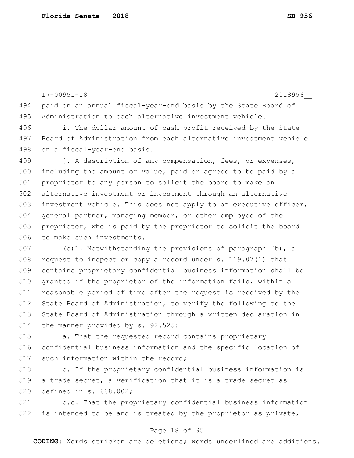```
17-00951-18 2018956__
494 paid on an annual fiscal-year-end basis by the State Board of 
495 Administration to each alternative investment vehicle.
496 i. The dollar amount of cash profit received by the State
497 Board of Administration from each alternative investment vehicle 
498 on a fiscal-year-end basis.
499 i. A description of any compensation, fees, or expenses,
500 including the amount or value, paid or agreed to be paid by a
501 proprietor to any person to solicit the board to make an 
502 alternative investment or investment through an alternative 
503 investment vehicle. This does not apply to an executive officer,
504 general partner, managing member, or other employee of the 
505 proprietor, who is paid by the proprietor to solicit the board
506 to make such investments.
507 (c)1. Notwithstanding the provisions of paragraph (b), a
508 request to inspect or copy a record under s. 119.07(1) that
509 contains proprietary confidential business information shall be 
510 granted if the proprietor of the information fails, within a
511 reasonable period of time after the request is received by the
512 State Board of Administration, to verify the following to the
513 State Board of Administration through a written declaration in
514 the manner provided by s. 92.525:
```
515 **15.** That the requested record contains proprietary 516 confidential business information and the specific location of 517 such information within the record;

518 b. If the proprietary confidential business information is 519 a trade secret, a verification that it is a trade secret as 520 defined in s. 688.002;

521 b.c. That the proprietary confidential business information 522 is intended to be and is treated by the proprietor as private,

#### Page 18 of 95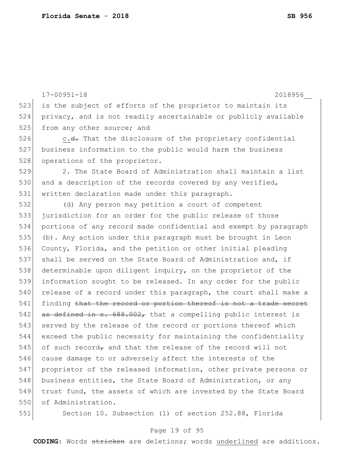```
17-00951-18 2018956__
523 is the subject of efforts of the proprietor to maintain its
524 privacy, and is not readily ascertainable or publicly available 
525 from any other source; and
526 c.<del>d.</del> That the disclosure of the proprietary confidential
527 business information to the public would harm the business 
528 operations of the proprietor.
529 2. The State Board of Administration shall maintain a list 
530 and a description of the records covered by any verified,
531 written declaration made under this paragraph.
532 (d) Any person may petition a court of competent 
533 jurisdiction for an order for the public release of those
534 portions of any record made confidential and exempt by paragraph 
535 (b). Any action under this paragraph must be brought in Leon 
536 County, Florida, and the petition or other initial pleading 
537 shall be served on the State Board of Administration and, if 
538 determinable upon diligent inquiry, on the proprietor of the
539 information sought to be released. In any order for the public 
540 release of a record under this paragraph, the court shall make a
541 finding that the record or portion thereof is not a trade secret
542 as defined in s. 688.002, that a compelling public interest is
543 served by the release of the record or portions thereof which
544 exceed the public necessity for maintaining the confidentiality 
545 of such record, and that the release of the record will not
546 cause damage to or adversely affect the interests of the 
547 proprietor of the released information, other private persons or 
548 business entities, the State Board of Administration, or any
549 trust fund, the assets of which are invested by the State Board 
550 of Administration.
551 Section 10. Subsection (1) of section 252.88, Florida
```
#### Page 19 of 95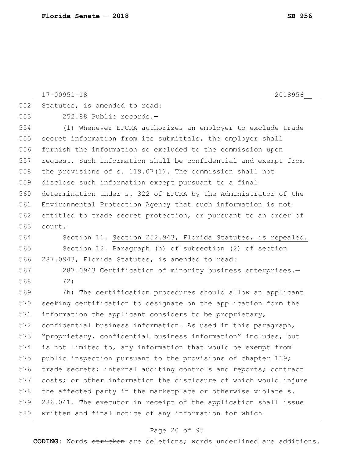|     | $17 - 00951 - 18$<br>2018956                                     |
|-----|------------------------------------------------------------------|
| 552 | Statutes, is amended to read:                                    |
| 553 | 252.88 Public records.-                                          |
| 554 | (1) Whenever EPCRA authorizes an employer to exclude trade       |
| 555 | secret information from its submittals, the employer shall       |
| 556 | furnish the information so excluded to the commission upon       |
| 557 | request. Such information shall be confidential and exempt from  |
| 558 | the provisions of $s. 119.07(1)$ . The commission shall not      |
| 559 | disclose such information except pursuant to a final             |
| 560 | determination under s. 322 of EPCRA by the Administrator of the  |
| 561 | Environmental Protection Agency that such information is not     |
| 562 | entitled to trade secret protection, or pursuant to an order of  |
| 563 | court.                                                           |
| 564 | Section 11. Section 252.943, Florida Statutes, is repealed.      |
| 565 | Section 12. Paragraph (h) of subsection (2) of section           |
| 566 | 287.0943, Florida Statutes, is amended to read:                  |
| 567 | 287.0943 Certification of minority business enterprises.-        |
| 568 | (2)                                                              |
| 569 | (h) The certification procedures should allow an applicant       |
| 570 | seeking certification to designate on the application form the   |
| 571 | information the applicant considers to be proprietary,           |
| 572 | confidential business information. As used in this paragraph,    |
| 573 | "proprietary, confidential business information" includes, but   |
| 574 | is not limited to, any information that would be exempt from     |
| 575 | public inspection pursuant to the provisions of chapter 119;     |
| 576 | trade secrets; internal auditing controls and reports; contract  |
| 577 | eosts; or other information the disclosure of which would injure |
| 578 | the affected party in the marketplace or otherwise violate s.    |
| 579 | 286.041. The executor in receipt of the application shall issue  |
| 580 | written and final notice of any information for which            |
|     |                                                                  |

# Page 20 of 95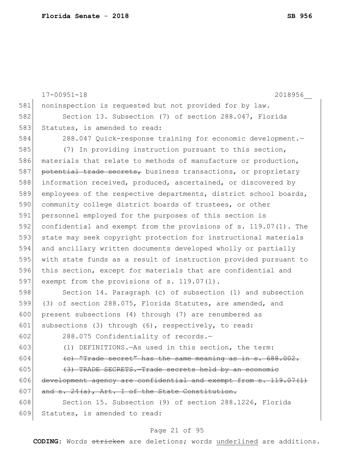17-00951-18 2018956\_\_ 581 noninspection is requested but not provided for by law. 582 Section 13. Subsection (7) of section 288.047, Florida 583 Statutes, is amended to read: 584 288.047 Quick-response training for economic development.— 585 (7) In providing instruction pursuant to this section, 586 materials that relate to methods of manufacture or production, 587 potential trade secrets, business transactions, or proprietary 588 information received, produced, ascertained, or discovered by 589 employees of the respective departments, district school boards, 590 community college district boards of trustees, or other 591 personnel employed for the purposes of this section is 592 confidential and exempt from the provisions of s. 119.07(1). The 593 state may seek copyright protection for instructional materials 594 and ancillary written documents developed wholly or partially 595 with state funds as a result of instruction provided pursuant to 596 this section, except for materials that are confidential and 597 exempt from the provisions of s. 119.07(1). 598 Section 14. Paragraph (c) of subsection (1) and subsection 599 (3) of section 288.075, Florida Statutes, are amended, and 600 present subsections (4) through (7) are renumbered as 601 subsections (3) through (6), respectively, to read: 602 288.075 Confidentiality of records.— 603 (1) DEFINITIONS.—As used in this section, the term: 604  $\left($  c) "Trade secret" has the same meaning as in s. 688.002.  $605$  (3) TRADE SECRETS. Trade secrets held by an economic 606 development agency are confidential and exempt from  $s. 119.07(1)$ 607 and  $s. 24(a)$ , Art. I of the State Constitution. 608 Section 15. Subsection (9) of section 288.1226, Florida 609 Statutes, is amended to read:

#### Page 21 of 95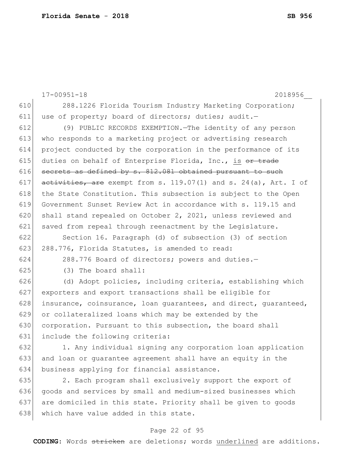|     | $17 - 00951 - 18$<br>2018956                                         |
|-----|----------------------------------------------------------------------|
| 610 | 288.1226 Florida Tourism Industry Marketing Corporation;             |
| 611 | use of property; board of directors; duties; audit.-                 |
| 612 | (9) PUBLIC RECORDS EXEMPTION. The identity of any person             |
| 613 | who responds to a marketing project or advertising research          |
| 614 | project conducted by the corporation in the performance of its       |
| 615 | duties on behalf of Enterprise Florida, Inc., is <del>or trade</del> |
| 616 | secrets as defined by s. 812.081 obtained pursuant to such           |
| 617 | activities, are exempt from s. 119.07(1) and s. 24(a), Art. I of     |
| 618 | the State Constitution. This subsection is subject to the Open       |
| 619 | Government Sunset Review Act in accordance with s. 119.15 and        |
| 620 | shall stand repealed on October 2, 2021, unless reviewed and         |
| 621 | saved from repeal through reenactment by the Legislature.            |
| 622 | Section 16. Paragraph (d) of subsection (3) of section               |
| 623 | 288.776, Florida Statutes, is amended to read:                       |
| 624 | 288.776 Board of directors; powers and duties.-                      |
| 625 | (3) The board shall:                                                 |
| 626 | (d) Adopt policies, including criteria, establishing which           |
| 627 | exporters and export transactions shall be eligible for              |
| 628 | insurance, coinsurance, loan quarantees, and direct, quaranteed,     |
| 629 | or collateralized loans which may be extended by the                 |
| 630 | corporation. Pursuant to this subsection, the board shall            |
| 631 | include the following criteria:                                      |
| 632 | 1. Any individual signing any corporation loan application           |
| 633 | and loan or quarantee agreement shall have an equity in the          |
| 634 | business applying for financial assistance.                          |
| 635 | 2. Each program shall exclusively support the export of              |
| 636 | goods and services by small and medium-sized businesses which        |
| 637 | are domiciled in this state. Priority shall be given to goods        |
| 638 | which have value added in this state.                                |

# Page 22 of 95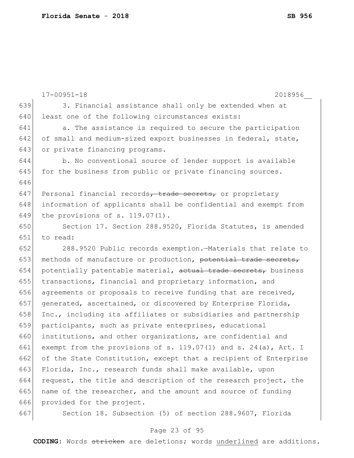|     | $17 - 00951 - 18$<br>2018956                                         |
|-----|----------------------------------------------------------------------|
| 639 | 3. Financial assistance shall only be extended when at               |
| 640 | least one of the following circumstances exists:                     |
| 641 | a. The assistance is required to secure the participation            |
| 642 | of small and medium-sized export businesses in federal, state,       |
| 643 | or private financing programs.                                       |
| 644 | b. No conventional source of lender support is available             |
| 645 | for the business from public or private financing sources.           |
| 646 |                                                                      |
| 647 | Personal financial records, trade secrets, or proprietary            |
| 648 | information of applicants shall be confidential and exempt from      |
| 649 | the provisions of $s. 119.07(1)$ .                                   |
| 650 | Section 17. Section 288.9520, Florida Statutes, is amended           |
| 651 | to read:                                                             |
| 652 | 288.9520 Public records exemption. - Materials that relate to        |
| 653 | methods of manufacture or production, potential trade secrets,       |
| 654 | potentially patentable material, actual trade secrets, business      |
| 655 | transactions, financial and proprietary information, and             |
| 656 | agreements or proposals to receive funding that are received,        |
| 657 | generated, ascertained, or discovered by Enterprise Florida,         |
| 658 | Inc., including its affiliates or subsidiaries and partnership       |
| 659 | participants, such as private enterprises, educational               |
| 660 | institutions, and other organizations, are confidential and          |
| 661 | exempt from the provisions of s. $119.07(1)$ and s. $24(a)$ , Art. I |
| 662 | of the State Constitution, except that a recipient of Enterprise     |
| 663 | Florida, Inc., research funds shall make available, upon             |
| 664 | request, the title and description of the research project, the      |
| 665 | name of the researcher, and the amount and source of funding         |
| 666 | provided for the project.                                            |
| 667 | Section 18. Subsection (5) of section 288.9607, Florida              |

# Page 23 of 95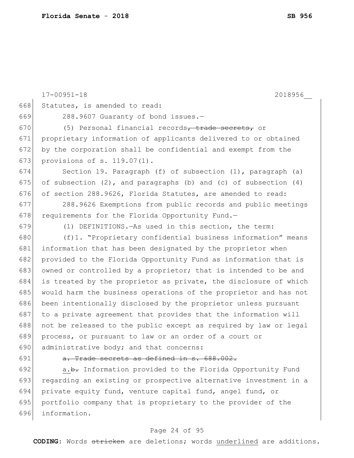|     | $17 - 00951 - 18$<br>2018956                                             |
|-----|--------------------------------------------------------------------------|
| 668 | Statutes, is amended to read:                                            |
| 669 | 288.9607 Guaranty of bond issues.-                                       |
| 670 | (5) Personal financial records, trade secrets, or                        |
| 671 | proprietary information of applicants delivered to or obtained           |
| 672 | by the corporation shall be confidential and exempt from the             |
| 673 | provisions of s. 119.07(1).                                              |
| 674 | Section 19. Paragraph (f) of subsection (1), paragraph (a)               |
| 675 | of subsection $(2)$ , and paragraphs $(b)$ and $(c)$ of subsection $(4)$ |
| 676 | of section 288.9626, Florida Statutes, are amended to read:              |
| 677 | 288.9626 Exemptions from public records and public meetings              |
| 678 | requirements for the Florida Opportunity Fund.-                          |
| 679 | (1) DEFINITIONS. - As used in this section, the term:                    |
| 680 | (f)1. "Proprietary confidential business information" means              |
| 681 | information that has been designated by the proprietor when              |
| 682 | provided to the Florida Opportunity Fund as information that is          |
| 683 | owned or controlled by a proprietor; that is intended to be and          |
| 684 | is treated by the proprietor as private, the disclosure of which         |
| 685 | would harm the business operations of the proprietor and has not         |
| 686 | been intentionally disclosed by the proprietor unless pursuant           |
| 687 | to a private agreement that provides that the information will           |
| 688 | not be released to the public except as required by law or legal         |
| 689 | process, or pursuant to law or an order of a court or                    |
| 690 | administrative body; and that concerns:                                  |
| 691 | a. Trade secrets as defined in s. 688.002.                               |
| 692 | a.b. Information provided to the Florida Opportunity Fund                |
| 693 | regarding an existing or prospective alternative investment in a         |
|     |                                                                          |

694 private equity fund, venture capital fund, angel fund, or 695 portfolio company that is proprietary to the provider of the 696 information.

#### Page 24 of 95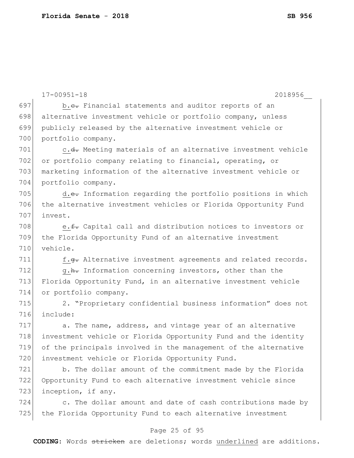|     | $17 - 00951 - 18$<br>2018956                                    |
|-----|-----------------------------------------------------------------|
| 697 | b.e. Financial statements and auditor reports of an             |
| 698 | alternative investment vehicle or portfolio company, unless     |
| 699 | publicly released by the alternative investment vehicle or      |
| 700 | portfolio company.                                              |
| 701 | c.d. Meeting materials of an alternative investment vehicle     |
| 702 | or portfolio company relating to financial, operating, or       |
| 703 | marketing information of the alternative investment vehicle or  |
| 704 | portfolio company.                                              |
| 705 | d.e. Information regarding the portfolio positions in which     |
| 706 | the alternative investment vehicles or Florida Opportunity Fund |
| 707 | invest.                                                         |
| 708 | e. f. Capital call and distribution notices to investors or     |
| 709 | the Florida Opportunity Fund of an alternative investment       |
| 710 | vehicle.                                                        |
| 711 | f.g. Alternative investment agreements and related records.     |
| 712 | g.h. Information concerning investors, other than the           |
| 713 | Florida Opportunity Fund, in an alternative investment vehicle  |
| 714 | or portfolio company.                                           |
| 715 | 2. "Proprietary confidential business information" does not     |
| 716 | include:                                                        |
| 717 | a. The name, address, and vintage year of an alternative        |
| 718 | investment vehicle or Florida Opportunity Fund and the identity |
| 719 | of the principals involved in the management of the alternative |
| 720 | investment vehicle or Florida Opportunity Fund.                 |
| 721 | b. The dollar amount of the commitment made by the Florida      |
| 722 | Opportunity Fund to each alternative investment vehicle since   |
| 723 | inception, if any.                                              |
| 724 | c. The dollar amount and date of cash contributions made by     |
| 725 | the Florida Opportunity Fund to each alternative investment     |
|     | Page 25 of 95                                                   |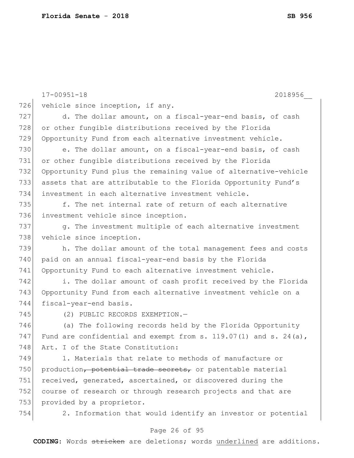| 726 | $17 - 00951 - 18$<br>2018956                                          |
|-----|-----------------------------------------------------------------------|
|     | vehicle since inception, if any.                                      |
| 727 | d. The dollar amount, on a fiscal-year-end basis, of cash             |
| 728 | or other fungible distributions received by the Florida               |
| 729 | Opportunity Fund from each alternative investment vehicle.            |
| 730 | e. The dollar amount, on a fiscal-year-end basis, of cash             |
| 731 | or other fungible distributions received by the Florida               |
| 732 | Opportunity Fund plus the remaining value of alternative-vehicle      |
| 733 | assets that are attributable to the Florida Opportunity Fund's        |
| 734 | investment in each alternative investment vehicle.                    |
| 735 | f. The net internal rate of return of each alternative                |
| 736 | investment vehicle since inception.                                   |
| 737 | g. The investment multiple of each alternative investment             |
| 738 | vehicle since inception.                                              |
| 739 | h. The dollar amount of the total management fees and costs           |
| 740 | paid on an annual fiscal-year-end basis by the Florida                |
| 741 | Opportunity Fund to each alternative investment vehicle.              |
| 742 | i. The dollar amount of cash profit received by the Florida           |
| 743 | Opportunity Fund from each alternative investment vehicle on a        |
| 744 | fiscal-year-end basis.                                                |
| 745 | (2) PUBLIC RECORDS EXEMPTION.-                                        |
| 746 | (a) The following records held by the Florida Opportunity             |
| 747 | Fund are confidential and exempt from s. $119.07(1)$ and s. $24(a)$ , |
| 748 | Art. I of the State Constitution:                                     |
| 749 | 1. Materials that relate to methods of manufacture or                 |
| 750 | production, potential trade secrets, or patentable material           |
| 751 | received, generated, ascertained, or discovered during the            |
| 752 | course of research or through research projects and that are          |
| 753 | provided by a proprietor.                                             |
| 754 | 2. Information that would identify an investor or potential           |

# Page 26 of 95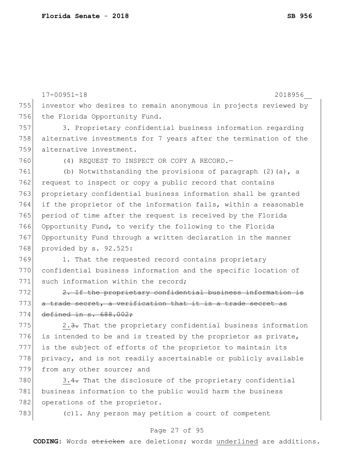|     | $17 - 00951 - 18$<br>2018956                                     |
|-----|------------------------------------------------------------------|
| 755 | investor who desires to remain anonymous in projects reviewed by |
| 756 | the Florida Opportunity Fund.                                    |
| 757 | 3. Proprietary confidential business information regarding       |
| 758 | alternative investments for 7 years after the termination of the |
| 759 | alternative investment.                                          |
| 760 | (4) REQUEST TO INSPECT OR COPY A RECORD. -                       |
| 761 | (b) Notwithstanding the provisions of paragraph $(2)$ (a), a     |
| 762 | request to inspect or copy a public record that contains         |
| 763 | proprietary confidential business information shall be granted   |
| 764 | if the proprietor of the information fails, within a reasonable  |
| 765 | period of time after the request is received by the Florida      |
| 766 | Opportunity Fund, to verify the following to the Florida         |
| 767 | Opportunity Fund through a written declaration in the manner     |
| 768 | provided by s. 92.525:                                           |
| 769 | 1. That the requested record contains proprietary                |
| 770 | confidential business information and the specific location of   |
| 771 | such information within the record;                              |
| 772 | 2. If the proprietary confidential business information is       |
| 773 | a trade secret, a verification that it is a trade secret as      |
| 774 | defined in $s.688.002$ ;                                         |
| 775 | 2.3. That the proprietary confidential business information      |
| 776 | is intended to be and is treated by the proprietor as private,   |
| 777 | is the subject of efforts of the proprietor to maintain its      |
| 778 | privacy, and is not readily ascertainable or publicly available  |
| 779 | from any other source; and                                       |
| 780 | 3.4. That the disclosure of the proprietary confidential         |
| 781 | business information to the public would harm the business       |
| 782 | operations of the proprietor.                                    |
| 783 | (c) 1. Any person may petition a court of competent              |

# Page 27 of 95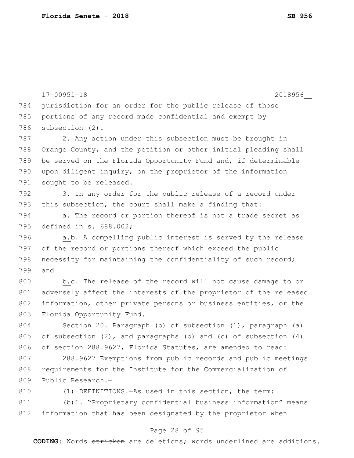17-00951-18 2018956\_\_ Page 28 of 95 784 jurisdiction for an order for the public release of those 785 portions of any record made confidential and exempt by 786 subsection (2). 787 2. Any action under this subsection must be brought in 788 Orange County, and the petition or other initial pleading shall 789 be served on the Florida Opportunity Fund and, if determinable 790 upon diligent inquiry, on the proprietor of the information 791 sought to be released. 792 3. In any order for the public release of a record under 793 this subsection, the court shall make a finding that:  $794$  a. The record or portion thereof is not a trade secret as 795 defined in s. 688.002; 796  $a.b.$  A compelling public interest is served by the release 797 of the record or portions thereof which exceed the public 798 necessity for maintaining the confidentiality of such record; 799 and 800 b.c. The release of the record will not cause damage to or 801 adversely affect the interests of the proprietor of the released 802 information, other private persons or business entities, or the 803 Florida Opportunity Fund. 804 Section 20. Paragraph (b) of subsection (1), paragraph (a) 805 of subsection  $(2)$ , and paragraphs  $(b)$  and  $(c)$  of subsection  $(4)$ 806 of section 288.9627, Florida Statutes, are amended to read: 807 288.9627 Exemptions from public records and public meetings 808 requirements for the Institute for the Commercialization of 809 Public Research.-810 (1) DEFINITIONS.—As used in this section, the term: 811 (b)1. "Proprietary confidential business information" means 812 information that has been designated by the proprietor when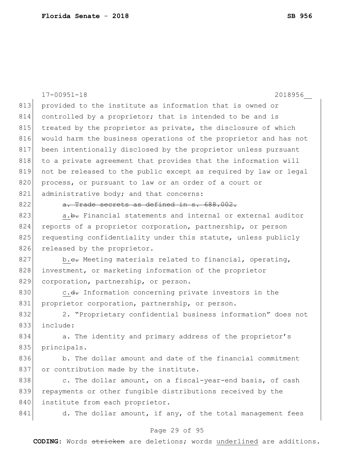|     | $17 - 00951 - 18$<br>2018956                                     |
|-----|------------------------------------------------------------------|
| 813 | provided to the institute as information that is owned or        |
| 814 | controlled by a proprietor; that is intended to be and is        |
| 815 | treated by the proprietor as private, the disclosure of which    |
| 816 | would harm the business operations of the proprietor and has not |
| 817 | been intentionally disclosed by the proprietor unless pursuant   |
| 818 | to a private agreement that provides that the information will   |
| 819 | not be released to the public except as required by law or legal |
| 820 | process, or pursuant to law or an order of a court or            |
| 821 | administrative body; and that concerns:                          |
| 822 | a. Trade secrets as defined in s. 688.002.                       |
| 823 | a.b. Financial statements and internal or external auditor       |
| 824 | reports of a proprietor corporation, partnership, or person      |
| 825 | requesting confidentiality under this statute, unless publicly   |
| 826 | released by the proprietor.                                      |
| 827 | b.e. Meeting materials related to financial, operating,          |
| 828 | investment, or marketing information of the proprietor           |
| 829 | corporation, partnership, or person.                             |
| 830 | c.d. Information concerning private investors in the             |
| 831 | proprietor corporation, partnership, or person.                  |
| 832 | 2. "Proprietary confidential business information" does not      |
| 833 | include:                                                         |
| 834 | a. The identity and primary address of the proprietor's          |
| 835 | principals.                                                      |
| 836 | b. The dollar amount and date of the financial commitment        |
| 837 | or contribution made by the institute.                           |
| 838 | c. The dollar amount, on a fiscal-year-end basis, of cash        |
| 839 | repayments or other fungible distributions received by the       |
| 840 | institute from each proprietor.                                  |
| 841 | d. The dollar amount, if any, of the total management fees       |
|     | Page 29 of 95                                                    |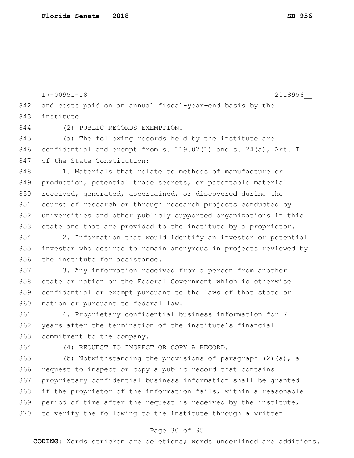17-00951-18 2018956\_\_ 842 and costs paid on an annual fiscal-year-end basis by the 843 institute. 844 (2) PUBLIC RECORDS EXEMPTION.-845 (a) The following records held by the institute are 846 confidential and exempt from s. 119.07(1) and s. 24(a), Art. I 847 of the State Constitution: 848 1. Materials that relate to methods of manufacture or 849 production, potential trade secrets, or patentable material 850 received, generated, ascertained, or discovered during the 851 course of research or through research projects conducted by 852 universities and other publicly supported organizations in this 853 state and that are provided to the institute by a proprietor. 854 2. Information that would identify an investor or potential 855 investor who desires to remain anonymous in projects reviewed by 856 the institute for assistance. 857 3. Any information received from a person from another 858 state or nation or the Federal Government which is otherwise 859 confidential or exempt pursuant to the laws of that state or 860 nation or pursuant to federal law. 861 4. Proprietary confidential business information for 7 862 years after the termination of the institute's financial 863 commitment to the company. 864 (4) REQUEST TO INSPECT OR COPY A RECORD. 865 (b) Notwithstanding the provisions of paragraph  $(2)$  (a), a 866 request to inspect or copy a public record that contains 867 proprietary confidential business information shall be granted 868 if the proprietor of the information fails, within a reasonable 869 period of time after the request is received by the institute, 870 to verify the following to the institute through a written

#### Page 30 of 95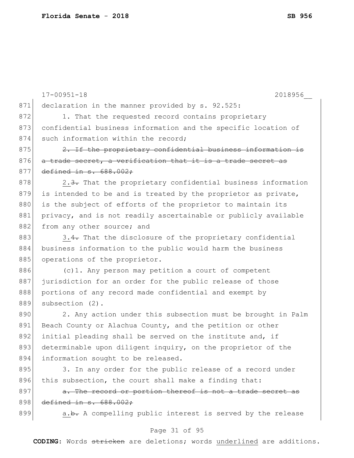|     | $17 - 00951 - 18$<br>2018956                                    |
|-----|-----------------------------------------------------------------|
| 871 | declaration in the manner provided by s. 92.525:                |
| 872 | 1. That the requested record contains proprietary               |
| 873 | confidential business information and the specific location of  |
| 874 | such information within the record;                             |
| 875 | 2. If the proprietary confidential business information is      |
| 876 | a trade secret, a verification that it is a trade secret as     |
| 877 | defined in $s.688.002;$                                         |
| 878 | 2.3. That the proprietary confidential business information     |
| 879 | is intended to be and is treated by the proprietor as private,  |
| 880 | is the subject of efforts of the proprietor to maintain its     |
| 881 | privacy, and is not readily ascertainable or publicly available |
| 882 | from any other source; and                                      |
| 883 | 3.4. That the disclosure of the proprietary confidential        |
| 884 | business information to the public would harm the business      |
| 885 | operations of the proprietor.                                   |
| 886 | (c) 1. Any person may petition a court of competent             |
| 887 | jurisdiction for an order for the public release of those       |
| 888 | portions of any record made confidential and exempt by          |
| 889 | subsection (2).                                                 |
| 890 | 2. Any action under this subsection must be brought in Palm     |
| 891 | Beach County or Alachua County, and the petition or other       |
| 892 | initial pleading shall be served on the institute and, if       |
| 893 | determinable upon diligent inquiry, on the proprietor of the    |
| 894 | information sought to be released.                              |
| 895 | 3. In any order for the public release of a record under        |
| 896 | this subsection, the court shall make a finding that:           |
| 897 | a. The record or portion thereof is not a trade secret as       |
| 898 | defined in s. 688.002;                                          |
| 899 | a.b. A compelling public interest is served by the release      |
|     |                                                                 |

# Page 31 of 95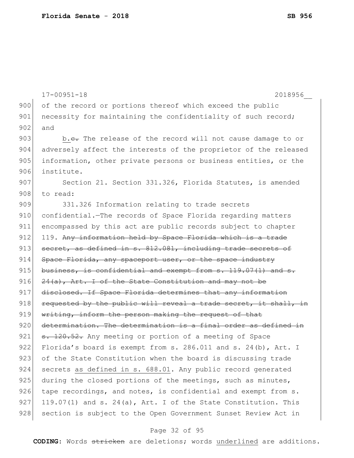```
17-00951-18 2018956__
900 of the record or portions thereof which exceed the public
901 necessity for maintaining the confidentiality of such record;
902 and
903 b.<del>c.</del> The release of the record will not cause damage to or
904 adversely affect the interests of the proprietor of the released
905 information, other private persons or business entities, or the
906 institute.
907 Section 21. Section 331.326, Florida Statutes, is amended
908 to read:
909 331.326 Information relating to trade secrets 
910 confidential.—The records of Space Florida regarding matters
911 encompassed by this act are public records subject to chapter 
912 119. Any information held by Space Florida which is a trade
913 secret, as defined in s. 812.081, including trade secrets of
914 Space Florida, any spaceport user, or the space industry
915 business, is confidential and exempt from s. 119.07(1) and s.916 24(a), Art. I of the State Constitution and may not be
917 disclosed. If Space Florida determines that any information
918 requested by the public will reveal a trade secret, it shall, in
919 writing, inform the person making the request of that
920 determination. The determination is a final order as defined in
921 s. 120.52. Any meeting or portion of a meeting of Space
922 Florida's board is exempt from s. 286.011 and s. 24(b), Art. I 
923 of the State Constitution when the board is discussing trade
924 secrets as defined in s. 688.01. Any public record generated
925 during the closed portions of the meetings, such as minutes,
926 tape recordings, and notes, is confidential and exempt from s.
927 119.07(1) and s. 24(a), Art. I of the State Constitution. This
928 section is subject to the Open Government Sunset Review Act in
```
#### Page 32 of 95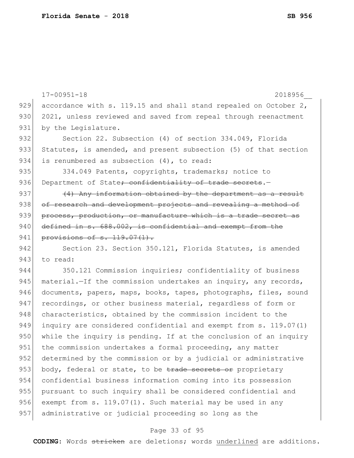|     | $17 - 00951 - 18$<br>2018956                                      |
|-----|-------------------------------------------------------------------|
| 929 | accordance with s. 119.15 and shall stand repealed on October 2,  |
| 930 | 2021, unless reviewed and saved from repeal through reenactment   |
| 931 | by the Legislature.                                               |
| 932 | Section 22. Subsection (4) of section 334.049, Florida            |
| 933 | Statutes, is amended, and present subsection (5) of that section  |
| 934 | is renumbered as subsection (4), to read:                         |
| 935 | 334.049 Patents, copyrights, trademarks; notice to                |
| 936 | Department of State; confidentiality of trade secrets.-           |
| 937 | (4) Any information obtained by the department as a result        |
| 938 | of research and development projects and revealing a method of    |
| 939 | process, production, or manufacture which is a trade secret as    |
| 940 | defined in s. 688.002, is confidential and exempt from the        |
| 941 | provisions of $s. 119.07(1)$ .                                    |
| 942 | Section 23. Section 350.121, Florida Statutes, is amended         |
| 943 | to read:                                                          |
| 944 | 350.121 Commission inquiries; confidentiality of business         |
| 945 | material. - If the commission undertakes an inquiry, any records, |
| 946 | documents, papers, maps, books, tapes, photographs, files, sound  |
| 947 | recordings, or other business material, regardless of form or     |
| 948 | characteristics, obtained by the commission incident to the       |
| 949 | inquiry are considered confidential and exempt from s. 119.07(1)  |
| 950 | while the inquiry is pending. If at the conclusion of an inquiry  |
| 951 | the commission undertakes a formal proceeding, any matter         |
| 952 | determined by the commission or by a judicial or administrative   |
| 953 | body, federal or state, to be trade secrets or proprietary        |
| 954 | confidential business information coming into its possession      |
| 955 | pursuant to such inquiry shall be considered confidential and     |
| 956 | exempt from s. 119.07(1). Such material may be used in any        |
| 957 | administrative or judicial proceeding so long as the              |
|     |                                                                   |

# Page 33 of 95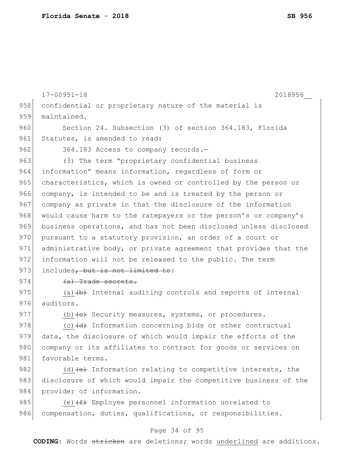17-00951-18 2018956\_\_ 958 confidential or proprietary nature of the material is 959 maintained. 960 Section 24. Subsection (3) of section 364.183, Florida 961 Statutes, is amended to read: 962 364.183 Access to company records. 963 (3) The term "proprietary confidential business 964 information" means information, regardless of form or 965 characteristics, which is owned or controlled by the person or 966 company, is intended to be and is treated by the person or 967 company as private in that the disclosure of the information 968 would cause harm to the ratepayers or the person's or company's 969 business operations, and has not been disclosed unless disclosed 970 pursuant to a statutory provision, an order of a court or 971 administrative body, or private agreement that provides that the 972 information will not be released to the public. The term 973 includes, but is not limited to:  $974$  (a) Trade secrets. 975 (a)  $\left(\frac{b}{b}\right)$  Internal auditing controls and reports of internal 976 auditors. 977 (b) (e) Security measures, systems, or procedures. 978  $(c)$   $(d)$  Information concerning bids or other contractual 979 data, the disclosure of which would impair the efforts of the 980 company or its affiliates to contract for goods or services on 981 favorable terms. 982 (d)  $\left\{ e \right\}$  Information relating to competitive interests, the 983 disclosure of which would impair the competitive business of the 984 provider of information. 985 (e) $(f)$  Employee personnel information unrelated to 986 compensation, duties, qualifications, or responsibilities.

#### Page 34 of 95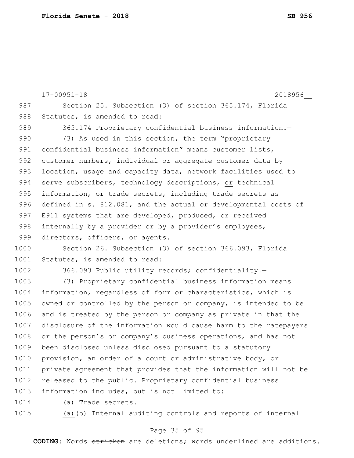17-00951-18 2018956\_\_ 987 Section 25. Subsection (3) of section 365.174, Florida 988 Statutes, is amended to read: 989 365.174 Proprietary confidential business information.-990 (3) As used in this section, the term "proprietary 991 confidential business information" means customer lists, 992 customer numbers, individual or aggregate customer data by 993 location, usage and capacity data, network facilities used to 994 serve subscribers, technology descriptions, or technical 995 information, or trade secrets, including trade secrets as 996 defined in s. 812.081, and the actual or developmental costs of 997 E911 systems that are developed, produced, or received 998 internally by a provider or by a provider's employees, 999 directors, officers, or agents. 1000 Section 26. Subsection (3) of section 366.093, Florida 1001 Statutes, is amended to read: 1002 366.093 Public utility records; confidentiality. 1003 (3) Proprietary confidential business information means 1004 information, regardless of form or characteristics, which is 1005 owned or controlled by the person or company, is intended to be 1006 and is treated by the person or company as private in that the 1007 disclosure of the information would cause harm to the ratepayers 1008 or the person's or company's business operations, and has not 1009 been disclosed unless disclosed pursuant to a statutory 1010 provision, an order of a court or administrative body, or 1011 private agreement that provides that the information will not be 1012 released to the public. Proprietary confidential business 1013 information includes, but is not limited to: 1014 (a) Trade secrets. 1015  $(a)$   $(b)$  Internal auditing controls and reports of internal

#### Page 35 of 95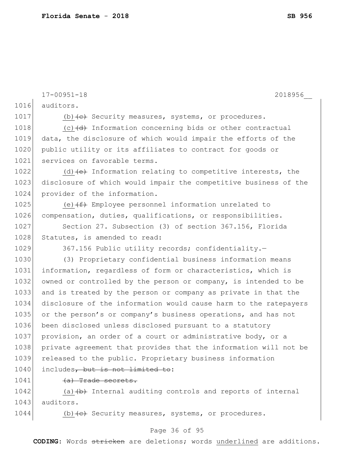17-00951-18 2018956\_\_ 1016 auditors. 1017 (b) $\left\langle e\right\rangle$  Security measures, systems, or procedures. 1018  $(c)$  (c)  $(d)$  Information concerning bids or other contractual 1019 data, the disclosure of which would impair the efforts of the 1020 public utility or its affiliates to contract for goods or 1021 services on favorable terms. 1022 (d)  $\left\{ \left\{ e\right\} \right\}$  Information relating to competitive interests, the 1023 disclosure of which would impair the competitive business of the 1024 provider of the information. 1025 (e) $(f)$  Employee personnel information unrelated to 1026 compensation, duties, qualifications, or responsibilities. 1027 Section 27. Subsection (3) of section 367.156, Florida 1028 Statutes, is amended to read: 1029 367.156 Public utility records; confidentiality. 1030 (3) Proprietary confidential business information means 1031 information, regardless of form or characteristics, which is 1032 owned or controlled by the person or company, is intended to be 1033 and is treated by the person or company as private in that the 1034 disclosure of the information would cause harm to the ratepayers 1035 or the person's or company's business operations, and has not 1036 been disclosed unless disclosed pursuant to a statutory 1037 provision, an order of a court or administrative body, or a 1038 private agreement that provides that the information will not be 1039 released to the public. Proprietary business information 1040 includes, but is not limited to: 1041 (a) Trade secrets.

1042 (a) $\left\{\rightarrow\right\}$  Internal auditing controls and reports of internal 1043 auditors.

1044 (b)  $\left\langle e\right\rangle$  Security measures, systems, or procedures.

#### Page 36 of 95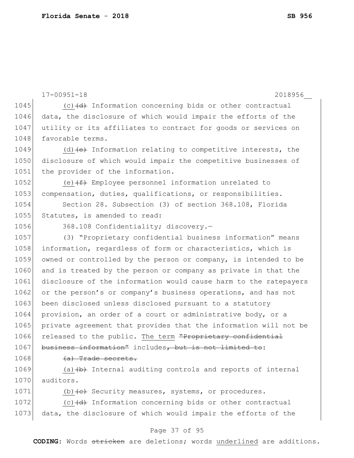```
17-00951-18 2018956__
1045 (c) (c) (d) Information concerning bids or other contractual
1046 data, the disclosure of which would impair the efforts of the
1047 utility or its affiliates to contract for goods or services on
1048 favorable terms.
1049 (d)\left\{ e\right\} Information relating to competitive interests, the
1050 disclosure of which would impair the competitive businesses of 
1051 the provider of the information.
1052 (e)(f+ Employee personnel information unrelated to
1053 compensation, duties, qualifications, or responsibilities.
1054 Section 28. Subsection (3) of section 368.108, Florida 
1055 Statutes, is amended to read:
1056 368.108 Confidentiality; discovery.
1057 (3) "Proprietary confidential business information" means 
1058 information, regardless of form or characteristics, which is
1059 owned or controlled by the person or company, is intended to be
1060 and is treated by the person or company as private in that the
1061 disclosure of the information would cause harm to the ratepayers 
1062 or the person's or company's business operations, and has not
1063 been disclosed unless disclosed pursuant to a statutory
1064 provision, an order of a court or administrative body, or a
1065 private agreement that provides that the information will not be
1066 released to the public. The term "Proprictary confidential
1067 business information" includes, but is not limited to:
1068 (a) Trade secrets.
1069 \vert (a) \vert internal auditing controls and reports of internal
1070 auditors.
1071 (b)\left\langle e\right\rangle Security measures, systems, or procedures.
1072 (c)(d) Information concerning bids or other contractual
```
1073 data, the disclosure of which would impair the efforts of the

#### Page 37 of 95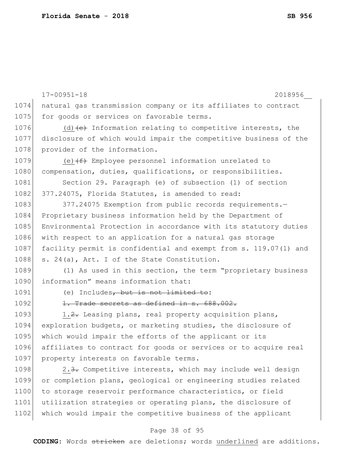|      | $17 - 00951 - 18$<br>2018956                                                     |
|------|----------------------------------------------------------------------------------|
| 1074 | natural gas transmission company or its affiliates to contract                   |
| 1075 | for goods or services on favorable terms.                                        |
| 1076 | (d) $\left\{\text{e}\right\}$ Information relating to competitive interests, the |
| 1077 | disclosure of which would impair the competitive business of the                 |
| 1078 | provider of the information.                                                     |
| 1079 | (e) $(f)$ Employee personnel information unrelated to                            |
| 1080 | compensation, duties, qualifications, or responsibilities.                       |
| 1081 | Section 29. Paragraph (e) of subsection (1) of section                           |
| 1082 | 377.24075, Florida Statutes, is amended to read:                                 |
| 1083 | 377.24075 Exemption from public records requirements.-                           |
| 1084 | Proprietary business information held by the Department of                       |
| 1085 | Environmental Protection in accordance with its statutory duties                 |
| 1086 | with respect to an application for a natural gas storage                         |
| 1087 | facility permit is confidential and exempt from s. 119.07(1) and                 |
| 1088 | s. 24(a), Art. I of the State Constitution.                                      |
| 1089 | (1) As used in this section, the term "proprietary business                      |
| 1090 | information" means information that:                                             |
| 1091 | (e) Includes, but is not limited to:                                             |
| 1092 | 1. Trade secrets as defined in s. 688.002.                                       |
| 1093 | 1.2. Leasing plans, real property acquisition plans,                             |
| 1094 | exploration budgets, or marketing studies, the disclosure of                     |
| 1095 | which would impair the efforts of the applicant or its                           |
| 1096 | affiliates to contract for goods or services or to acquire real                  |
| 1097 | property interests on favorable terms.                                           |
| 1098 | 2.3. Competitive interests, which may include well design                        |
| 1099 | or completion plans, geological or engineering studies related                   |
| 1100 | to storage reservoir performance characteristics, or field                       |
| 1101 | utilization strategies or operating plans, the disclosure of                     |
| 1102 | which would impair the competitive business of the applicant                     |

# Page 38 of 95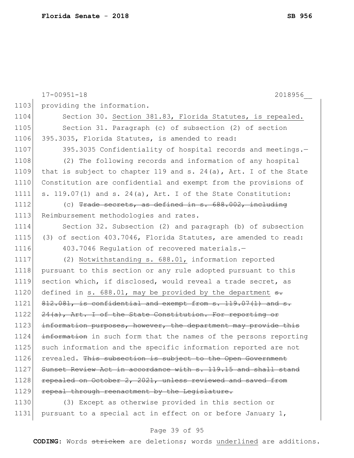17-00951-18 2018956\_\_ 1103 providing the information. 1104 Section 30. Section 381.83, Florida Statutes, is repealed. 1105 Section 31. Paragraph (c) of subsection (2) of section 1106 395.3035, Florida Statutes, is amended to read: 1107 395.3035 Confidentiality of hospital records and meetings. 1108 (2) The following records and information of any hospital 1109 that is subject to chapter 119 and s. 24(a), Art. I of the State 1110 Constitution are confidential and exempt from the provisions of 1111 s. 119.07(1) and s. 24(a), Art. I of the State Constitution: 1112 (c) Trade secrets, as defined in s. 688.002, including 1113 Reimbursement methodologies and rates. 1114 Section 32. Subsection (2) and paragraph (b) of subsection 1115 (3) of section 403.7046, Florida Statutes, are amended to read: 1116 403.7046 Regulation of recovered materials. 1117 (2) Notwithstanding s. 688.01, information reported 1118 | pursuant to this section or any rule adopted pursuant to this 1119 section which, if disclosed, would reveal a trade secret, as 1120 defined in s. 688.01, may be provided by the department  $\frac{1}{100}$ 1121 812.081, is confidential and exempt from s. 119.07(1) and s. 1122 24(a), Art. I of the State Constitution. For reporting or 1123 information purposes, however, the department may provide this 1124 information in such form that the names of the persons reporting 1125 such information and the specific information reported are not 1126 revealed. This subsection is subject to the Open Government 1127 Sunset Review Act in accordance with s. 119.15 and shall stand 1128 repealed on October 2, 2021, unless reviewed and saved from 1129 repeal through reenactment by the Legislature. 1130 (3) Except as otherwise provided in this section or 1131 pursuant to a special act in effect on or before January 1,

#### Page 39 of 95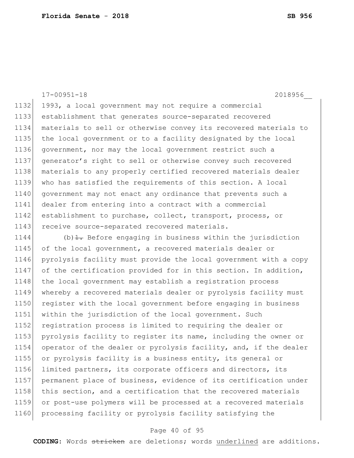17-00951-18 2018956\_\_ 1132 1993, a local government may not require a commercial 1133 establishment that generates source-separated recovered 1134 materials to sell or otherwise convey its recovered materials to 1135 the local government or to a facility designated by the local 1136 government, nor may the local government restrict such a 1137 generator's right to sell or otherwise convey such recovered 1138 | materials to any properly certified recovered materials dealer 1139 who has satisfied the requirements of this section. A local 1140 government may not enact any ordinance that prevents such a 1141 dealer from entering into a contract with a commercial 1142 establishment to purchase, collect, transport, process, or 1143 receive source-separated recovered materials. 1144 (b) $\pm$ . Before engaging in business within the jurisdiction 1145 of the local government, a recovered materials dealer or 1146 pyrolysis facility must provide the local government with a copy 1147 of the certification provided for in this section. In addition, 1148 the local government may establish a registration process 1149 whereby a recovered materials dealer or pyrolysis facility must 1150 register with the local government before engaging in business 1151 within the jurisdiction of the local government. Such 1152 registration process is limited to requiring the dealer or 1153 pyrolysis facility to register its name, including the owner or 1154 operator of the dealer or pyrolysis facility, and, if the dealer 1155 or pyrolysis facility is a business entity, its general or 1156 limited partners, its corporate officers and directors, its 1157 permanent place of business, evidence of its certification under 1158 this section, and a certification that the recovered materials 1159 or post-use polymers will be processed at a recovered materials

### 1160 processing facility or pyrolysis facility satisfying the

#### Page 40 of 95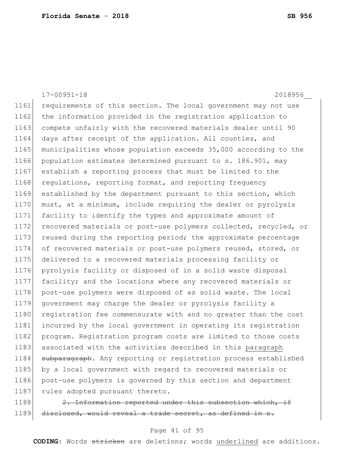|      | $17 - 00951 - 18$<br>2018956                                     |
|------|------------------------------------------------------------------|
| 1161 | requirements of this section. The local government may not use   |
| 1162 | the information provided in the registration application to      |
| 1163 | compete unfairly with the recovered materials dealer until 90    |
| 1164 | days after receipt of the application. All counties, and         |
| 1165 | municipalities whose population exceeds 35,000 according to the  |
| 1166 | population estimates determined pursuant to s. 186.901, may      |
| 1167 | establish a reporting process that must be limited to the        |
| 1168 | regulations, reporting format, and reporting frequency           |
| 1169 | established by the department pursuant to this section, which    |
| 1170 | must, at a minimum, include requiring the dealer or pyrolysis    |
| 1171 | facility to identify the types and approximate amount of         |
| 1172 | recovered materials or post-use polymers collected, recycled, or |
| 1173 | reused during the reporting period; the approximate percentage   |
| 1174 | of recovered materials or post-use polymers reused, stored, or   |
| 1175 | delivered to a recovered materials processing facility or        |
| 1176 | pyrolysis facility or disposed of in a solid waste disposal      |
| 1177 | facility; and the locations where any recovered materials or     |
| 1178 | post-use polymers were disposed of as solid waste. The local     |
| 1179 | government may charge the dealer or pyrolysis facility a         |
| 1180 | registration fee commensurate with and no greater than the cost  |
| 1181 | incurred by the local government in operating its registration   |
| 1182 | program. Registration program costs are limited to those costs   |
| 1183 | associated with the activities described in this paragraph       |
| 1184 | subparagraph. Any reporting or registration process established  |
| 1185 | by a local government with regard to recovered materials or      |
| 1186 | post-use polymers is governed by this section and department     |
| 1187 | rules adopted pursuant thereto.                                  |
| 1188 | 2. Information reported under this subsection which, if          |

1189 disclosed, would reveal a trade secret, as defined in s.

### Page 41 of 95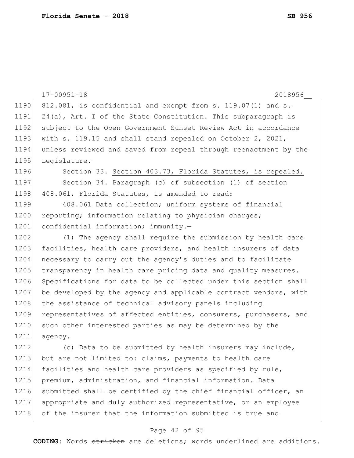|      | $17 - 00951 - 18$<br>2018956                                     |
|------|------------------------------------------------------------------|
| 1190 | $912.081$ , is confidential and exempt from s. 119.07(1) and s.  |
| 1191 | $24(a)$ , Art. I of the State Constitution. This subparagraph is |
| 1192 | subject to the Open Government Sunset Review Act in accordance   |
| 1193 | with $s. 119.15$ and shall stand repealed on October 2, 2021,    |
| 1194 | unless reviewed and saved from repeal through reenactment by the |
| 1195 | Legislature.                                                     |
| 1196 | Section 33. Section 403.73, Florida Statutes, is repealed.       |
| 1197 | Section 34. Paragraph (c) of subsection (1) of section           |
| 1198 | 408.061, Florida Statutes, is amended to read:                   |
| 1199 | 408.061 Data collection; uniform systems of financial            |
| 1200 | reporting; information relating to physician charges;            |
| 1201 | confidential information; immunity.-                             |
| 1202 | (1) The agency shall require the submission by health care       |
| 1203 | facilities, health care providers, and health insurers of data   |
| 1204 | necessary to carry out the agency's duties and to facilitate     |
| 1205 | transparency in health care pricing data and quality measures.   |
| 1206 | Specifications for data to be collected under this section shall |
| 1207 | be developed by the agency and applicable contract vendors, with |
| 1208 | the assistance of technical advisory panels including            |
| 1209 | representatives of affected entities, consumers, purchasers, and |
| 1210 | such other interested parties as may be determined by the        |
| 1211 | agency.                                                          |
| 1212 | (c) Data to be submitted by health insurers may include,         |
| 1213 | but are not limited to: claims, payments to health care          |
| 1214 | facilities and health care providers as specified by rule,       |
| 1215 | premium, administration, and financial information. Data         |
| 1216 | submitted shall be certified by the chief financial officer, an  |
| 1217 | appropriate and duly authorized representative, or an employee   |
| 1218 | of the insurer that the information submitted is true and        |

# Page 42 of 95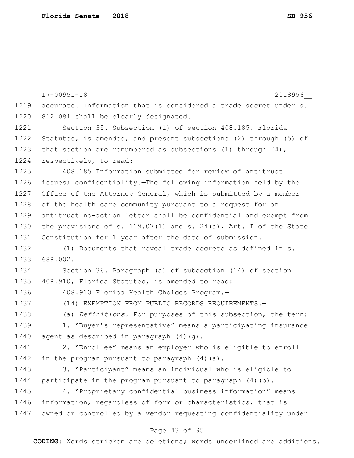|      | $17 - 00951 - 18$<br>2018956                                                |
|------|-----------------------------------------------------------------------------|
| 1219 | accurate. <del>Information that is considered a trade secret under s.</del> |
| 1220 | 812.081 shall be clearly designated.                                        |
| 1221 | Section 35. Subsection (1) of section 408.185, Florida                      |
| 1222 | Statutes, is amended, and present subsections (2) through (5) of            |
| 1223 | that section are renumbered as subsections (1) through $(4)$ ,              |
| 1224 | respectively, to read:                                                      |
| 1225 | 408.185 Information submitted for review of antitrust                       |
| 1226 | issues; confidentiality. The following information held by the              |
| 1227 | Office of the Attorney General, which is submitted by a member              |
| 1228 | of the health care community pursuant to a request for an                   |
| 1229 | antitrust no-action letter shall be confidential and exempt from            |
| 1230 | the provisions of s. 119.07(1) and s. 24(a), Art. I of the State            |
| 1231 | Constitution for 1 year after the date of submission.                       |
| 1232 | (1) Documents that reveal trade secrets as defined in s.                    |
| 1233 | 688.002.                                                                    |
| 1234 | Section 36. Paragraph (a) of subsection (14) of section                     |
| 1235 | 408.910, Florida Statutes, is amended to read:                              |
| 1236 | 408.910 Florida Health Choices Program.-                                    |
| 1237 | (14) EXEMPTION FROM PUBLIC RECORDS REQUIREMENTS.-                           |
| 1238 | (a) Definitions.-For purposes of this subsection, the term:                 |
| 1239 | 1. "Buyer's representative" means a participating insurance                 |
| 1240 | agent as described in paragraph (4) (g).                                    |
| 1241 | 2. "Enrollee" means an employer who is eligible to enroll                   |
| 1242 | in the program pursuant to paragraph (4) (a).                               |
| 1243 | 3. "Participant" means an individual who is eligible to                     |
| 1244 | participate in the program pursuant to paragraph $(4)$ (b).                 |
| 1245 | 4. "Proprietary confidential business information" means                    |
| 1246 | information, regardless of form or characteristics, that is                 |
| 1247 | owned or controlled by a vendor requesting confidentiality under            |

# Page 43 of 95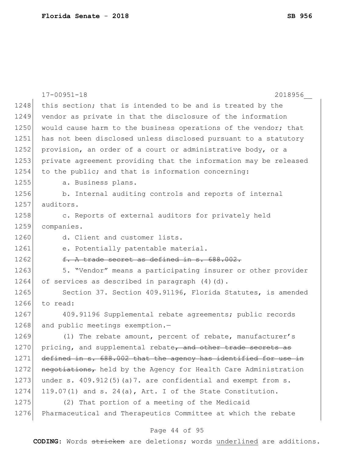|      | $17 - 00951 - 18$<br>2018956                                     |
|------|------------------------------------------------------------------|
| 1248 | this section; that is intended to be and is treated by the       |
| 1249 | vendor as private in that the disclosure of the information      |
| 1250 | would cause harm to the business operations of the vendor; that  |
| 1251 | has not been disclosed unless disclosed pursuant to a statutory  |
| 1252 | provision, an order of a court or administrative body, or a      |
| 1253 | private agreement providing that the information may be released |
| 1254 | to the public; and that is information concerning:               |
| 1255 | a. Business plans.                                               |
| 1256 | b. Internal auditing controls and reports of internal            |
| 1257 | auditors.                                                        |
| 1258 | c. Reports of external auditors for privately held               |
| 1259 | companies.                                                       |
| 1260 | d. Client and customer lists.                                    |
| 1261 | e. Potentially patentable material.                              |
| 1262 | f. A trade secret as defined in s. 688.002.                      |
| 1263 | 5. "Vendor" means a participating insurer or other provider      |
| 1264 | of services as described in paragraph (4) (d).                   |
| 1265 | Section 37. Section 409.91196, Florida Statutes, is amended      |
| 1266 | to read:                                                         |
| 1267 | 409.91196 Supplemental rebate agreements; public records         |
| 1268 | and public meetings exemption.-                                  |
| 1269 | (1) The rebate amount, percent of rebate, manufacturer's         |
| 1270 | pricing, and supplemental rebate, and other trade secrets as     |
| 1271 | defined in s. 688.002 that the agency has identified for use in  |
| 1272 | negotiations, held by the Agency for Health Care Administration  |
| 1273 | under s. $409.912(5)$ (a)7. are confidential and exempt from s.  |
| 1274 | 119.07(1) and s. 24(a), Art. I of the State Constitution.        |
| 1275 | (2) That portion of a meeting of the Medicaid                    |
| 1276 | Pharmaceutical and Therapeutics Committee at which the rebate    |
|      |                                                                  |

# Page 44 of 95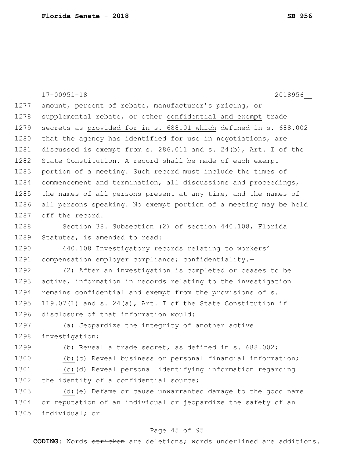|      | $17 - 00951 - 18$<br>2018956                                                      |
|------|-----------------------------------------------------------------------------------|
| 1277 | amount, percent of rebate, manufacturer's pricing, or                             |
| 1278 | supplemental rebate, or other confidential and exempt trade                       |
| 1279 | secrets as provided for in s. 688.01 which defined in s. 688.002                  |
| 1280 | that the agency has identified for use in negotiations, are                       |
| 1281 | discussed is exempt from s. 286.011 and s. 24(b), Art. I of the                   |
| 1282 | State Constitution. A record shall be made of each exempt                         |
| 1283 | portion of a meeting. Such record must include the times of                       |
| 1284 | commencement and termination, all discussions and proceedings,                    |
| 1285 | the names of all persons present at any time, and the names of                    |
| 1286 | all persons speaking. No exempt portion of a meeting may be held                  |
| 1287 | off the record.                                                                   |
| 1288 | Section 38. Subsection (2) of section 440.108, Florida                            |
| 1289 | Statutes, is amended to read:                                                     |
| 1290 | 440.108 Investigatory records relating to workers'                                |
| 1291 | compensation employer compliance; confidentiality.-                               |
| 1292 | (2) After an investigation is completed or ceases to be                           |
| 1293 | active, information in records relating to the investigation                      |
| 1294 | remains confidential and exempt from the provisions of s.                         |
| 1295 | 119.07(1) and s. 24(a), Art. I of the State Constitution if                       |
| 1296 | disclosure of that information would:                                             |
| 1297 | (a) Jeopardize the integrity of another active                                    |
| 1298 | investigation;                                                                    |
| 1299 | (b) Reveal a trade secret, as defined in s. 688.002;                              |
| 1300 | (b) (e) Reveal business or personal financial information;                        |
| 1301 | (c) $\left(\text{d}\right)$ Reveal personal identifying information regarding     |
| 1302 | the identity of a confidential source;                                            |
| 1303 | (d) $\left\{\text{e}\right\}$ Defame or cause unwarranted damage to the good name |
| 1304 | or reputation of an individual or jeopardize the safety of an                     |
| 1305 | individual; or                                                                    |

# Page 45 of 95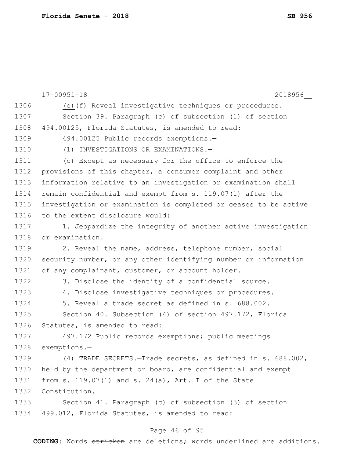|      | $17 - 00951 - 18$<br>2018956                                     |
|------|------------------------------------------------------------------|
| 1306 | (e) $(f)$ Reveal investigative techniques or procedures.         |
| 1307 | Section 39. Paragraph (c) of subsection (1) of section           |
| 1308 | 494.00125, Florida Statutes, is amended to read:                 |
| 1309 | 494.00125 Public records exemptions.-                            |
| 1310 | (1) INVESTIGATIONS OR EXAMINATIONS.-                             |
| 1311 | (c) Except as necessary for the office to enforce the            |
| 1312 | provisions of this chapter, a consumer complaint and other       |
| 1313 | information relative to an investigation or examination shall    |
| 1314 | remain confidential and exempt from s. 119.07(1) after the       |
| 1315 | investigation or examination is completed or ceases to be active |
| 1316 | to the extent disclosure would:                                  |
| 1317 | 1. Jeopardize the integrity of another active investigation      |
| 1318 | or examination.                                                  |
| 1319 | 2. Reveal the name, address, telephone number, social            |
| 1320 | security number, or any other identifying number or information  |
| 1321 | of any complainant, customer, or account holder.                 |
| 1322 | 3. Disclose the identity of a confidential source.               |
| 1323 | 4. Disclose investigative techniques or procedures.              |
| 1324 | 5. Reveal a trade secret as defined in s. 688.002.               |
| 1325 | Section 40. Subsection (4) of section 497.172, Florida           |
| 1326 | Statutes, is amended to read:                                    |
| 1327 | 497.172 Public records exemptions; public meetings               |
| 1328 | exemptions.-                                                     |
| 1329 | (4) TRADE SECRETS. Trade secrets, as defined in s. 688.002,      |
| 1330 | held by the department or board, are confidential and exempt     |
| 1331 | from s. $119.07(1)$ and s. $24(a)$ , Art. I of the State         |
| 1332 | Constitution.                                                    |
| 1333 | Section 41. Paragraph (c) of subsection (3) of section           |
| 1334 | 499.012, Florida Statutes, is amended to read:                   |

# Page 46 of 95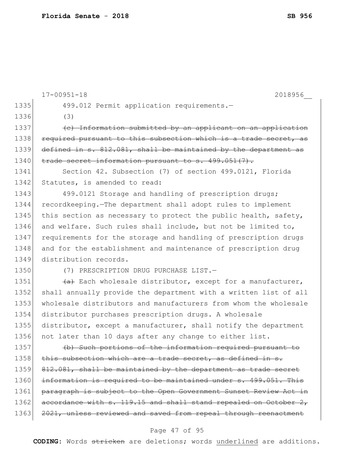|      | $17 - 00951 - 18$<br>2018956                                     |
|------|------------------------------------------------------------------|
| 1335 | 499.012 Permit application requirements.-                        |
| 1336 | (3)                                                              |
| 1337 | (c) Information submitted by an applicant on an application      |
| 1338 | required pursuant to this subsection which is a trade secret, as |
| 1339 | defined in s. 812.081, shall be maintained by the department as  |
| 1340 | trade secret information pursuant to s. 499.051(7).              |
| 1341 | Section 42. Subsection (7) of section 499.0121, Florida          |
| 1342 | Statutes, is amended to read:                                    |
| 1343 | 499.0121 Storage and handling of prescription drugs;             |
| 1344 | recordkeeping. The department shall adopt rules to implement     |
| 1345 | this section as necessary to protect the public health, safety,  |
| 1346 | and welfare. Such rules shall include, but not be limited to,    |
| 1347 | requirements for the storage and handling of prescription drugs  |
| 1348 | and for the establishment and maintenance of prescription drug   |
| 1349 | distribution records.                                            |
| 1350 | (7) PRESCRIPTION DRUG PURCHASE LIST.-                            |
| 1351 | (a) Each wholesale distributor, except for a manufacturer,       |
| 1352 | shall annually provide the department with a written list of all |
| 1353 | wholesale distributors and manufacturers from whom the wholesale |
| 1354 | distributor purchases prescription drugs. A wholesale            |
| 1355 | distributor, except a manufacturer, shall notify the department  |
| 1356 | not later than 10 days after any change to either list.          |
| 1357 | (b) Such portions of the information required pursuant to        |
| 1358 | this subsection which are a trade secret, as defined in s.       |
| 1359 | 812.081, shall be maintained by the department as trade secret   |
| 1360 | information is required to be maintained under s. 499.051. This  |
| 1361 | paragraph is subject to the Open Government Sunset Review Act in |
| 1362 | accordance with s. 119.15 and shall stand repealed on October 2, |
| 1363 | 2021, unless reviewed and saved from repeal through reenactment  |
|      |                                                                  |

# Page 47 of 95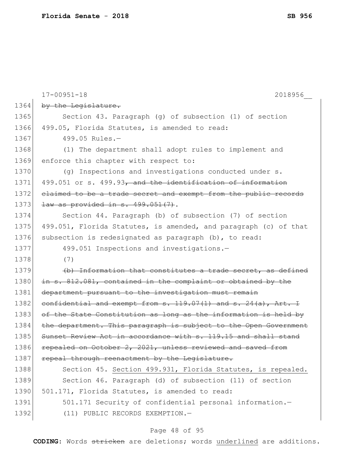|      | $17 - 00951 - 18$<br>2018956                                        |
|------|---------------------------------------------------------------------|
| 1364 | by the Legislature.                                                 |
| 1365 | Section 43. Paragraph (g) of subsection (1) of section              |
| 1366 | 499.05, Florida Statutes, is amended to read:                       |
| 1367 | 499.05 Rules.-                                                      |
| 1368 | (1) The department shall adopt rules to implement and               |
| 1369 | enforce this chapter with respect to:                               |
| 1370 | (g) Inspections and investigations conducted under s.               |
| 1371 | 499.051 or s. 499.93, and the identification of information         |
| 1372 | elaimed to be a trade secret and exempt from the public records     |
| 1373 | $law$ as provided in s. $499.051(7)$ .                              |
| 1374 | Section 44. Paragraph (b) of subsection (7) of section              |
| 1375 | 499.051, Florida Statutes, is amended, and paragraph (c) of that    |
| 1376 | subsection is redesignated as paragraph (b), to read:               |
| 1377 | 499.051 Inspections and investigations.-                            |
| 1378 | (7)                                                                 |
| 1379 | (b) Information that constitutes a trade secret, as defined         |
| 1380 | in s. 812.081, contained in the complaint or obtained by the        |
| 1381 | department pursuant to the investigation must remain                |
| 1382 | confidential and exempt from $s. 119.07(1)$ and $s. 24(a)$ , Art. I |
| 1383 | of the State Constitution as long as the information is held by     |
| 1384 | the department. This paragraph is subject to the Open Government    |
| 1385 | Sunset Review Act in accordance with s. 119.15 and shall stand      |
| 1386 | repealed on October 2, 2021, unless reviewed and saved from         |
| 1387 | repeal through reenactment by the Legislature.                      |
| 1388 | Section 45. Section 499.931, Florida Statutes, is repealed.         |
| 1389 | Section 46. Paragraph (d) of subsection (11) of section             |
| 1390 | 501.171, Florida Statutes, is amended to read:                      |
| 1391 | 501.171 Security of confidential personal information.-             |
| 1392 | (11) PUBLIC RECORDS EXEMPTION.-                                     |

# Page 48 of 95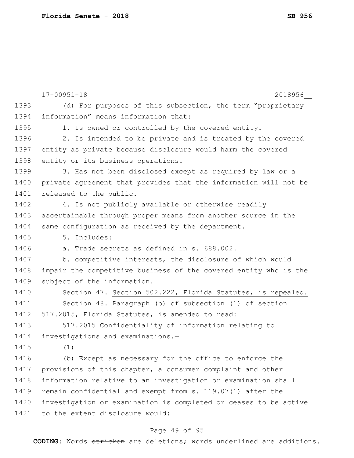|      | $17 - 00951 - 18$<br>2018956                                     |
|------|------------------------------------------------------------------|
| 1393 | (d) For purposes of this subsection, the term "proprietary       |
| 1394 | information" means information that:                             |
| 1395 | 1. Is owned or controlled by the covered entity.                 |
| 1396 | 2. Is intended to be private and is treated by the covered       |
| 1397 | entity as private because disclosure would harm the covered      |
| 1398 | entity or its business operations.                               |
| 1399 | 3. Has not been disclosed except as required by law or a         |
| 1400 | private agreement that provides that the information will not be |
| 1401 | released to the public.                                          |
| 1402 | 4. Is not publicly available or otherwise readily                |
| 1403 | ascertainable through proper means from another source in the    |
| 1404 | same configuration as received by the department.                |
| 1405 | 5. Includes÷                                                     |
| 1406 | a. Trade secrets as defined in s. 688.002.                       |
| 1407 | b. competitive interests, the disclosure of which would          |
| 1408 | impair the competitive business of the covered entity who is the |
| 1409 | subject of the information.                                      |
| 1410 | Section 47. Section 502.222, Florida Statutes, is repealed.      |
| 1411 | Section 48. Paragraph (b) of subsection (1) of section           |
| 1412 | 517.2015, Florida Statutes, is amended to read:                  |
| 1413 | 517.2015 Confidentiality of information relating to              |
| 1414 | investigations and examinations.-                                |
| 1415 | (1)                                                              |
| 1416 | (b) Except as necessary for the office to enforce the            |
| 1417 | provisions of this chapter, a consumer complaint and other       |
| 1418 | information relative to an investigation or examination shall    |
| 1419 | remain confidential and exempt from s. 119.07(1) after the       |
| 1420 | investigation or examination is completed or ceases to be active |
| 1421 | to the extent disclosure would:                                  |
|      |                                                                  |

### Page 49 of 95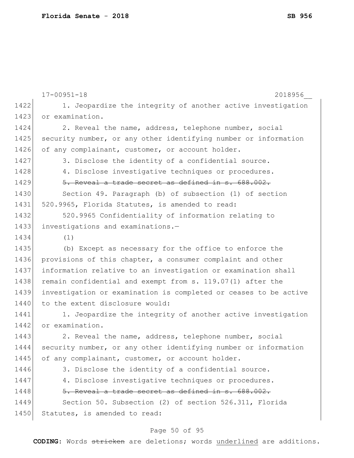|      | $17 - 00951 - 18$<br>2018956                                     |
|------|------------------------------------------------------------------|
| 1422 | 1. Jeopardize the integrity of another active investigation      |
| 1423 | or examination.                                                  |
| 1424 | 2. Reveal the name, address, telephone number, social            |
| 1425 | security number, or any other identifying number or information  |
| 1426 | of any complainant, customer, or account holder.                 |
| 1427 | 3. Disclose the identity of a confidential source.               |
| 1428 | 4. Disclose investigative techniques or procedures.              |
| 1429 | 5. Reveal a trade secret as defined in s. 688.002.               |
| 1430 | Section 49. Paragraph (b) of subsection (1) of section           |
| 1431 | 520.9965, Florida Statutes, is amended to read:                  |
| 1432 | 520.9965 Confidentiality of information relating to              |
| 1433 | investigations and examinations.-                                |
| 1434 | (1)                                                              |
| 1435 | (b) Except as necessary for the office to enforce the            |
| 1436 | provisions of this chapter, a consumer complaint and other       |
| 1437 | information relative to an investigation or examination shall    |
| 1438 | remain confidential and exempt from s. 119.07(1) after the       |
| 1439 | investigation or examination is completed or ceases to be active |
| 1440 | to the extent disclosure would:                                  |
| 1441 | 1. Jeopardize the integrity of another active investigation      |
| 1442 | or examination.                                                  |
| 1443 | 2. Reveal the name, address, telephone number, social            |
| 1444 | security number, or any other identifying number or information  |
| 1445 | of any complainant, customer, or account holder.                 |
| 1446 | 3. Disclose the identity of a confidential source.               |
| 1447 | 4. Disclose investigative techniques or procedures.              |
| 1448 | 5. Reveal a trade secret as defined in s. 688.002.               |
| 1449 | Section 50. Subsection (2) of section 526.311, Florida           |
| 1450 | Statutes, is amended to read:                                    |
|      |                                                                  |

# Page 50 of 95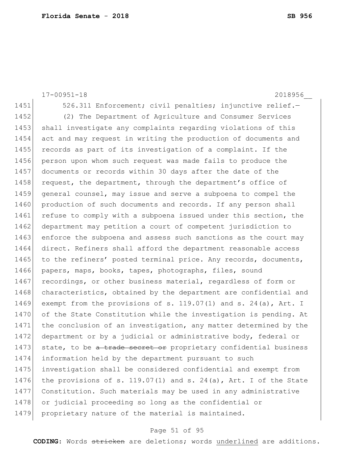17-00951-18 2018956\_\_ 1451 526.311 Enforcement; civil penalties; injunctive relief. 1452 (2) The Department of Agriculture and Consumer Services 1453 shall investigate any complaints regarding violations of this 1454 act and may request in writing the production of documents and 1455 records as part of its investigation of a complaint. If the 1456 person upon whom such request was made fails to produce the 1457 documents or records within 30 days after the date of the 1458 request, the department, through the department's office of 1459 general counsel, may issue and serve a subpoena to compel the 1460 production of such documents and records. If any person shall 1461 refuse to comply with a subpoena issued under this section, the 1462 department may petition a court of competent jurisdiction to 1463 enforce the subpoena and assess such sanctions as the court may 1464 direct. Refiners shall afford the department reasonable access 1465 to the refiners' posted terminal price. Any records, documents, 1466 papers, maps, books, tapes, photographs, files, sound 1467 recordings, or other business material, regardless of form or 1468 characteristics, obtained by the department are confidential and 1469 exempt from the provisions of s. 119.07(1) and s. 24(a), Art. I 1470 of the State Constitution while the investigation is pending. At 1471 the conclusion of an investigation, any matter determined by the 1472 department or by a judicial or administrative body, federal or 1473 state, to be a trade secret or proprietary confidential business 1474 information held by the department pursuant to such 1475 investigation shall be considered confidential and exempt from 1476 | the provisions of s. 119.07(1) and s. 24(a), Art. I of the State 1477 Constitution. Such materials may be used in any administrative 1478 or judicial proceeding so long as the confidential or 1479 proprietary nature of the material is maintained.

#### Page 51 of 95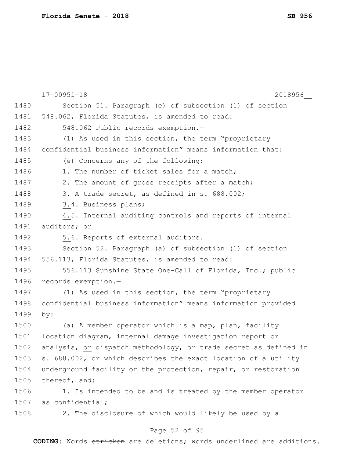|      | $17 - 00951 - 18$<br>2018956                                   |
|------|----------------------------------------------------------------|
| 1480 | Section 51. Paragraph (e) of subsection (1) of section         |
| 1481 | 548.062, Florida Statutes, is amended to read:                 |
| 1482 | 548.062 Public records exemption.-                             |
| 1483 | (1) As used in this section, the term "proprietary             |
| 1484 | confidential business information" means information that:     |
| 1485 | (e) Concerns any of the following:                             |
| 1486 | 1. The number of ticket sales for a match;                     |
| 1487 | 2. The amount of gross receipts after a match;                 |
| 1488 | 3. A trade secret, as defined in s. 688.002;                   |
| 1489 | 3.4. Business plans;                                           |
| 1490 | 4.5. Internal auditing controls and reports of internal        |
| 1491 | auditors; or                                                   |
| 1492 | 5.6. Reports of external auditors.                             |
| 1493 | Section 52. Paragraph (a) of subsection (1) of section         |
| 1494 | 556.113, Florida Statutes, is amended to read:                 |
| 1495 | 556.113 Sunshine State One-Call of Florida, Inc.; public       |
| 1496 | records exemption.-                                            |
| 1497 | (1) As used in this section, the term "proprietary             |
| 1498 | confidential business information" means information provided  |
| 1499 | by:                                                            |
| 1500 | (a) A member operator which is a map, plan, facility           |
| 1501 | location diagram, internal damage investigation report or      |
| 1502 | analysis, or dispatch methodology, or trade secret as defined  |
| 1503 | 5. 688.002, or which describes the exact location of a utility |
| 1504 | underground facility or the protection, repair, or restoration |
| 1505 | thereof, and:                                                  |
| 1506 | 1. Is intended to be and is treated by the member operator     |
| 1507 | as confidential;                                               |
| 1508 | 2. The disclosure of which would likely be used by a           |

# Page 52 of 95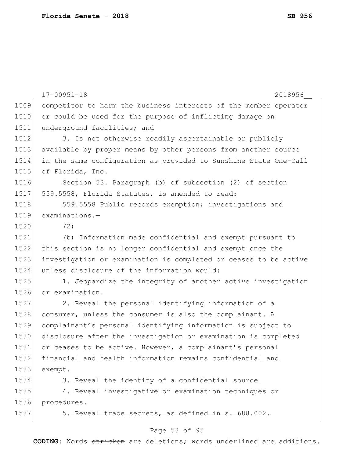|      | $17 - 00951 - 18$<br>2018956                                     |
|------|------------------------------------------------------------------|
| 1509 | competitor to harm the business interests of the member operator |
| 1510 | or could be used for the purpose of inflicting damage on         |
| 1511 | underground facilities; and                                      |
| 1512 | 3. Is not otherwise readily ascertainable or publicly            |
| 1513 | available by proper means by other persons from another source   |
| 1514 | in the same configuration as provided to Sunshine State One-Call |
| 1515 | of Florida, Inc.                                                 |
| 1516 | Section 53. Paragraph (b) of subsection (2) of section           |
| 1517 | 559.5558, Florida Statutes, is amended to read:                  |
| 1518 | 559.5558 Public records exemption; investigations and            |
| 1519 | $examinations.$ -                                                |
| 1520 | (2)                                                              |
| 1521 | (b) Information made confidential and exempt pursuant to         |
| 1522 | this section is no longer confidential and exempt once the       |
| 1523 | investigation or examination is completed or ceases to be active |
| 1524 | unless disclosure of the information would:                      |
| 1525 | 1. Jeopardize the integrity of another active investigation      |
| 1526 | or examination.                                                  |
| 1527 | 2. Reveal the personal identifying information of a              |
| 1528 | consumer, unless the consumer is also the complainant. A         |
| 1529 | complainant's personal identifying information is subject to     |
| 1530 | disclosure after the investigation or examination is completed   |
| 1531 | or ceases to be active. However, a complainant's personal        |
| 1532 | financial and health information remains confidential and        |
| 1533 | exempt.                                                          |
| 1534 | 3. Reveal the identity of a confidential source.                 |
| 1535 | 4. Reveal investigative or examination techniques or             |
| 1536 | procedures.                                                      |
| 1537 | 5. Reveal trade secrets, as defined in s. 688.002.               |
|      | Page 53 of 95                                                    |
|      |                                                                  |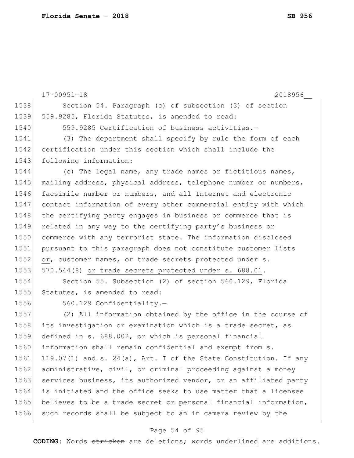17-00951-18 2018956\_\_ 1538 Section 54. Paragraph (c) of subsection (3) of section 1539 559.9285, Florida Statutes, is amended to read: 1540 559.9285 Certification of business activities.-1541 (3) The department shall specify by rule the form of each 1542 certification under this section which shall include the 1543 following information: 1544 (c) The legal name, any trade names or fictitious names, 1545 mailing address, physical address, telephone number or numbers, 1546 facsimile number or numbers, and all Internet and electronic 1547 contact information of every other commercial entity with which 1548 the certifying party engages in business or commerce that is 1549 related in any way to the certifying party's business or 1550 commerce with any terrorist state. The information disclosed 1551 pursuant to this paragraph does not constitute customer lists 1552 or, customer names, or trade secrets protected under s. 1553 570.544(8) or trade secrets protected under s. 688.01. 1554 Section 55. Subsection (2) of section 560.129, Florida 1555 Statutes, is amended to read: 1556 560.129 Confidentiality.-1557 (2) All information obtained by the office in the course of 1558 its investigation or examination which is a trade secret, as 1559 defined in s. 688.002, or which is personal financial 1560 information shall remain confidential and exempt from s. 1561 119.07(1) and s. 24(a), Art. I of the State Constitution. If any 1562 administrative, civil, or criminal proceeding against a money 1563 services business, its authorized vendor, or an affiliated party 1564 is initiated and the office seeks to use matter that a licensee 1565 believes to be a trade secret or personal financial information, 1566 such records shall be subject to an in camera review by the

#### Page 54 of 95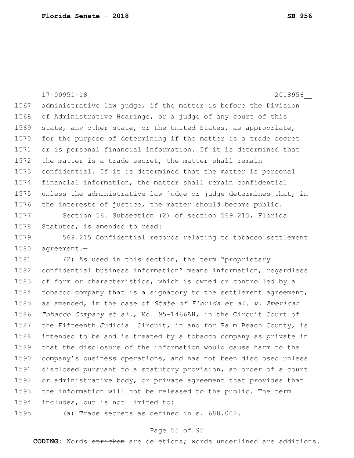|      | $17 - 00951 - 18$<br>2018956                                     |
|------|------------------------------------------------------------------|
| 1567 | administrative law judge, if the matter is before the Division   |
| 1568 | of Administrative Hearings, or a judge of any court of this      |
| 1569 | state, any other state, or the United States, as appropriate,    |
| 1570 | for the purpose of determining if the matter is a trade secret   |
| 1571 | or is personal financial information. If it is determined that   |
| 1572 | the matter is a trade secret, the matter shall remain            |
| 1573 | confidential. If it is determined that the matter is personal    |
| 1574 | financial information, the matter shall remain confidential      |
| 1575 | unless the administrative law judge or judge determines that, in |
| 1576 | the interests of justice, the matter should become public.       |
| 1577 | Section 56. Subsection (2) of section 569.215, Florida           |
| 1578 | Statutes, is amended to read:                                    |
| 1579 | 569.215 Confidential records relating to tobacco settlement      |
| 1580 | agreement.-                                                      |
| 1581 | (2) As used in this section, the term "proprietary               |
| 1582 | confidential business information" means information, regardless |
| 1583 | of form or characteristics, which is owned or controlled by a    |
| 1584 | tobacco company that is a signatory to the settlement agreement, |
| 1585 | as amended, in the case of State of Florida et al. v. American   |
| 1586 | Tobacco Company et al., No. 95-1466AH, in the Circuit Court of   |
| 1587 | the Fifteenth Judicial Circuit, in and for Palm Beach County, is |
| 1588 | intended to be and is treated by a tobacco company as private in |
| 1589 | that the disclosure of the information would cause harm to the   |
| 1590 | company's business operations, and has not been disclosed unless |
| 1591 | disclosed pursuant to a statutory provision, an order of a court |
| 1592 | or administrative body, or private agreement that provides that  |

1593 the information will not be released to the public. The term 1594 includes, but is not limited to:

1595  $\left(\text{a}\right)$  Trade secrets as defined in s. 688.002.

### Page 55 of 95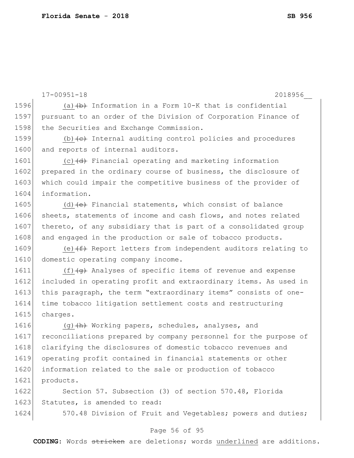17-00951-18 2018956\_\_ 1596 (a) $\leftrightarrow$  Information in a Form 10-K that is confidential 1597 pursuant to an order of the Division of Corporation Finance of 1598 the Securities and Exchange Commission. 1599  $(b)$  (b)  $\left(\frac{c}{c}\right)$  Internal auditing control policies and procedures 1600 and reports of internal auditors.  $1601$  (c) $\left(\frac{d}{d}\right)$  Financial operating and marketing information 1602 prepared in the ordinary course of business, the disclosure of 1603 which could impair the competitive business of the provider of 1604 information. 1605 (d) $\leftarrow$  Financial statements, which consist of balance 1606 sheets, statements of income and cash flows, and notes related 1607 thereto, of any subsidiary that is part of a consolidated group 1608 and engaged in the production or sale of tobacco products. 1609 (e) $(f)$  Report letters from independent auditors relating to 1610 domestic operating company income. 1611 (f)(g) Analyses of specific items of revenue and expense 1612 included in operating profit and extraordinary items. As used in 1613 this paragraph, the term "extraordinary items" consists of one-1614 time tobacco litigation settlement costs and restructuring 1615 charges. 1616 (g) (h) Working papers, schedules, analyses, and 1617 reconciliations prepared by company personnel for the purpose of 1618 clarifying the disclosures of domestic tobacco revenues and 1619 operating profit contained in financial statements or other 1620 information related to the sale or production of tobacco 1621 products. 1622 Section 57. Subsection (3) of section 570.48, Florida 1623 Statutes, is amended to read:

1624 570.48 Division of Fruit and Vegetables; powers and duties;

### Page 56 of 95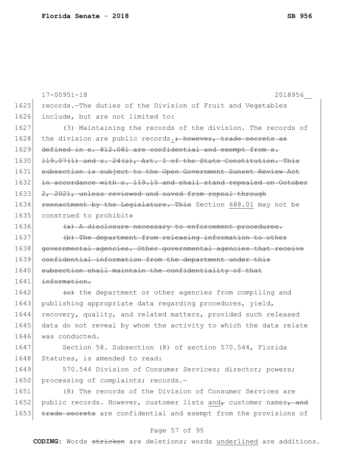Page 57 of 95 1625 records.—The duties of the Division of Fruit and Vegetables 1626 include, but are not limited to: 1627 (3) Maintaining the records of the division. The records of 1628 the division are public records.<sup>\*</sup> however, trade secrets as 1629 defined in s. 812.081 are confidential and exempt from s.  $1630$  119.07(1) and s. 24(a), Art. I of the State Constitution. This 1631 subsection is subject to the Open Government Sunset Review Act 1632 in accordance with s. 119.15 and shall stand repealed on October 1633 2, 2021, unless reviewed and saved from repeal through 1634 reenactment by the Legislature. This Section 688.01 may not be 1635 construed to prohibit:  $1636$  (a) A disclosure necessary to enforcement procedures. 1637 (b) The department from releasing information to other 1638 governmental agencies. Other governmental agencies that receive 1639 confidential information from the department under this 1640 subsection shall maintain the confidentiality of that 1641 information. 1642  $\leftarrow$  the department or other agencies from compiling and 1643 publishing appropriate data regarding procedures, yield, 1644 recovery, quality, and related matters, provided such released 1645 data do not reveal by whom the activity to which the data relate 1646 was conducted. 1647 Section 58. Subsection (8) of section 570.544, Florida 1648 Statutes, is amended to read: 1649 570.544 Division of Consumer Services; director; powers; 1650 processing of complaints; records.-1651 (8) The records of the Division of Consumer Services are 1652 public records. However, customer lists and $_{\tau}$  customer names, and 1653 trade secrets are confidential and exempt from the provisions of

17-00951-18 2018956\_\_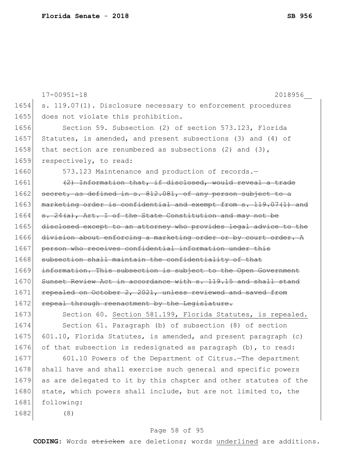|      | $17 - 00951 - 18$<br>2018956                                     |
|------|------------------------------------------------------------------|
| 1654 | s. 119.07(1). Disclosure necessary to enforcement procedures     |
| 1655 | does not violate this prohibition.                               |
| 1656 | Section 59. Subsection (2) of section 573.123, Florida           |
| 1657 | Statutes, is amended, and present subsections (3) and (4) of     |
| 1658 | that section are renumbered as subsections $(2)$ and $(3)$ ,     |
| 1659 | respectively, to read:                                           |
| 1660 | 573.123 Maintenance and production of records.-                  |
| 1661 | (2) Information that, if disclosed, would reveal a trade         |
| 1662 | secret, as defined in s. 812.081, of any person subject to a     |
| 1663 | marketing order is confidential and exempt from s. 119.07(1) and |
| 1664 | s. 24(a), Art. I of the State Constitution and may not be        |
| 1665 | disclosed except to an attorney who provides legal advice to the |
| 1666 | division about enforcing a marketing order or by court order. A  |
| 1667 | person who receives confidential information under this          |
| 1668 | subsection shall maintain the confidentiality of that            |
| 1669 | information. This subsection is subject to the Open Government   |
| 1670 | Sunset Review Act in accordance with s. 119.15 and shall stand   |
| 1671 | repealed on October 2, 2021, unless reviewed and saved from      |
| 1672 | repeal through reenactment by the Legislature.                   |
| 1673 | Section 60. Section 581.199, Florida Statutes, is repealed.      |
| 1674 | Section 61. Paragraph (b) of subsection (8) of section           |
| 1675 | 601.10, Florida Statutes, is amended, and present paragraph (c)  |
| 1676 | of that subsection is redesignated as paragraph (b), to read:    |
| 1677 | 601.10 Powers of the Department of Citrus. The department        |
| 1678 | shall have and shall exercise such general and specific powers   |
| 1679 | as are delegated to it by this chapter and other statutes of the |
| 1680 | state, which powers shall include, but are not limited to, the   |
| 1681 | following:                                                       |
| 1682 | (8)                                                              |
|      |                                                                  |

# Page 58 of 95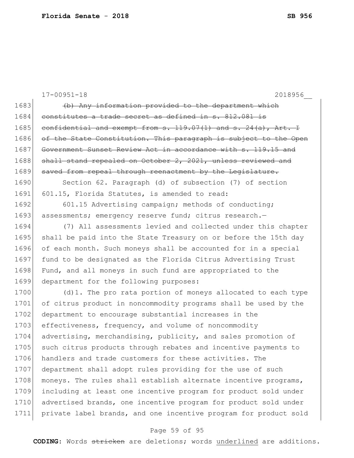|      | $17 - 00951 - 18$<br>2018956                                        |
|------|---------------------------------------------------------------------|
| 1683 | (b) Any information provided to the department which                |
| 1684 | constitutes a trade secret as defined in s. 812.081 is              |
| 1685 | confidential and exempt from s. $119.07(1)$ and s. $24(a)$ , Art. I |
| 1686 | of the State Constitution. This paragraph is subject to the Open    |
| 1687 | Government Sunset Review Act in accordance with s. 119.15 and       |
| 1688 | shall stand repealed on October 2, 2021, unless reviewed and        |
| 1689 | saved from repeal through reenactment by the Legislature.           |
| 1690 | Section 62. Paragraph (d) of subsection (7) of section              |
| 1691 | 601.15, Florida Statutes, is amended to read:                       |
| 1692 | 601.15 Advertising campaign; methods of conducting;                 |
| 1693 | assessments; emergency reserve fund; citrus research.-              |
| 1694 | (7) All assessments levied and collected under this chapter         |
| 1695 | shall be paid into the State Treasury on or before the 15th day     |
| 1696 | of each month. Such moneys shall be accounted for in a special      |
| 1697 | fund to be designated as the Florida Citrus Advertising Trust       |
| 1698 | Fund, and all moneys in such fund are appropriated to the           |
| 1699 | department for the following purposes:                              |
| 1700 | $(d)$ 1. The pro rata portion of moneys allocated to each type      |
| 1701 | of citrus product in noncommodity programs shall be used by the     |
| 1702 | department to encourage substantial increases in the                |
| 1703 | effectiveness, frequency, and volume of noncommodity                |
| 1704 | advertising, merchandising, publicity, and sales promotion of       |
| 1705 | such citrus products through rebates and incentive payments to      |
| 1706 | handlers and trade customers for these activities. The              |
| 1707 | department shall adopt rules providing for the use of such          |
| 1708 | moneys. The rules shall establish alternate incentive programs,     |
| 1709 | including at least one incentive program for product sold under     |
| 1710 | advertised brands, one incentive program for product sold under     |
| 1711 | private label brands, and one incentive program for product sold    |

# Page 59 of 95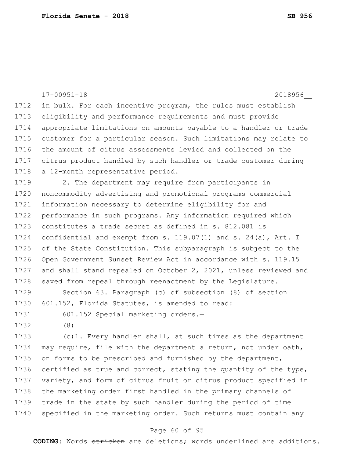|      | $17 - 00951 - 18$<br>2018956                                             |
|------|--------------------------------------------------------------------------|
| 1712 | in bulk. For each incentive program, the rules must establish            |
| 1713 | eligibility and performance requirements and must provide                |
| 1714 | appropriate limitations on amounts payable to a handler or trade         |
| 1715 | customer for a particular season. Such limitations may relate to         |
| 1716 | the amount of citrus assessments levied and collected on the             |
| 1717 | citrus product handled by such handler or trade customer during          |
| 1718 | a 12-month representative period.                                        |
| 1719 | 2. The department may require from participants in                       |
| 1720 | noncommodity advertising and promotional programs commercial             |
| 1721 | information necessary to determine eligibility for and                   |
| 1722 | performance in such programs. Any information required which             |
| 1723 | constitutes a trade secret as defined in s. 812.081 is                   |
| 1724 | confidential and exempt from s. $119.07(1)$ and s. $24(a)$ , Art. I      |
| 1725 | of the State Constitution. This subparagraph is subject to the           |
| 1726 | Open Government Sunset Review Act in accordance with s. 119.15           |
| 1727 | and shall stand repealed on October 2, 2021, unless reviewed and         |
| 1728 | saved from repeal through reenactment by the Legislature.                |
| 1729 | Section 63. Paragraph (c) of subsection (8) of section                   |
| 1730 | 601.152, Florida Statutes, is amended to read:                           |
| 1731 | 601.152 Special marketing orders.-                                       |
| 1732 | (8)                                                                      |
| 1733 | (c) $\frac{1}{1}$ . Every handler shall, at such times as the department |
| 1734 | may require, file with the department a return, not under oath,          |
| 1735 | on forms to be prescribed and furnished by the department,               |
| 1736 | certified as true and correct, stating the quantity of the type,         |
| 1737 | variety, and form of citrus fruit or citrus product specified in         |
| 1738 | the marketing order first handled in the primary channels of             |
| 1739 | trade in the state by such handler during the period of time             |
| 1740 | specified in the marketing order. Such returns must contain any          |

# Page 60 of 95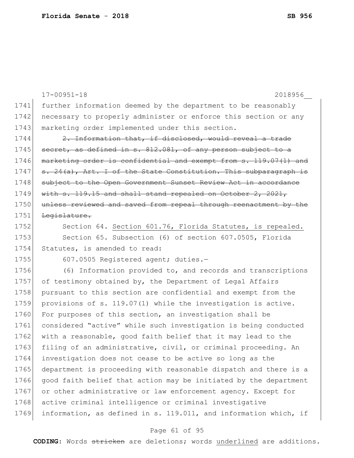1741 further information deemed by the department to be reasonably 1742 necessary to properly administer or enforce this section or any 1743 marketing order implemented under this section. 1744 2. Information that, if disclosed, would reveal a trade 1745 secret, as defined in s. 812.081, of any person subject to a 1746 marketing order is confidential and exempt from s. 119.07(1) and 1747 s. 24(a), Art. I of the State Constitution. This subparagraph is 1748 subject to the Open Government Sunset Review Act in accordance 1749 with s. 119.15 and shall stand repealed on October 2, 2021, 1750 unless reviewed and saved from repeal through reenactment by the 1751 Legislature. 1752 Section 64. Section 601.76, Florida Statutes, is repealed. 1753 Section 65. Subsection (6) of section 607.0505, Florida 1754 Statutes, is amended to read: 1755 607.0505 Registered agent; duties.-1756 (6) Information provided to, and records and transcriptions 1757 of testimony obtained by, the Department of Legal Affairs 1758 pursuant to this section are confidential and exempt from the 1759 provisions of s. 119.07(1) while the investigation is active. 1760 For purposes of this section, an investigation shall be 1761 considered "active" while such investigation is being conducted 1762 with a reasonable, good faith belief that it may lead to the 1763 filing of an administrative, civil, or criminal proceeding. An 1764 investigation does not cease to be active so long as the 1765 department is proceeding with reasonable dispatch and there is a 1766 good faith belief that action may be initiated by the department 1767 or other administrative or law enforcement agency. Except for 1768 active criminal intelligence or criminal investigative 1769 information, as defined in s. 119.011, and information which, if

17-00951-18 2018956\_\_

#### Page 61 of 95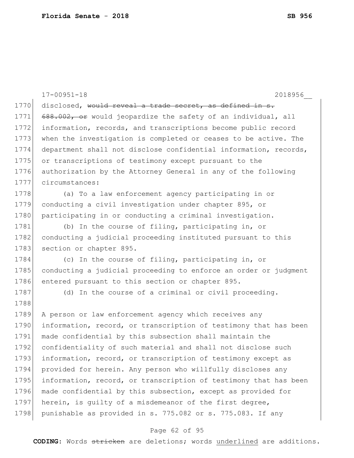|      | $17 - 00951 - 18$<br>2018956                                     |
|------|------------------------------------------------------------------|
| 1770 | disclosed, would reveal a trade secret, as defined in s.         |
| 1771 | 688.002, or would jeopardize the safety of an individual, all    |
| 1772 | information, records, and transcriptions become public record    |
| 1773 | when the investigation is completed or ceases to be active. The  |
| 1774 | department shall not disclose confidential information, records, |
| 1775 | or transcriptions of testimony except pursuant to the            |
| 1776 | authorization by the Attorney General in any of the following    |
| 1777 | circumstances:                                                   |
| 1778 | (a) To a law enforcement agency participating in or              |
| 1779 | conducting a civil investigation under chapter 895, or           |
| 1780 | participating in or conducting a criminal investigation.         |
| 1781 | (b) In the course of filing, participating in, or                |
| 1782 | conducting a judicial proceeding instituted pursuant to this     |
| 1783 | section or chapter 895.                                          |
| 1784 | (c) In the course of filing, participating in, or                |
| 1785 | conducting a judicial proceeding to enforce an order or judgment |
| 1786 | entered pursuant to this section or chapter 895.                 |
| 1787 | (d) In the course of a criminal or civil proceeding.             |
| 1788 |                                                                  |
| 1789 | A person or law enforcement agency which receives any            |
| 1790 | information, record, or transcription of testimony that has been |
| 1791 | made confidential by this subsection shall maintain the          |
| 1792 | confidentiality of such material and shall not disclose such     |
| 1793 | information, record, or transcription of testimony except as     |
| 1794 | provided for herein. Any person who willfully discloses any      |
| 1795 | information, record, or transcription of testimony that has been |
| 1796 | made confidential by this subsection, except as provided for     |
| 1797 | herein, is guilty of a misdemeanor of the first degree,          |
| 1798 | punishable as provided in s. 775.082 or s. 775.083. If any       |
|      | Page 62 of 95                                                    |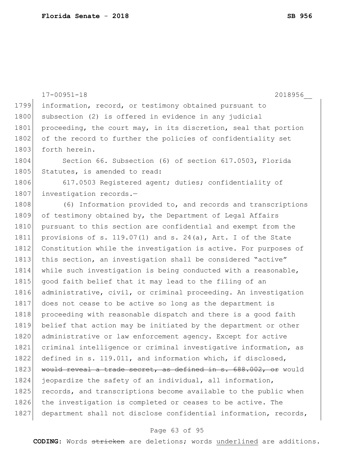|      | $17 - 00951 - 18$<br>2018956                                      |
|------|-------------------------------------------------------------------|
| 1799 | information, record, or testimony obtained pursuant to            |
| 1800 | subsection (2) is offered in evidence in any judicial             |
| 1801 | proceeding, the court may, in its discretion, seal that portion   |
| 1802 | of the record to further the policies of confidentiality set      |
| 1803 | forth herein.                                                     |
| 1804 | Section 66. Subsection (6) of section 617.0503, Florida           |
| 1805 | Statutes, is amended to read:                                     |
| 1806 | 617.0503 Registered agent; duties; confidentiality of             |
| 1807 | investigation records.-                                           |
| 1808 | (6) Information provided to, and records and transcriptions       |
| 1809 | of testimony obtained by, the Department of Legal Affairs         |
| 1810 | pursuant to this section are confidential and exempt from the     |
| 1811 | provisions of s. $119.07(1)$ and s. $24(a)$ , Art. I of the State |
| 1812 | Constitution while the investigation is active. For purposes of   |
| 1813 | this section, an investigation shall be considered "active"       |
| 1814 | while such investigation is being conducted with a reasonable,    |
| 1815 | good faith belief that it may lead to the filing of an            |
| 1816 | administrative, civil, or criminal proceeding. An investigation   |
| 1817 | does not cease to be active so long as the department is          |
| 1818 | proceeding with reasonable dispatch and there is a good faith     |
| 1819 | belief that action may be initiated by the department or other    |
| 1820 | administrative or law enforcement agency. Except for active       |
| 1821 | criminal intelligence or criminal investigative information, as   |
| 1822 | defined in s. 119.011, and information which, if disclosed,       |
| 1823 | would reveal a trade secret, as defined in s. 688.002, or would   |
| 1824 | jeopardize the safety of an individual, all information,          |
| 1825 | records, and transcriptions become available to the public when   |
| 1826 | the investigation is completed or ceases to be active. The        |
| 1827 | department shall not disclose confidential information, records,  |
|      |                                                                   |

# Page 63 of 95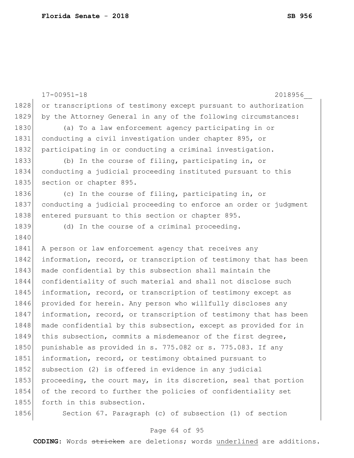|      | $17 - 00951 - 18$<br>2018956                                     |
|------|------------------------------------------------------------------|
| 1828 | or transcriptions of testimony except pursuant to authorization  |
| 1829 | by the Attorney General in any of the following circumstances:   |
| 1830 | (a) To a law enforcement agency participating in or              |
| 1831 | conducting a civil investigation under chapter 895, or           |
| 1832 | participating in or conducting a criminal investigation.         |
| 1833 | (b) In the course of filing, participating in, or                |
| 1834 | conducting a judicial proceeding instituted pursuant to this     |
| 1835 | section or chapter 895.                                          |
| 1836 | (c) In the course of filing, participating in, or                |
| 1837 | conducting a judicial proceeding to enforce an order or judgment |
| 1838 | entered pursuant to this section or chapter 895.                 |
| 1839 | (d) In the course of a criminal proceeding.                      |
| 1840 |                                                                  |
| 1841 | A person or law enforcement agency that receives any             |
| 1842 | information, record, or transcription of testimony that has been |
| 1843 | made confidential by this subsection shall maintain the          |
| 1844 | confidentiality of such material and shall not disclose such     |
| 1845 | information, record, or transcription of testimony except as     |
| 1846 | provided for herein. Any person who willfully discloses any      |
| 1847 | information, record, or transcription of testimony that has been |
| 1848 | made confidential by this subsection, except as provided for in  |
| 1849 | this subsection, commits a misdemeanor of the first degree,      |
| 1850 | punishable as provided in s. 775.082 or s. 775.083. If any       |
| 1851 | information, record, or testimony obtained pursuant to           |
| 1852 | subsection (2) is offered in evidence in any judicial            |
| 1853 | proceeding, the court may, in its discretion, seal that portion  |
| 1854 | of the record to further the policies of confidentiality set     |
| 1855 | forth in this subsection.                                        |
| 1856 | Section 67. Paragraph (c) of subsection (1) of section           |
|      |                                                                  |

# Page 64 of 95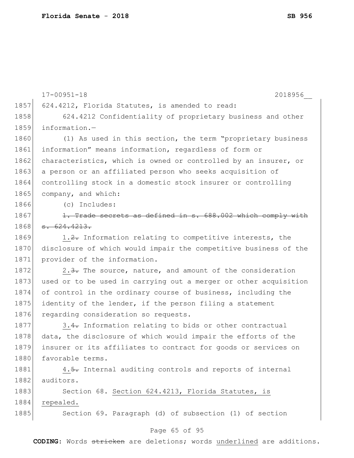|      | $17 - 00951 - 18$<br>2018956                                     |
|------|------------------------------------------------------------------|
| 1857 | 624.4212, Florida Statutes, is amended to read:                  |
| 1858 | 624.4212 Confidentiality of proprietary business and other       |
| 1859 | information.-                                                    |
| 1860 | (1) As used in this section, the term "proprietary business      |
| 1861 | information" means information, regardless of form or            |
| 1862 | characteristics, which is owned or controlled by an insurer, or  |
| 1863 | a person or an affiliated person who seeks acquisition of        |
| 1864 | controlling stock in a domestic stock insurer or controlling     |
| 1865 | company, and which:                                              |
| 1866 | (c) Includes:                                                    |
| 1867 | 1. Trade secrets as defined in s. 688.002 which comply with      |
| 1868 | $-624.4213.$                                                     |
| 1869 | 1.2. Information relating to competitive interests, the          |
| 1870 | disclosure of which would impair the competitive business of the |
| 1871 | provider of the information.                                     |
| 1872 | 2.3. The source, nature, and amount of the consideration         |
| 1873 | used or to be used in carrying out a merger or other acquisition |
| 1874 | of control in the ordinary course of business, including the     |
| 1875 | identity of the lender, if the person filing a statement         |
| 1876 | regarding consideration so requests.                             |
| 1877 | 3.4. Information relating to bids or other contractual           |
| 1878 | data, the disclosure of which would impair the efforts of the    |
| 1879 | insurer or its affiliates to contract for goods or services on   |
| 1880 | favorable terms.                                                 |
| 1881 | 4.5. Internal auditing controls and reports of internal          |
| 1882 | auditors.                                                        |
| 1883 | Section 68. Section 624.4213, Florida Statutes, is               |
| 1884 | repealed.                                                        |
| 1885 | Section 69. Paragraph (d) of subsection (1) of section           |
|      |                                                                  |

# Page 65 of 95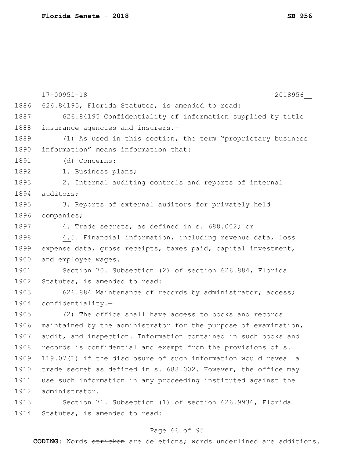|      | $17 - 00951 - 18$<br>2018956                                    |
|------|-----------------------------------------------------------------|
| 1886 | 626.84195, Florida Statutes, is amended to read:                |
| 1887 | 626.84195 Confidentiality of information supplied by title      |
| 1888 | insurance agencies and insurers.-                               |
| 1889 | (1) As used in this section, the term "proprietary business     |
| 1890 | information" means information that:                            |
| 1891 | (d) Concerns:                                                   |
| 1892 | 1. Business plans;                                              |
| 1893 | 2. Internal auditing controls and reports of internal           |
| 1894 | auditors;                                                       |
| 1895 | 3. Reports of external auditors for privately held              |
| 1896 | companies;                                                      |
| 1897 | 4. Trade secrets, as defined in s. 688.002; or                  |
| 1898 | 4.5. Financial information, including revenue data, loss        |
| 1899 | expense data, gross receipts, taxes paid, capital investment,   |
| 1900 | and employee wages.                                             |
| 1901 | Section 70. Subsection (2) of section 626.884, Florida          |
| 1902 | Statutes, is amended to read:                                   |
| 1903 | 626.884 Maintenance of records by administrator; access;        |
| 1904 | $confidentiality. -$                                            |
| 1905 | (2) The office shall have access to books and records           |
| 1906 | maintained by the administrator for the purpose of examination, |
| 1907 | audit, and inspection. Information contained in such books and  |
| 1908 | records is confidential and exempt from the provisions of s.    |
| 1909 | 119.07(1) if the disclosure of such information would reveal a  |
| 1910 | trade secret as defined in s. 688.002. However, the office may  |
| 1911 | use such information in any proceeding instituted against the   |
| 1912 | administrator.                                                  |
| 1913 | Section 71. Subsection (1) of section 626.9936, Florida         |
| 1914 | Statutes, is amended to read:                                   |

# Page 66 of 95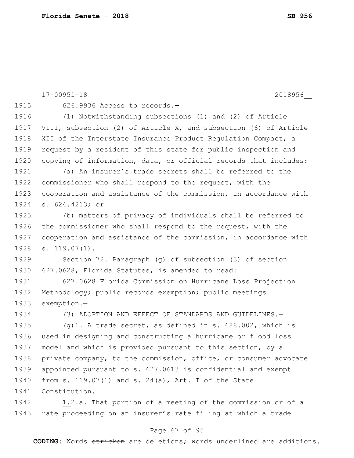|      | $17 - 00951 - 18$<br>2018956                                           |
|------|------------------------------------------------------------------------|
| 1915 | 626.9936 Access to records.-                                           |
| 1916 | (1) Notwithstanding subsections (1) and (2) of Article                 |
| 1917 | VIII, subsection (2) of Article X, and subsection (6) of Article       |
| 1918 | XII of the Interstate Insurance Product Regulation Compact, a          |
| 1919 | request by a resident of this state for public inspection and          |
| 1920 | copying of information, data, or official records that includes:       |
| 1921 | (a) An insurer's trade secrets shall be referred to the                |
| 1922 | commissioner who shall respond to the request, with the                |
| 1923 | cooperation and assistance of the commission, in accordance with       |
| 1924 | <del>s. 624.4213; or</del>                                             |
| 1925 | (b) matters of privacy of individuals shall be referred to             |
| 1926 | the commissioner who shall respond to the request, with the            |
| 1927 | cooperation and assistance of the commission, in accordance with       |
| 1928 | $s. 119.07(1)$ .                                                       |
| 1929 | Section 72. Paragraph (q) of subsection $(3)$ of section               |
| 1930 | 627.0628, Florida Statutes, is amended to read:                        |
| 1931 | 627.0628 Florida Commission on Hurricane Loss Projection               |
| 1932 | Methodology; public records exemption; public meetings                 |
| 1933 | exemption.-                                                            |
| 1934 | (3) ADOPTION AND EFFECT OF STANDARDS AND GUIDELINES.-                  |
| 1935 | $(q)$ <del>1. A trade secret, as defined in s. 688.002, which is</del> |
| 1936 | used in designing and constructing a hurricane or flood loss           |
| 1937 | model and which is provided pursuant to this section, by a             |
| 1938 | private company, to the commission, office, or consumer advocate       |
| 1939 | appointed pursuant to s. 627.0613 is confidential and exempt           |
| 1940 | from $s. 119.07(1)$ and $s. 24(a)$ , Art. I of the State               |
| 1941 | Constitution.                                                          |
| 1942 | 1.2.a. That portion of a meeting of the commission or of a             |
| 1943 | rate proceeding on an insurer's rate filing at which a trade           |
|      |                                                                        |

# Page 67 of 95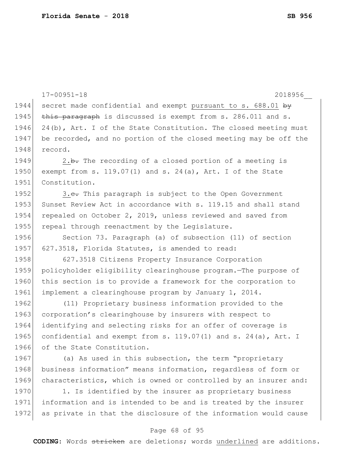|      | $17 - 00951 - 18$<br>2018956                                     |
|------|------------------------------------------------------------------|
| 1944 | secret made confidential and exempt pursuant to s. 688.01 by     |
| 1945 | this paragraph is discussed is exempt from s. 286.011 and s.     |
| 1946 | 24(b), Art. I of the State Constitution. The closed meeting must |
| 1947 | be recorded, and no portion of the closed meeting may be off the |
| 1948 | record.                                                          |
| 1949 | 2.b. The recording of a closed portion of a meeting is           |
| 1950 | exempt from s. $119.07(1)$ and s. $24(a)$ , Art. I of the State  |
| 1951 | Constitution.                                                    |
| 1952 | 3.e. This paragraph is subject to the Open Government            |
| 1953 | Sunset Review Act in accordance with s. 119.15 and shall stand   |
| 1954 | repealed on October 2, 2019, unless reviewed and saved from      |
| 1955 | repeal through reenactment by the Legislature.                   |
| 1956 | Section 73. Paragraph (a) of subsection (11) of section          |
| 1957 | 627.3518, Florida Statutes, is amended to read:                  |
| 1958 | 627.3518 Citizens Property Insurance Corporation                 |
| 1959 | policyholder eligibility clearinghouse program. The purpose of   |
| 1960 | this section is to provide a framework for the corporation to    |
| 1961 | implement a clearinghouse program by January 1, 2014.            |
| 1962 | (11) Proprietary business information provided to the            |
| 1963 | corporation's clearinghouse by insurers with respect to          |
| 1964 | identifying and selecting risks for an offer of coverage is      |
| 1965 | confidential and exempt from s. 119.07(1) and s. 24(a), Art. I   |
| 1966 | of the State Constitution.                                       |
| 1967 | (a) As used in this subsection, the term "proprietary            |
| 1968 | business information" means information, regardless of form or   |
| 1969 | characteristics, which is owned or controlled by an insurer and: |
| 1970 | 1. Is identified by the insurer as proprietary business          |
| 1971 | information and is intended to be and is treated by the insurer  |
| 1972 | as private in that the disclosure of the information would cause |

# Page 68 of 95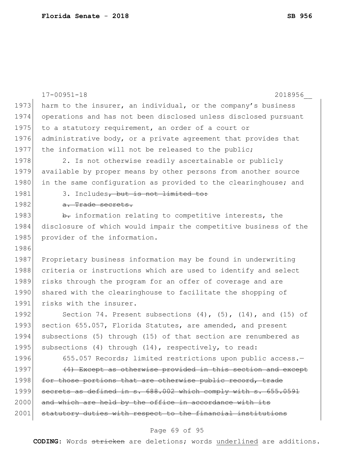|      | $17 - 00951 - 18$<br>2018956                                           |
|------|------------------------------------------------------------------------|
| 1973 | harm to the insurer, an individual, or the company's business          |
| 1974 | operations and has not been disclosed unless disclosed pursuant        |
| 1975 | to a statutory requirement, an order of a court or                     |
| 1976 | administrative body, or a private agreement that provides that         |
| 1977 | the information will not be released to the public;                    |
| 1978 | 2. Is not otherwise readily ascertainable or publicly                  |
| 1979 | available by proper means by other persons from another source         |
| 1980 | in the same configuration as provided to the clearinghouse; and        |
| 1981 | 3. Includes, but is not limited to:                                    |
| 1982 | a. Trade secrets.                                                      |
| 1983 | b. information relating to competitive interests, the                  |
| 1984 | disclosure of which would impair the competitive business of the       |
| 1985 | provider of the information.                                           |
| 1986 |                                                                        |
| 1987 | Proprietary business information may be found in underwriting          |
| 1988 | criteria or instructions which are used to identify and select         |
| 1989 | risks through the program for an offer of coverage and are             |
| 1990 | shared with the clearinghouse to facilitate the shopping of            |
| 1991 | risks with the insurer.                                                |
| 1992 | Section 74. Present subsections $(4)$ , $(5)$ , $(14)$ , and $(15)$ of |
| 1993 | section 655.057, Florida Statutes, are amended, and present            |
| 1994 | subsections (5) through (15) of that section are renumbered as         |
| 1995 | subsections (4) through (14), respectively, to read:                   |
| 1996 | 655.057 Records; limited restrictions upon public access.-             |
| 1997 | (4) Except as otherwise provided in this section and except            |
| 1998 | for those portions that are otherwise public record, trade             |
| 1999 | secrets as defined in s. 688.002 which comply with s. 655.0591         |
| 2000 | and which are held by the office in accordance with its                |
| 2001 | statutory duties with respect to the financial institutions            |
|      |                                                                        |

# Page 69 of 95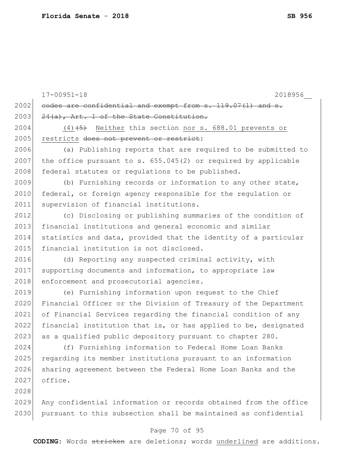|      | $17 - 00951 - 18$<br>2018956                                     |
|------|------------------------------------------------------------------|
| 2002 | eodes are confidential and exempt from s. 119.07(1) and s.       |
| 2003 | 24 (a), Art. I of the State Constitution.                        |
| 2004 | $(4)$ +5) Neither this section nor s. 688.01 prevents or         |
| 2005 | restricts does not prevent or restrict:                          |
| 2006 | (a) Publishing reports that are required to be submitted to      |
| 2007 | the office pursuant to s. $655.045(2)$ or required by applicable |
| 2008 | federal statutes or regulations to be published.                 |
| 2009 | (b) Furnishing records or information to any other state,        |
| 2010 | federal, or foreign agency responsible for the regulation or     |
| 2011 | supervision of financial institutions.                           |
| 2012 | (c) Disclosing or publishing summaries of the condition of       |
| 2013 | financial institutions and general economic and similar          |
| 2014 | statistics and data, provided that the identity of a particular  |
| 2015 | financial institution is not disclosed.                          |
| 2016 | (d) Reporting any suspected criminal activity, with              |
| 2017 | supporting documents and information, to appropriate law         |
| 2018 | enforcement and prosecutorial agencies.                          |
| 2019 | (e) Furnishing information upon request to the Chief             |
| 2020 | Financial Officer or the Division of Treasury of the Department  |
| 2021 | of Financial Services regarding the financial condition of any   |
| 2022 | financial institution that is, or has applied to be, designated  |
| 2023 | as a qualified public depository pursuant to chapter 280.        |
| 2024 | (f) Furnishing information to Federal Home Loan Banks            |
| 2025 | regarding its member institutions pursuant to an information     |
| 2026 | sharing agreement between the Federal Home Loan Banks and the    |
| 2027 | office.                                                          |
| 2028 |                                                                  |
| 2029 | Any confidential information or records obtained from the office |
| 2030 | pursuant to this subsection shall be maintained as confidential  |
|      | Page 70 of 95                                                    |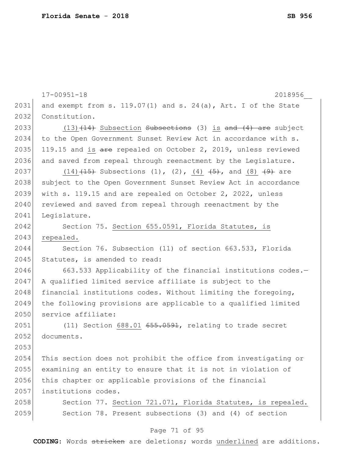17-00951-18 2018956\_\_ Page 71 of 95 2031 and exempt from s. 119.07(1) and s. 24(a), Art. I of the State 2032 Constitution. 2033 (13) $(14)$  Subsection Subsections (3) is and  $(4)$  are subject 2034 to the Open Government Sunset Review Act in accordance with s. 2035 119.15 and is  $\frac{1}{2}$  repealed on October 2, 2019, unless reviewed 2036 and saved from repeal through reenactment by the Legislature. 2037 (14)  $(14)$  (15) Subsections (1), (2), (4)  $(5)$ , and (8)  $(9)$  are 2038 subject to the Open Government Sunset Review Act in accordance 2039 with s. 119.15 and are repealed on October 2, 2022, unless 2040 reviewed and saved from repeal through reenactment by the 2041 Legislature. 2042 Section 75. Section 655.0591, Florida Statutes, is 2043 repealed. 2044 Section 76. Subsection (11) of section 663.533, Florida 2045 Statutes, is amended to read: 2046 663.533 Applicability of the financial institutions codes.-2047 A qualified limited service affiliate is subject to the 2048 financial institutions codes. Without limiting the foregoing, 2049 the following provisions are applicable to a qualified limited 2050 service affiliate:  $2051$  (11) Section 688.01  $655.0591$ , relating to trade secret 2052 documents. 2053 2054 This section does not prohibit the office from investigating or 2055 examining an entity to ensure that it is not in violation of 2056 this chapter or applicable provisions of the financial 2057 institutions codes. 2058 Section 77. Section 721.071, Florida Statutes, is repealed. 2059 Section 78. Present subsections (3) and (4) of section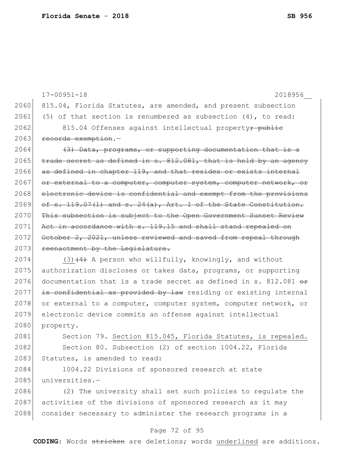17-00951-18 2018956\_\_ 2060 815.04, Florida Statutes, are amended, and present subsection 2061 (5) of that section is renumbered as subsection  $(4)$ , to read: 2062 815.04 Offenses against intellectual property<del>; public</del> 2063 records exemption.  $2064$  (3) Data, programs, or supporting documentation that is a  $2065$  trade secret as defined in s.  $812.081$ , that is held by an agency 2066 as defined in chapter 119, and that resides or exists internal 2067 or external to a computer, computer system, computer network, or 2068 electronic device is confidential and exempt from the provisions  $2069$  of s. 119.07(1) and s.  $24(a)$ , Art. I of the State Constitution. 2070 This subsection is subject to the Open Government Sunset Review 2071 Act in accordance with s. 119.15 and shall stand repealed on 2072 October 2, 2021, unless reviewed and saved from repeal through 2073 reenactment by the Legislature. 2074 (3) $(4)$  A person who willfully, knowingly, and without 2075 authorization discloses or takes data, programs, or supporting 2076 documentation that is a trade secret as defined in s. 812.081  $\leftrightarrow$  $2077$  is confidential as provided by law residing or existing internal 2078 or external to a computer, computer system, computer network, or 2079 electronic device commits an offense against intellectual 2080 property. 2081 Section 79. Section 815.045, Florida Statutes, is repealed. 2082 Section 80. Subsection (2) of section 1004.22, Florida 2083 Statutes, is amended to read: 2084 1004.22 Divisions of sponsored research at state

2085 universities.-

2086 (2) The university shall set such policies to regulate the 2087 activities of the divisions of sponsored research as it may 2088 consider necessary to administer the research programs in a

#### Page 72 of 95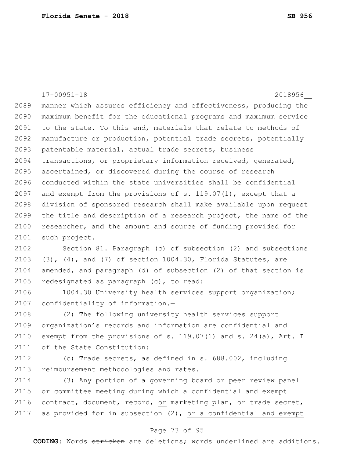17-00951-18 2018956\_\_ 2089 manner which assures efficiency and effectiveness, producing the 2090 maximum benefit for the educational programs and maximum service 2091 to the state. To this end, materials that relate to methods of 2092 manufacture or production, potential trade secrets, potentially 2093 patentable material, actual trade secrets, business 2094 transactions, or proprietary information received, generated, 2095 ascertained, or discovered during the course of research 2096 conducted within the state universities shall be confidential 2097 and exempt from the provisions of s.  $119.07(1)$ , except that a 2098 division of sponsored research shall make available upon request 2099 the title and description of a research project, the name of the 2100 researcher, and the amount and source of funding provided for 2101 such project. 2102 Section 81. Paragraph (c) of subsection (2) and subsections 2103 (3),  $(4)$ , and  $(7)$  of section 1004.30, Florida Statutes, are 2104 amended, and paragraph (d) of subsection (2) of that section is 2105 redesignated as paragraph  $(c)$ , to read: 2106 1004.30 University health services support organization; 2107 confidentiality of information.-2108 (2) The following university health services support 2109 organization's records and information are confidential and 2110 exempt from the provisions of s. 119.07(1) and s. 24(a), Art. I 2111 of the State Constitution: 2112  $\left($  (c) Trade secrets, as defined in s. 688.002, including 2113 reimbursement methodologies and rates.

2114 (3) Any portion of a governing board or peer review panel 2115 or committee meeting during which a confidential and exempt 2116 contract, document, record, or marketing plan, or trade secret, 2117 as provided for in subsection  $(2)$ , or a confidential and exempt

#### Page 73 of 95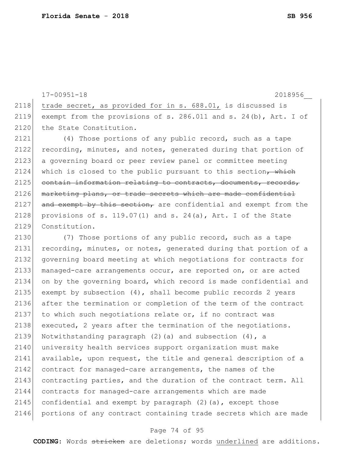2118 trade secret, as provided for in s. 688.01, is discussed is 2119 exempt from the provisions of s. 286.011 and s. 24(b), Art. I of 2120 the State Constitution. 2121 (4) Those portions of any public record, such as a tape 2122 recording, minutes, and notes, generated during that portion of 2123 a governing board or peer review panel or committee meeting 2124 which is closed to the public pursuant to this section, which  $2125$  contain information relating to contracts, documents, records, 2126 marketing plans, or trade secrets which are made confidential 2127 and exempt by this section, are confidential and exempt from the 2128 provisions of s. 119.07(1) and s. 24(a), Art. I of the State 2129 Constitution. 2130 (7) Those portions of any public record, such as a tape 2131 recording, minutes, or notes, generated during that portion of a 2132 governing board meeting at which negotiations for contracts for 2133 managed-care arrangements occur, are reported on, or are acted 2134 on by the governing board, which record is made confidential and 2135 exempt by subsection  $(4)$ , shall become public records 2 years 2136 after the termination or completion of the term of the contract 2137 to which such negotiations relate or, if no contract was 2138 executed, 2 years after the termination of the negotiations. 2139 Notwithstanding paragraph (2)(a) and subsection (4), a 2140 university health services support organization must make 2141 available, upon request, the title and general description of a 2142 contract for managed-care arrangements, the names of the 2143 contracting parties, and the duration of the contract term. All 2144 contracts for managed-care arrangements which are made 2145 confidential and exempt by paragraph  $(2)$  (a), except those 2146 portions of any contract containing trade secrets which are made

17-00951-18 2018956\_\_

#### Page 74 of 95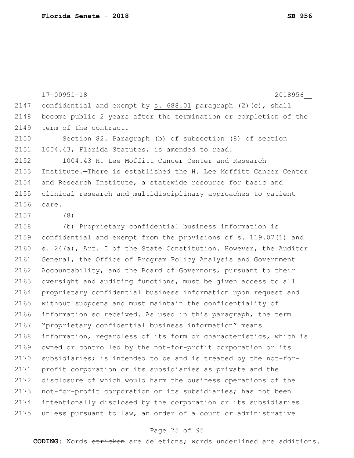17-00951-18 2018956\_\_ 2147 confidential and exempt by s.  $688.01$  paragraph  $(2)$  (c), shall 2148 become public 2 years after the termination or completion of the 2149 term of the contract. 2150 Section 82. Paragraph (b) of subsection (8) of section 2151 1004.43, Florida Statutes, is amended to read: 2152 1004.43 H. Lee Moffitt Cancer Center and Research 2153 Institute.—There is established the H. Lee Moffitt Cancer Center 2154 and Research Institute, a statewide resource for basic and 2155 clinical research and multidisciplinary approaches to patient 2156 care. 2157 (8) 2158 (b) Proprietary confidential business information is 2159 confidential and exempt from the provisions of s. 119.07(1) and 2160 s. 24(a), Art. I of the State Constitution. However, the Auditor 2161 General, the Office of Program Policy Analysis and Government 2162 Accountability, and the Board of Governors, pursuant to their 2163 oversight and auditing functions, must be given access to all 2164 proprietary confidential business information upon request and 2165 | without subpoena and must maintain the confidentiality of 2166 information so received. As used in this paragraph, the term 2167 "proprietary confidential business information" means 2168 information, regardless of its form or characteristics, which is 2169 owned or controlled by the not-for-profit corporation or its 2170 subsidiaries; is intended to be and is treated by the not-for-2171 profit corporation or its subsidiaries as private and the 2172 disclosure of which would harm the business operations of the 2173 not-for-profit corporation or its subsidiaries; has not been 2174 intentionally disclosed by the corporation or its subsidiaries 2175 unless pursuant to law, an order of a court or administrative

#### Page 75 of 95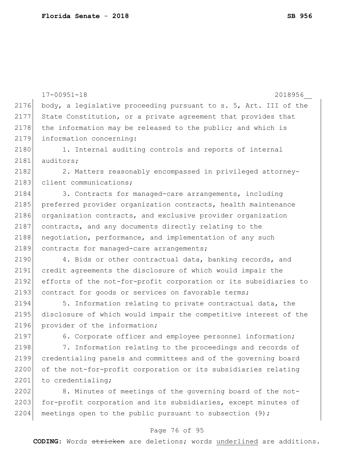17-00951-18 2018956\_\_ 2176 body, a legislative proceeding pursuant to s. 5, Art. III of the 2177 State Constitution, or a private agreement that provides that 2178 the information may be released to the public; and which is 2179 information concerning: 2180 1. Internal auditing controls and reports of internal 2181 auditors: 2182 2. Matters reasonably encompassed in privileged attorney-2183 client communications; 2184 3. Contracts for managed-care arrangements, including 2185 preferred provider organization contracts, health maintenance 2186 organization contracts, and exclusive provider organization 2187 contracts, and any documents directly relating to the 2188 | negotiation, performance, and implementation of any such 2189 contracts for managed-care arrangements; 2190 4. Bids or other contractual data, banking records, and 2191 credit agreements the disclosure of which would impair the 2192 efforts of the not-for-profit corporation or its subsidiaries to 2193 contract for goods or services on favorable terms; 2194 5. Information relating to private contractual data, the 2195 disclosure of which would impair the competitive interest of the 2196 provider of the information; 2197 6. Corporate officer and employee personnel information; 2198 7. Information relating to the proceedings and records of 2199 credentialing panels and committees and of the governing board 2200 of the not-for-profit corporation or its subsidiaries relating 2201 to credentialing; 2202 8. Minutes of meetings of the governing board of the not-2203 for-profit corporation and its subsidiaries, except minutes of 2204 meetings open to the public pursuant to subsection  $(9)$ ;

#### Page 76 of 95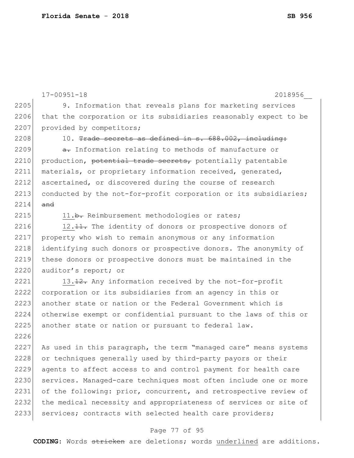17-00951-18 2018956\_\_ 2205 9. Information that reveals plans for marketing services 2206 that the corporation or its subsidiaries reasonably expect to be 2207 provided by competitors;  $2208$  10. <del>Trade secrets as defined in s.  $688.002$ , including:</del> 2209  $\rightarrow$  a. Information relating to methods of manufacture or 2210 production, potential trade secrets, potentially patentable 2211 materials, or proprietary information received, generated, 2212 ascertained, or discovered during the course of research 2213 conducted by the not-for-profit corporation or its subsidiaries;  $2214$  and 2215 11.b. Reimbursement methodologies or rates; 2216  $12.11$ . The identity of donors or prospective donors of 2217 property who wish to remain anonymous or any information 2218 identifying such donors or prospective donors. The anonymity of 2219 these donors or prospective donors must be maintained in the 2220 auditor's report; or 2221  $\vert$  13.<del>12.</del> Any information received by the not-for-profit 2222 corporation or its subsidiaries from an agency in this or 2223 another state or nation or the Federal Government which is 2224 otherwise exempt or confidential pursuant to the laws of this or 2225 another state or nation or pursuant to federal law. 2226 2227 As used in this paragraph, the term "managed care" means systems 2228 or techniques generally used by third-party payors or their 2229 agents to affect access to and control payment for health care 2230 services. Managed-care techniques most often include one or more 2231 of the following: prior, concurrent, and retrospective review of 2232 the medical necessity and appropriateness of services or site of 2233 services; contracts with selected health care providers;

#### Page 77 of 95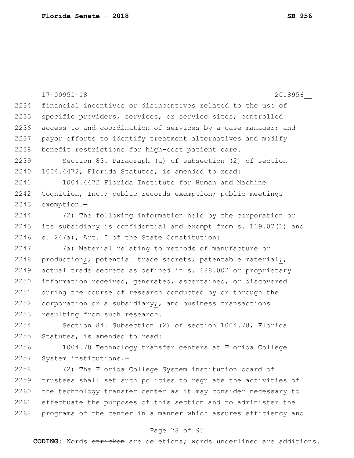|      | $17 - 00951 - 18$<br>2018956                                    |
|------|-----------------------------------------------------------------|
| 2234 | financial incentives or disincentives related to the use of     |
| 2235 | specific providers, services, or service sites; controlled      |
| 2236 | access to and coordination of services by a case manager; and   |
| 2237 | payor efforts to identify treatment alternatives and modify     |
| 2238 | benefit restrictions for high-cost patient care.                |
| 2239 | Section 83. Paragraph (a) of subsection (2) of section          |
| 2240 | 1004.4472, Florida Statutes, is amended to read:                |
| 2241 | 1004.4472 Florida Institute for Human and Machine               |
| 2242 | Cognition, Inc.; public records exemption; public meetings      |
| 2243 | exemption.-                                                     |
| 2244 | (2) The following information held by the corporation or        |
| 2245 | its subsidiary is confidential and exempt from s. 119.07(1) and |
| 2246 | s. 24(a), Art. I of the State Constitution:                     |
| 2247 | (a) Material relating to methods of manufacture or              |
| 2248 | production; potential trade secrets, patentable material;       |
| 2249 | actual trade secrets as defined in s. 688.002 or proprietary    |
| 2250 | information received, generated, ascertained, or discovered     |
| 2251 | during the course of research conducted by or through the       |
| 2252 | corporation or a subsidiary; $\tau$ and business transactions   |
| 2253 | resulting from such research.                                   |
| 2254 | Section 84. Subsection (2) of section 1004.78, Florida          |
| 2255 | Statutes, is amended to read:                                   |
| 2256 | 1004.78 Technology transfer centers at Florida College          |
| 2257 | System institutions.-                                           |
| 2258 | (2) The Florida College System institution board of             |
| 2259 | trustees shall set such policies to regulate the activities of  |
| 2260 | the technology transfer center as it may consider necessary to  |
| 2261 | effectuate the purposes of this section and to administer the   |
| 2262 | programs of the center in a manner which assures efficiency and |

# Page 78 of 95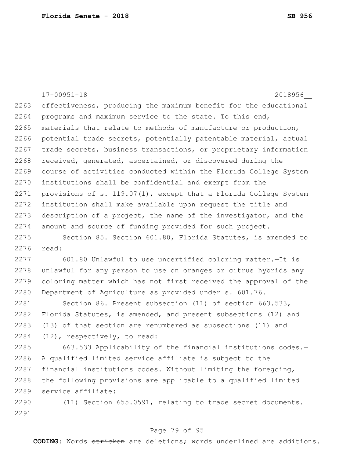|      | $17 - 00951 - 18$<br>2018956                                     |
|------|------------------------------------------------------------------|
| 2263 | effectiveness, producing the maximum benefit for the educational |
| 2264 | programs and maximum service to the state. To this end,          |
| 2265 | materials that relate to methods of manufacture or production,   |
| 2266 | potential trade secrets, potentially patentable material, actual |
| 2267 | trade secrets, business transactions, or proprietary information |
| 2268 | received, generated, ascertained, or discovered during the       |
| 2269 | course of activities conducted within the Florida College System |
| 2270 | institutions shall be confidential and exempt from the           |
| 2271 | provisions of s. 119.07(1), except that a Florida College System |
| 2272 | institution shall make available upon request the title and      |
| 2273 | description of a project, the name of the investigator, and the  |
| 2274 | amount and source of funding provided for such project.          |
| 2275 | Section 85. Section 601.80, Florida Statutes, is amended to      |
| 2276 | read:                                                            |
| 2277 | 601.80 Unlawful to use uncertified coloring matter. - It is      |
| 2278 | unlawful for any person to use on oranges or citrus hybrids any  |
| 2279 | coloring matter which has not first received the approval of the |
| 2280 | Department of Agriculture as provided under s. 601.76.           |
| 2281 | Section 86. Present subsection (11) of section 663.533,          |
| 2282 | Florida Statutes, is amended, and present subsections (12) and   |
| 2283 | (13) of that section are renumbered as subsections (11) and      |
| 2284 | $(12)$ , respectively, to read:                                  |
| 2285 | 663.533 Applicability of the financial institutions codes.-      |
| 2286 | A qualified limited service affiliate is subject to the          |
| 2287 | financial institutions codes. Without limiting the foregoing,    |
| 2288 | the following provisions are applicable to a qualified limited   |
| 2289 | service affiliate:                                               |
| 2290 | (11) Section 655.0591, relating to trade secret documents.       |
| 2291 |                                                                  |

# Page 79 of 95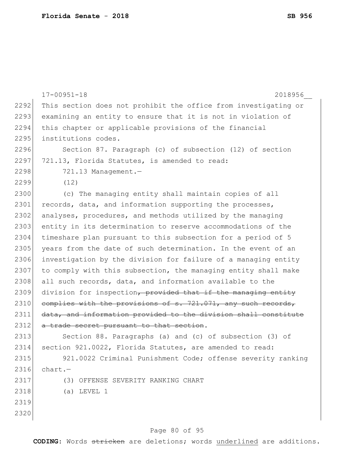|      | $17 - 00951 - 18$<br>2018956                                    |
|------|-----------------------------------------------------------------|
| 2292 | This section does not prohibit the office from investigating or |
| 2293 | examining an entity to ensure that it is not in violation of    |
| 2294 | this chapter or applicable provisions of the financial          |
| 2295 | institutions codes.                                             |
| 2296 | Section 87. Paragraph (c) of subsection (12) of section         |
| 2297 | 721.13, Florida Statutes, is amended to read:                   |
| 2298 | 721.13 Management.-                                             |
| 2299 | (12)                                                            |
| 2300 | (c) The managing entity shall maintain copies of all            |
| 2301 | records, data, and information supporting the processes,        |
| 2302 | analyses, procedures, and methods utilized by the managing      |
| 2303 | entity in its determination to reserve accommodations of the    |
| 2304 | timeshare plan pursuant to this subsection for a period of 5    |
| 2305 | years from the date of such determination. In the event of an   |
| 2306 | investigation by the division for failure of a managing entity  |
| 2307 | to comply with this subsection, the managing entity shall make  |
| 2308 | all such records, data, and information available to the        |
| 2309 | division for inspection, provided that if the managing entity   |
| 2310 | complies with the provisions of s. 721.071, any such records,   |
| 2311 | data, and information provided to the division shall constitute |
| 2312 | a trade secret pursuant to that section.                        |
| 2313 | Section 88. Paragraphs (a) and (c) of subsection (3) of         |
| 2314 | section 921.0022, Florida Statutes, are amended to read:        |
| 2315 | 921.0022 Criminal Punishment Code; offense severity ranking     |
| 2316 | $chart. -$                                                      |
| 2317 | (3) OFFENSE SEVERITY RANKING CHART                              |
| 2318 | $(a)$ LEVEL 1                                                   |
| 2319 |                                                                 |
| 2320 |                                                                 |
|      |                                                                 |

# Page 80 of 95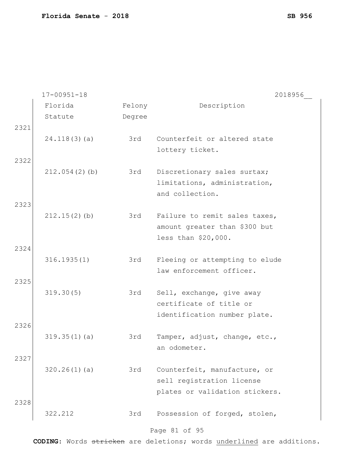| Florida<br>Description<br>Felony<br>Statute<br>Degree<br>2321<br>3rd<br>Counterfeit or altered state<br>24.118(3)(a)<br>lottery ticket.<br>2322<br>212.054(2)(b)<br>3rd<br>Discretionary sales surtax;<br>limitations, administration,<br>and collection.<br>2323<br>$212.15(2)$ (b)<br>3rd<br>Failure to remit sales taxes,<br>amount greater than \$300 but<br>less than \$20,000.<br>2324<br>316.1935(1)<br>3rd<br>Fleeing or attempting to elude<br>law enforcement officer.<br>2325<br>319.30(5)<br>3rd<br>Sell, exchange, give away<br>certificate of title or<br>identification number plate.<br>2326<br>319.35(1)(a)<br>3rd<br>Tamper, adjust, change, etc.,<br>an odometer.<br>2327<br>320.26(1)(a)<br>Counterfeit, manufacture, or<br>3rd<br>sell registration license<br>plates or validation stickers.<br>2328 | $17 - 00951 - 18$ | 2018956 |
|----------------------------------------------------------------------------------------------------------------------------------------------------------------------------------------------------------------------------------------------------------------------------------------------------------------------------------------------------------------------------------------------------------------------------------------------------------------------------------------------------------------------------------------------------------------------------------------------------------------------------------------------------------------------------------------------------------------------------------------------------------------------------------------------------------------------------|-------------------|---------|
|                                                                                                                                                                                                                                                                                                                                                                                                                                                                                                                                                                                                                                                                                                                                                                                                                            |                   |         |
|                                                                                                                                                                                                                                                                                                                                                                                                                                                                                                                                                                                                                                                                                                                                                                                                                            |                   |         |
|                                                                                                                                                                                                                                                                                                                                                                                                                                                                                                                                                                                                                                                                                                                                                                                                                            |                   |         |
|                                                                                                                                                                                                                                                                                                                                                                                                                                                                                                                                                                                                                                                                                                                                                                                                                            |                   |         |
|                                                                                                                                                                                                                                                                                                                                                                                                                                                                                                                                                                                                                                                                                                                                                                                                                            |                   |         |
|                                                                                                                                                                                                                                                                                                                                                                                                                                                                                                                                                                                                                                                                                                                                                                                                                            |                   |         |
|                                                                                                                                                                                                                                                                                                                                                                                                                                                                                                                                                                                                                                                                                                                                                                                                                            |                   |         |
|                                                                                                                                                                                                                                                                                                                                                                                                                                                                                                                                                                                                                                                                                                                                                                                                                            |                   |         |
|                                                                                                                                                                                                                                                                                                                                                                                                                                                                                                                                                                                                                                                                                                                                                                                                                            |                   |         |
|                                                                                                                                                                                                                                                                                                                                                                                                                                                                                                                                                                                                                                                                                                                                                                                                                            |                   |         |
|                                                                                                                                                                                                                                                                                                                                                                                                                                                                                                                                                                                                                                                                                                                                                                                                                            |                   |         |
|                                                                                                                                                                                                                                                                                                                                                                                                                                                                                                                                                                                                                                                                                                                                                                                                                            |                   |         |
|                                                                                                                                                                                                                                                                                                                                                                                                                                                                                                                                                                                                                                                                                                                                                                                                                            |                   |         |
|                                                                                                                                                                                                                                                                                                                                                                                                                                                                                                                                                                                                                                                                                                                                                                                                                            |                   |         |
|                                                                                                                                                                                                                                                                                                                                                                                                                                                                                                                                                                                                                                                                                                                                                                                                                            |                   |         |
|                                                                                                                                                                                                                                                                                                                                                                                                                                                                                                                                                                                                                                                                                                                                                                                                                            |                   |         |
|                                                                                                                                                                                                                                                                                                                                                                                                                                                                                                                                                                                                                                                                                                                                                                                                                            |                   |         |
|                                                                                                                                                                                                                                                                                                                                                                                                                                                                                                                                                                                                                                                                                                                                                                                                                            |                   |         |
|                                                                                                                                                                                                                                                                                                                                                                                                                                                                                                                                                                                                                                                                                                                                                                                                                            |                   |         |
|                                                                                                                                                                                                                                                                                                                                                                                                                                                                                                                                                                                                                                                                                                                                                                                                                            |                   |         |
|                                                                                                                                                                                                                                                                                                                                                                                                                                                                                                                                                                                                                                                                                                                                                                                                                            |                   |         |
|                                                                                                                                                                                                                                                                                                                                                                                                                                                                                                                                                                                                                                                                                                                                                                                                                            |                   |         |
|                                                                                                                                                                                                                                                                                                                                                                                                                                                                                                                                                                                                                                                                                                                                                                                                                            |                   |         |
|                                                                                                                                                                                                                                                                                                                                                                                                                                                                                                                                                                                                                                                                                                                                                                                                                            |                   |         |
|                                                                                                                                                                                                                                                                                                                                                                                                                                                                                                                                                                                                                                                                                                                                                                                                                            |                   |         |
|                                                                                                                                                                                                                                                                                                                                                                                                                                                                                                                                                                                                                                                                                                                                                                                                                            |                   |         |
|                                                                                                                                                                                                                                                                                                                                                                                                                                                                                                                                                                                                                                                                                                                                                                                                                            |                   |         |
|                                                                                                                                                                                                                                                                                                                                                                                                                                                                                                                                                                                                                                                                                                                                                                                                                            |                   |         |
|                                                                                                                                                                                                                                                                                                                                                                                                                                                                                                                                                                                                                                                                                                                                                                                                                            |                   |         |
| 322.212<br>Possession of forged, stolen,<br>3rd                                                                                                                                                                                                                                                                                                                                                                                                                                                                                                                                                                                                                                                                                                                                                                            |                   |         |

# Page 81 of 95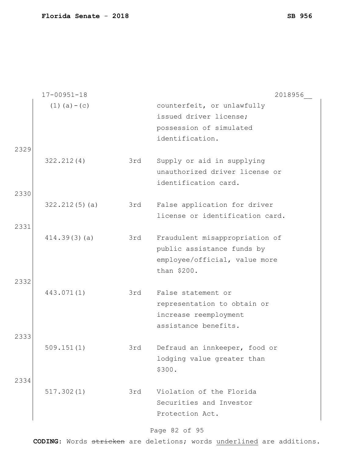|      | $17 - 00951 - 18$ |     | 2018956                                                                                            |
|------|-------------------|-----|----------------------------------------------------------------------------------------------------|
|      | $(1)$ (a) – (c)   |     | counterfeit, or unlawfully<br>issued driver license;                                               |
|      |                   |     | possession of simulated                                                                            |
|      |                   |     | identification.                                                                                    |
| 2329 |                   |     |                                                                                                    |
|      | 322.212(4)        | 3rd | Supply or aid in supplying<br>unauthorized driver license or<br>identification card.               |
| 2330 |                   |     |                                                                                                    |
|      | 322.212(5)(a)     | 3rd | False application for driver<br>license or identification card.                                    |
| 2331 | 414.39(3)(a)      | 3rd | Fraudulent misappropriation of<br>public assistance funds by<br>employee/official, value more      |
|      |                   |     | than \$200.                                                                                        |
| 2332 | 443.071(1)        | 3rd | False statement or<br>representation to obtain or<br>increase reemployment<br>assistance benefits. |
| 2333 | 509.151(1)        | 3rd | Defraud an innkeeper, food or<br>lodging value greater than<br>\$300.                              |
| 2334 | 517.302(1)        | 3rd | Violation of the Florida<br>Securities and Investor<br>Protection Act.                             |

# Page 82 of 95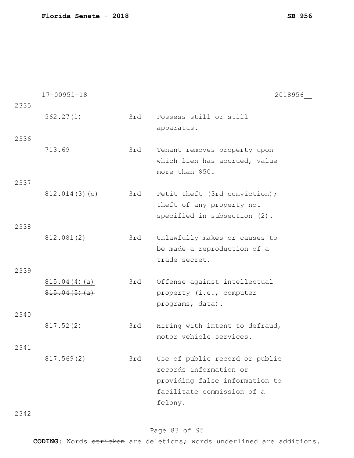|      | $17 - 00951 - 18$            |     | 2018956                                          |
|------|------------------------------|-----|--------------------------------------------------|
| 2335 |                              |     |                                                  |
|      | 562.27(1)                    | 3rd | Possess still or still                           |
|      |                              |     | apparatus.                                       |
| 2336 |                              |     |                                                  |
|      | 713.69                       | 3rd | Tenant removes property upon                     |
|      |                              |     | which lien has accrued, value<br>more than \$50. |
| 2337 |                              |     |                                                  |
|      | 812.014(3)(c)                | 3rd | Petit theft (3rd conviction);                    |
|      |                              |     | theft of any property not                        |
|      |                              |     | specified in subsection (2).                     |
| 2338 |                              |     |                                                  |
|      | 812.081(2)                   | 3rd | Unlawfully makes or causes to                    |
|      |                              |     | be made a reproduction of a                      |
|      |                              |     | trade secret.                                    |
| 2339 |                              |     |                                                  |
|      | 815.04(4)(a)<br>815.04(5)(a) | 3rd | Offense against intellectual                     |
|      |                              |     | property (i.e., computer<br>programs, data).     |
| 2340 |                              |     |                                                  |
|      | 817.52(2)                    | 3rd | Hiring with intent to defraud,                   |
|      |                              |     | motor vehicle services.                          |
| 2341 |                              |     |                                                  |
|      | 817.569(2)                   | 3rd | Use of public record or public                   |
|      |                              |     | records information or                           |
|      |                              |     | providing false information to                   |
|      |                              |     | facilitate commission of a                       |
|      |                              |     | felony.                                          |
| 2342 |                              |     |                                                  |

# Page 83 of 95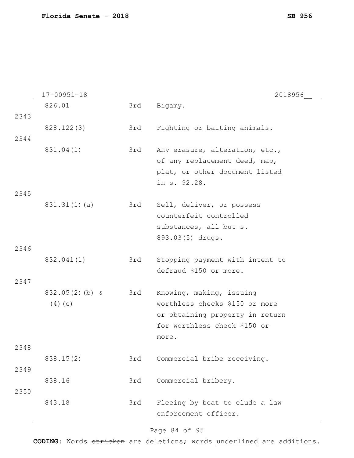|              | $17 - 00951 - 18$           |     | 2018956                                                                                                                                |
|--------------|-----------------------------|-----|----------------------------------------------------------------------------------------------------------------------------------------|
|              | 826.01                      | 3rd | Bigamy.                                                                                                                                |
| 2343<br>2344 | 828.122(3)                  | 3rd | Fighting or baiting animals.                                                                                                           |
| 2345         | 831.04(1)                   | 3rd | Any erasure, alteration, etc.,<br>of any replacement deed, map,<br>plat, or other document listed<br>in s. 92.28.                      |
| 2346         | 831.31(1)(a)                | 3rd | Sell, deliver, or possess<br>counterfeit controlled<br>substances, all but s.<br>893.03(5) drugs.                                      |
| 2347         | 832.041(1)                  | 3rd | Stopping payment with intent to<br>defraud \$150 or more.                                                                              |
|              | $832.05(2)$ (b) &<br>(4)(c) | 3rd | Knowing, making, issuing<br>worthless checks \$150 or more<br>or obtaining property in return<br>for worthless check \$150 or<br>more. |
| 2348         | 838.15(2)                   | 3rd | Commercial bribe receiving.                                                                                                            |
| 2349<br>2350 | 838.16                      | 3rd | Commercial bribery.                                                                                                                    |
|              | 843.18                      | 3rd | Fleeing by boat to elude a law<br>enforcement officer.                                                                                 |

# Page 84 of 95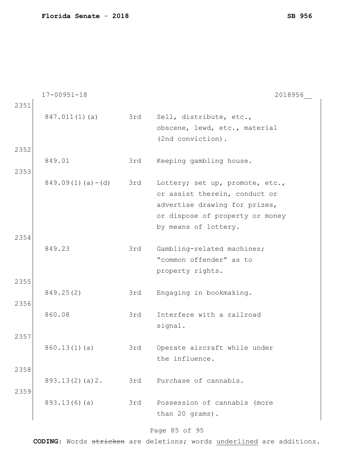| $847.011(1)$ (a)<br>3rd<br>Sell, distribute, etc.,<br>obscene, lewd, etc., material<br>(2nd conviction).<br>2352<br>849.01<br>3rd<br>Keeping gambling house.<br>2353<br>$849.09(1)(a) - (d)$<br>3rd<br>Lottery; set up, promote, etc.,<br>or assist therein, conduct or<br>advertise drawing for prizes,<br>or dispose of property or money<br>by means of lottery.<br>2354<br>849.23<br>3rd<br>Gambling-related machines;<br>"common offender" as to<br>property rights.<br>2355<br>849.25(2)<br>Engaging in bookmaking.<br>3rd<br>2356<br>860.08<br>Interfere with a railroad<br>3rd<br>signal.<br>2357<br>Operate aircraft while under<br>860.13(1)(a)<br>3rd<br>the influence.<br>2358<br>3rd<br>Purchase of cannabis.<br>893.13(2)(a)2.<br>2359 |      | $17 - 00951 - 18$ | 2018956 |
|------------------------------------------------------------------------------------------------------------------------------------------------------------------------------------------------------------------------------------------------------------------------------------------------------------------------------------------------------------------------------------------------------------------------------------------------------------------------------------------------------------------------------------------------------------------------------------------------------------------------------------------------------------------------------------------------------------------------------------------------------|------|-------------------|---------|
|                                                                                                                                                                                                                                                                                                                                                                                                                                                                                                                                                                                                                                                                                                                                                      | 2351 |                   |         |
|                                                                                                                                                                                                                                                                                                                                                                                                                                                                                                                                                                                                                                                                                                                                                      |      |                   |         |
|                                                                                                                                                                                                                                                                                                                                                                                                                                                                                                                                                                                                                                                                                                                                                      |      |                   |         |
|                                                                                                                                                                                                                                                                                                                                                                                                                                                                                                                                                                                                                                                                                                                                                      |      |                   |         |
|                                                                                                                                                                                                                                                                                                                                                                                                                                                                                                                                                                                                                                                                                                                                                      |      |                   |         |
|                                                                                                                                                                                                                                                                                                                                                                                                                                                                                                                                                                                                                                                                                                                                                      |      |                   |         |
|                                                                                                                                                                                                                                                                                                                                                                                                                                                                                                                                                                                                                                                                                                                                                      |      |                   |         |
|                                                                                                                                                                                                                                                                                                                                                                                                                                                                                                                                                                                                                                                                                                                                                      |      |                   |         |
|                                                                                                                                                                                                                                                                                                                                                                                                                                                                                                                                                                                                                                                                                                                                                      |      |                   |         |
|                                                                                                                                                                                                                                                                                                                                                                                                                                                                                                                                                                                                                                                                                                                                                      |      |                   |         |
|                                                                                                                                                                                                                                                                                                                                                                                                                                                                                                                                                                                                                                                                                                                                                      |      |                   |         |
|                                                                                                                                                                                                                                                                                                                                                                                                                                                                                                                                                                                                                                                                                                                                                      |      |                   |         |
|                                                                                                                                                                                                                                                                                                                                                                                                                                                                                                                                                                                                                                                                                                                                                      |      |                   |         |
|                                                                                                                                                                                                                                                                                                                                                                                                                                                                                                                                                                                                                                                                                                                                                      |      |                   |         |
|                                                                                                                                                                                                                                                                                                                                                                                                                                                                                                                                                                                                                                                                                                                                                      |      |                   |         |
|                                                                                                                                                                                                                                                                                                                                                                                                                                                                                                                                                                                                                                                                                                                                                      |      |                   |         |
|                                                                                                                                                                                                                                                                                                                                                                                                                                                                                                                                                                                                                                                                                                                                                      |      |                   |         |
|                                                                                                                                                                                                                                                                                                                                                                                                                                                                                                                                                                                                                                                                                                                                                      |      |                   |         |
|                                                                                                                                                                                                                                                                                                                                                                                                                                                                                                                                                                                                                                                                                                                                                      |      |                   |         |
|                                                                                                                                                                                                                                                                                                                                                                                                                                                                                                                                                                                                                                                                                                                                                      |      |                   |         |
|                                                                                                                                                                                                                                                                                                                                                                                                                                                                                                                                                                                                                                                                                                                                                      |      |                   |         |
|                                                                                                                                                                                                                                                                                                                                                                                                                                                                                                                                                                                                                                                                                                                                                      |      |                   |         |
|                                                                                                                                                                                                                                                                                                                                                                                                                                                                                                                                                                                                                                                                                                                                                      |      |                   |         |
|                                                                                                                                                                                                                                                                                                                                                                                                                                                                                                                                                                                                                                                                                                                                                      |      |                   |         |
|                                                                                                                                                                                                                                                                                                                                                                                                                                                                                                                                                                                                                                                                                                                                                      |      |                   |         |
|                                                                                                                                                                                                                                                                                                                                                                                                                                                                                                                                                                                                                                                                                                                                                      |      |                   |         |
|                                                                                                                                                                                                                                                                                                                                                                                                                                                                                                                                                                                                                                                                                                                                                      |      |                   |         |
|                                                                                                                                                                                                                                                                                                                                                                                                                                                                                                                                                                                                                                                                                                                                                      |      |                   |         |
| Possession of cannabis (more<br>893.13(6)(a)<br>3rd                                                                                                                                                                                                                                                                                                                                                                                                                                                                                                                                                                                                                                                                                                  |      |                   |         |
| than 20 grams).                                                                                                                                                                                                                                                                                                                                                                                                                                                                                                                                                                                                                                                                                                                                      |      |                   |         |

# Page 85 of 95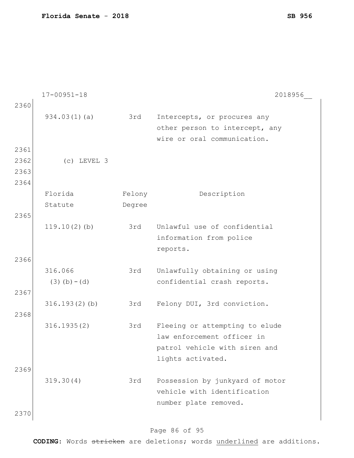|      | $17 - 00951 - 18$ |        | 2018956                         |
|------|-------------------|--------|---------------------------------|
| 2360 |                   |        |                                 |
|      | 934.03(1)(a)      | 3rd    | Intercepts, or procures any     |
|      |                   |        | other person to intercept, any  |
|      |                   |        | wire or oral communication.     |
| 2361 |                   |        |                                 |
| 2362 | $(c)$ LEVEL 3     |        |                                 |
| 2363 |                   |        |                                 |
| 2364 |                   |        |                                 |
|      | Florida           | Felony | Description                     |
|      | Statute           | Degree |                                 |
| 2365 |                   |        |                                 |
|      | $119.10(2)$ (b)   | 3rd    | Unlawful use of confidential    |
|      |                   |        | information from police         |
|      |                   |        | reports.                        |
| 2366 |                   |        |                                 |
|      | 316.066           | 3rd    | Unlawfully obtaining or using   |
|      | $(3)$ (b) – (d)   |        | confidential crash reports.     |
| 2367 |                   |        |                                 |
|      | 316.193(2)(b)     | 3rd    | Felony DUI, 3rd conviction.     |
| 2368 |                   |        |                                 |
|      | 316.1935(2)       | 3rd    | Fleeing or attempting to elude  |
|      |                   |        | law enforcement officer in      |
|      |                   |        | patrol vehicle with siren and   |
|      |                   |        | lights activated.               |
| 2369 |                   |        |                                 |
|      | 319.30(4)         | 3rd    | Possession by junkyard of motor |
|      |                   |        | vehicle with identification     |
|      |                   |        | number plate removed.           |
| 2370 |                   |        |                                 |
|      |                   |        |                                 |

# Page 86 of 95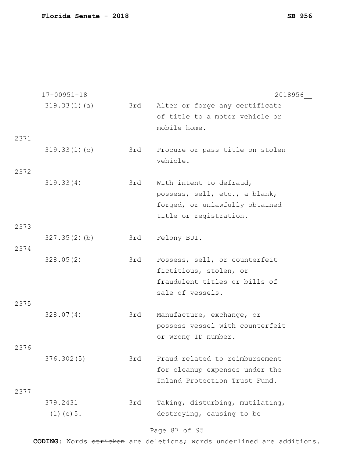|      | $17 - 00951 - 18$ |     | 2018956                         |
|------|-------------------|-----|---------------------------------|
|      | 319.33(1)(a)      | 3rd | Alter or forge any certificate  |
|      |                   |     | of title to a motor vehicle or  |
|      |                   |     | mobile home.                    |
| 2371 |                   |     |                                 |
|      | 319.33(1)(c)      | 3rd | Procure or pass title on stolen |
|      |                   |     | vehicle.                        |
| 2372 |                   |     |                                 |
|      | 319.33(4)         | 3rd | With intent to defraud,         |
|      |                   |     | possess, sell, etc., a blank,   |
|      |                   |     | forged, or unlawfully obtained  |
|      |                   |     | title or registration.          |
| 2373 |                   |     |                                 |
|      | 327.35(2)(b)      | 3rd | Felony BUI.                     |
| 2374 |                   |     |                                 |
|      | 328.05(2)         | 3rd | Possess, sell, or counterfeit   |
|      |                   |     | fictitious, stolen, or          |
|      |                   |     | fraudulent titles or bills of   |
|      |                   |     | sale of vessels.                |
| 2375 |                   |     |                                 |
|      | 328.07(4)         | 3rd | Manufacture, exchange, or       |
|      |                   |     | possess vessel with counterfeit |
|      |                   |     | or wrong ID number.             |
| 2376 | 376.302(5)        | 3rd | Fraud related to reimbursement  |
|      |                   |     | for cleanup expenses under the  |
|      |                   |     | Inland Protection Trust Fund.   |
| 2377 |                   |     |                                 |
|      | 379.2431          | 3rd | Taking, disturbing, mutilating, |
|      | $(1)$ (e) $5$ .   |     | destroying, causing to be       |
|      |                   |     |                                 |

# Page 87 of 95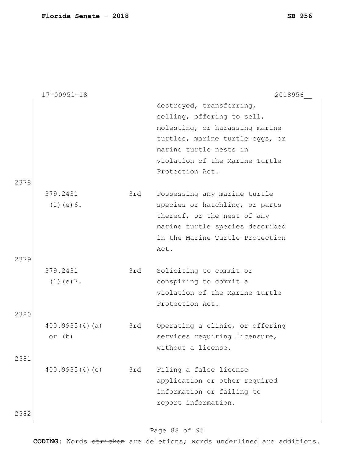|      | $17 - 00951 - 18$ |     | 2018956                         |
|------|-------------------|-----|---------------------------------|
|      |                   |     | destroyed, transferring,        |
|      |                   |     | selling, offering to sell,      |
|      |                   |     | molesting, or harassing marine  |
|      |                   |     | turtles, marine turtle eggs, or |
|      |                   |     | marine turtle nests in          |
|      |                   |     | violation of the Marine Turtle  |
|      |                   |     | Protection Act.                 |
| 2378 |                   |     |                                 |
|      | 379.2431          | 3rd | Possessing any marine turtle    |
|      | $(1)$ (e) $6$ .   |     | species or hatchling, or parts  |
|      |                   |     | thereof, or the nest of any     |
|      |                   |     | marine turtle species described |
|      |                   |     | in the Marine Turtle Protection |
|      |                   |     | Act.                            |
| 2379 |                   |     |                                 |
|      | 379.2431          | 3rd | Soliciting to commit or         |
|      | $(1)$ (e) 7.      |     | conspiring to commit a          |
|      |                   |     | violation of the Marine Turtle  |
|      |                   |     | Protection Act.                 |
| 2380 |                   |     |                                 |
|      | 400.9935(4)(a)    | 3rd | Operating a clinic, or offering |
|      | or $(b)$          |     | services requiring licensure,   |
|      |                   |     | without a license.              |
| 2381 |                   |     |                                 |
|      | 400.9935(4)(e)    | 3rd | Filing a false license          |
|      |                   |     | application or other required   |
|      |                   |     | information or failing to       |
|      |                   |     | report information.             |
| 2382 |                   |     |                                 |

# Page 88 of 95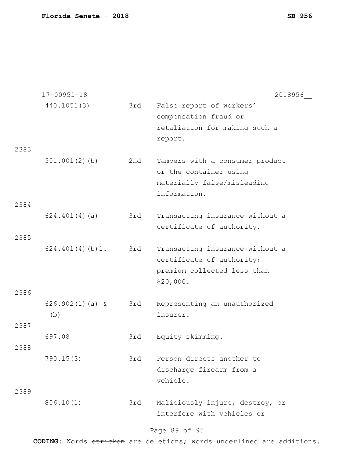|              | $17 - 00951 - 18$        |     | 2018956                                                                                                  |
|--------------|--------------------------|-----|----------------------------------------------------------------------------------------------------------|
|              | 440.1051(3)              | 3rd | False report of workers'<br>compensation fraud or<br>retaliation for making such a<br>report.            |
| 2383         | $501.001(2)$ (b)         | 2nd | Tampers with a consumer product<br>or the container using<br>materially false/misleading<br>information. |
| 2384<br>2385 | 624.401(4)(a)            | 3rd | Transacting insurance without a<br>certificate of authority.                                             |
| 2386         | 624.401(4)(b)1.          | 3rd | Transacting insurance without a<br>certificate of authority;<br>premium collected less than<br>\$20,000. |
|              | $626.902(1)(a)$ &<br>(b) | 3rd | Representing an unauthorized<br>insurer.                                                                 |
| 2387<br>2388 | 697.08                   | 3rd | Equity skimming.                                                                                         |
| 2389         | 790.15(3)                | 3rd | Person directs another to<br>discharge firearm from a<br>vehicle.                                        |
|              | 806.10(1)                | 3rd | Maliciously injure, destroy, or<br>interfere with vehicles or                                            |

#### Page 89 of 95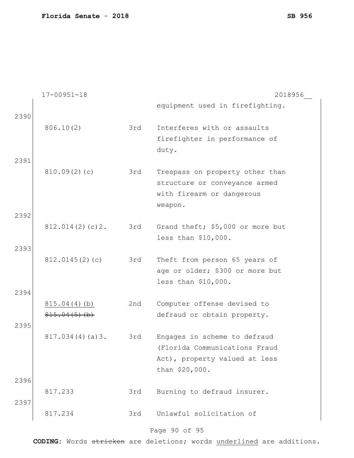|      | $17 - 00951 - 18$  |     | 2018956                          |
|------|--------------------|-----|----------------------------------|
| 2390 |                    |     | equipment used in firefighting.  |
|      | 806.10(2)          | 3rd | Interferes with or assaults      |
|      |                    |     | firefighter in performance of    |
|      |                    |     | duty.                            |
| 2391 |                    |     |                                  |
|      | 810.09(2)(c)       | 3rd | Trespass on property other than  |
|      |                    |     | structure or conveyance armed    |
|      |                    |     | with firearm or dangerous        |
|      |                    |     | weapon.                          |
| 2392 |                    |     |                                  |
|      | 812.014(2)(c)2.    | 3rd | Grand theft; \$5,000 or more but |
|      |                    |     | less than \$10,000.              |
| 2393 |                    |     |                                  |
|      | 812.0145(2)(c)     | 3rd | Theft from person 65 years of    |
|      |                    |     | age or older; \$300 or more but  |
|      |                    |     | less than \$10,000.              |
| 2394 |                    |     |                                  |
|      | 815.04(4)(b)       | 2nd | Computer offense devised to      |
|      | $815.04(5)$ (b)    |     | defraud or obtain property.      |
| 2395 |                    |     |                                  |
|      | $817.034(4)(a)$ 3. | 3rd | Engages in scheme to defraud     |
|      |                    |     | (Florida Communications Fraud    |
|      |                    |     | Act), property valued at less    |
|      |                    |     | than \$20,000.                   |
| 2396 |                    |     |                                  |
|      | 817.233            | 3rd | Burning to defraud insurer.      |
| 2397 |                    |     |                                  |
|      | 817.234            | 3rd | Unlawful solicitation of         |
|      |                    |     | Page 90 of 95                    |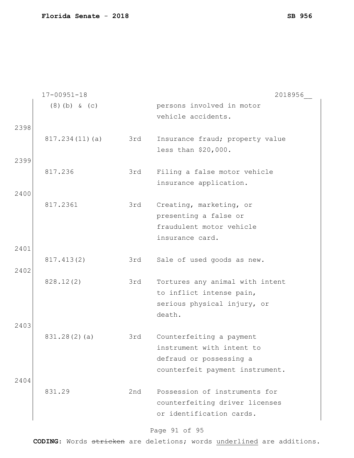|      | $17 - 00951 - 18$ |     | 2018956                         |
|------|-------------------|-----|---------------------------------|
|      | $(8)$ (b) & (c)   |     | persons involved in motor       |
|      |                   |     | vehicle accidents.              |
| 2398 |                   |     |                                 |
|      | 817.234(11)(a)    | 3rd | Insurance fraud; property value |
|      |                   |     |                                 |
|      |                   |     | less than \$20,000.             |
| 2399 |                   |     |                                 |
|      | 817.236           | 3rd | Filing a false motor vehicle    |
|      |                   |     | insurance application.          |
| 2400 |                   |     |                                 |
|      | 817.2361          | 3rd | Creating, marketing, or         |
|      |                   |     | presenting a false or           |
|      |                   |     | fraudulent motor vehicle        |
|      |                   |     | insurance card.                 |
| 2401 |                   |     |                                 |
|      |                   |     |                                 |
|      | 817.413(2)        | 3rd | Sale of used goods as new.      |
| 2402 |                   |     |                                 |
|      | 828.12(2)         | 3rd | Tortures any animal with intent |
|      |                   |     | to inflict intense pain,        |
|      |                   |     | serious physical injury, or     |
|      |                   |     | death.                          |
| 2403 |                   |     |                                 |
|      | 831.28(2)(a)      | 3rd | Counterfeiting a payment        |
|      |                   |     | instrument with intent to       |
|      |                   |     | defraud or possessing a         |
|      |                   |     |                                 |
|      |                   |     | counterfeit payment instrument. |
| 2404 |                   |     |                                 |
|      | 831.29            | 2nd | Possession of instruments for   |
|      |                   |     | counterfeiting driver licenses  |
|      |                   |     | or identification cards.        |
|      |                   |     |                                 |

# Page 91 of 95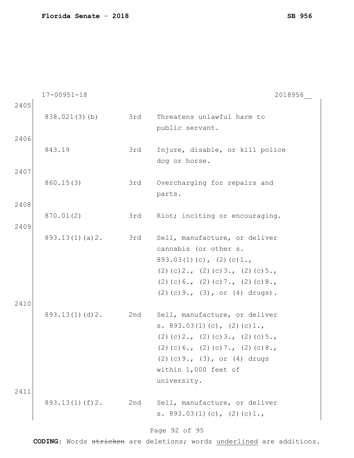|      | $17 - 00951 - 18$  |     | 2018956                                |
|------|--------------------|-----|----------------------------------------|
| 2405 |                    |     |                                        |
|      | 838.021(3)(b)      | 3rd | Threatens unlawful harm to             |
|      |                    |     | public servant.                        |
| 2406 |                    |     |                                        |
|      | 843.19             | 3rd | Injure, disable, or kill police        |
|      |                    |     | dog or horse.                          |
| 2407 |                    |     |                                        |
|      | 860.15(3)          | 3rd | Overcharging for repairs and           |
|      |                    |     | parts.                                 |
| 2408 |                    |     |                                        |
|      | 870.01(2)          | 3rd | Riot; inciting or encouraging.         |
| 2409 |                    |     |                                        |
|      | 893.13(1)(a)2.     | 3rd | Sell, manufacture, or deliver          |
|      |                    |     | cannabis (or other s.                  |
|      |                    |     | $893.03(1)(c)$ , $(2)(c)1.$            |
|      |                    |     | $(2)$ (c) 2., (2) (c) 3., (2) (c) 5.,  |
|      |                    |     | $(2)$ (c) 6., (2) (c) 7., (2) (c) 8.,  |
|      |                    |     | $(2)$ (c) 9., $(3)$ , or $(4)$ drugs). |
| 2410 |                    |     |                                        |
|      | 893.13(1)(d)2.     | 2nd | Sell, manufacture, or deliver          |
|      |                    |     | s. $893.03(1)(c)$ , $(2)(c)1.$         |
|      |                    |     | $(2)$ (c) 2., (2) (c) 3., (2) (c) 5.,  |
|      |                    |     | $(2)$ (c) 6., (2) (c) 7., (2) (c) 8.,  |
|      |                    |     | $(2)$ (c) 9., $(3)$ , or $(4)$ drugs   |
|      |                    |     | within 1,000 feet of                   |
|      |                    |     | university.                            |
| 2411 |                    |     |                                        |
|      | $893.13(1)$ (f) 2. | 2nd | Sell, manufacture, or deliver          |
|      |                    |     | s. $893.03(1)(c)$ , $(2)(c)1.$         |
|      |                    |     | Page 92 of 95                          |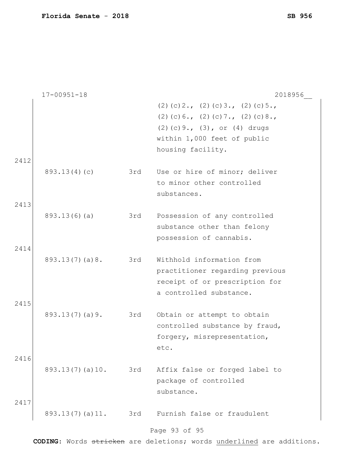|              | $17 - 00951 - 18$ |     | 2018956                                                                                                                                                                    |
|--------------|-------------------|-----|----------------------------------------------------------------------------------------------------------------------------------------------------------------------------|
| 2412         |                   |     | $(2)$ (c) 2., (2) (c) 3., (2) (c) 5.,<br>$(2)$ (c) 6., (2) (c) 7., (2) (c) 8.,<br>$(2)$ (c) 9., $(3)$ , or $(4)$ drugs<br>within 1,000 feet of public<br>housing facility. |
|              | 893.13(4)(c)      | 3rd | Use or hire of minor; deliver<br>to minor other controlled<br>substances.                                                                                                  |
| 2413<br>2414 | 893.13(6)(a)      | 3rd | Possession of any controlled<br>substance other than felony<br>possession of cannabis.                                                                                     |
|              | 893.13(7)(a)8.    | 3rd | Withhold information from<br>practitioner regarding previous<br>receipt of or prescription for<br>a controlled substance.                                                  |
| 2415<br>2416 | 893.13(7)(a)9.    | 3rd | Obtain or attempt to obtain<br>controlled substance by fraud,<br>forgery, misrepresentation,<br>etc.                                                                       |
| 2417         | 893.13(7)(a)10.   | 3rd | Affix false or forged label to<br>package of controlled<br>substance.                                                                                                      |
|              | 893.13(7)(a)11.   | 3rd | Furnish false or fraudulent<br>Page 93 of 95                                                                                                                               |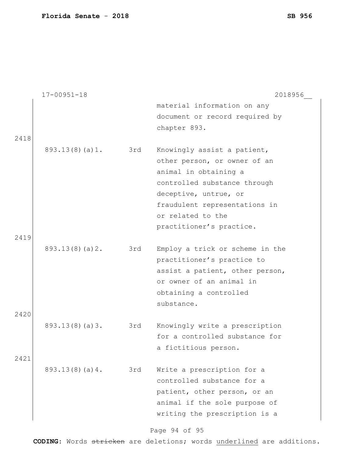|      | $17 - 00951 - 18$  |     | 2018956                         |
|------|--------------------|-----|---------------------------------|
|      |                    |     | material information on any     |
|      |                    |     | document or record required by  |
|      |                    |     | chapter 893.                    |
| 2418 |                    |     |                                 |
|      | 893.13(8)(a)1. 3rd |     | Knowingly assist a patient,     |
|      |                    |     | other person, or owner of an    |
|      |                    |     | animal in obtaining a           |
|      |                    |     | controlled substance through    |
|      |                    |     | deceptive, untrue, or           |
|      |                    |     | fraudulent representations in   |
|      |                    |     | or related to the               |
|      |                    |     | practitioner's practice.        |
| 2419 |                    |     |                                 |
|      | 893.13(8)(a)2.     | 3rd | Employ a trick or scheme in the |
|      |                    |     | practitioner's practice to      |
|      |                    |     | assist a patient, other person, |
|      |                    |     | or owner of an animal in        |
|      |                    |     | obtaining a controlled          |
|      |                    |     | substance.                      |
| 2420 |                    |     |                                 |
|      | 893.13(8)(a)3.     | 3rd | Knowingly write a prescription  |
|      |                    |     | for a controlled substance for  |
|      |                    |     | a fictitious person.            |
| 2421 |                    |     |                                 |
|      | 893.13(8)(a)4.     | 3rd | Write a prescription for a      |
|      |                    |     | controlled substance for a      |
|      |                    |     | patient, other person, or an    |
|      |                    |     | animal if the sole purpose of   |
|      |                    |     | writing the prescription is a   |
|      |                    |     |                                 |

# Page 94 of 95